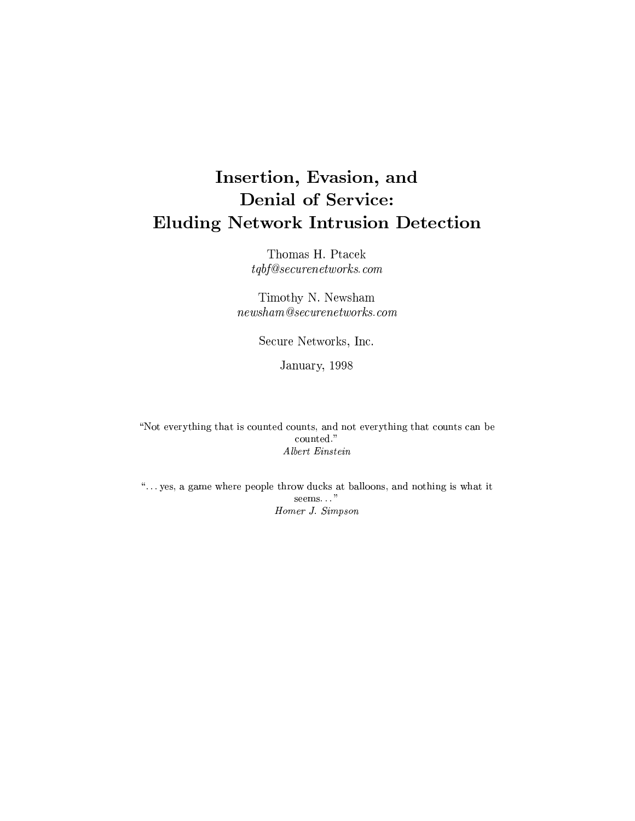# Denial of Service: ,! - /. 012 435
76 -8 9- 2 )\*

- 


Thomas H. Ptacek  $tqbf@securenet works.com$ 

Timothy N. Newsham  $newham@securenetworks.com$ 

 $\sim$  Let  $\sim$  20  $\sim$  20  $\sim$  20  $\sim$  20  $\sim$  20  $\sim$  20  $\sim$  20  $\sim$ 

January, 1998

 $\mathcal{P}=\mathcal{P}$  , we are the proposition of the proposition of the proposition of the proposition of the proposition of the proposition of the proposition of the proposition of the proposition of the proposition of the pro  $Albert\ Einstein$ 

 $\mu$  and  $\mu$  and  $\mu$  and  $\mu$  and  $\mu$  and  $\mu$  and  $\mu$   $\mu$   $\mu$   $\mu$   $\mu$   $\mu$  $seems...$ " ¸7¹Jº¦§ »¼^½Cªº¾ <sup>¹</sup> «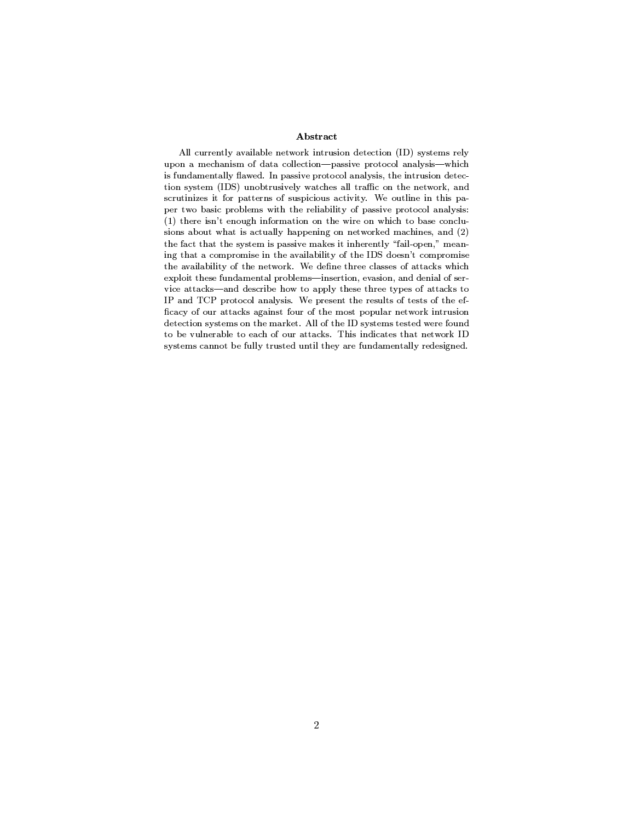### -

All currently available network intrusion detection (ID) systems rely upon a mechanism of data collection—passive protocol analysis—which . A set of the contract  $\mathbb{R}^n$  is the model of the model of the  $\mathbb{R}^n$  $\sim$  1300-500  $\sim$  5000  $\sim$  5000  $\sim$  1000  $\sim$  5000  $\sim$  1000  $\sim$  5000  $\sim$  5000  $\sim$  5000  $\sim$  5000  $\sim$  5000  $\sim$  5000  $\sim$  5000  $\sim$  5000  $\sim$  5000  $\sim$  5000  $\sim$  5000  $\sim$  5000  $\sim$  5000  $\sim$  5000  $\sim$  5000  $\sim$  50 scrutinizes it for patterns of suspicious activity. We outline in this pa-@A`W),+H&10#/[@4+&/>'0;)O#D3Dc#%\$&##\*h+\$G@100#!X-@+\$+M+,1K\$0#0i 5=j\$:ODS#0lk ;+mD #/4GQ+\$>-\$#+n+.D;)O#S+.)OD#/ED +g&10'(+K(/4\  $1$  , the contract of the contract of the contract of the  $\ell$  -contract of the  $\ell$  -contract of the contract of the contract of the contract of the contract of the contract of the contract of the contract of the contrac  $\blacksquare$  . A set of the set of the set of the set of the set of the set of the set of the set of the set of the set of the set of the set of the set of the set of the set of the set of the set of the set of the set of the s #/m'DK\$-+1>'@+>'#0\_#CD;"!11#/1&#/#\*C+1GaD;7\*9\_^L2+0Vk o+1>'@+1>'#/0 the availability of the network. We define three classes of attacks which exploit these fundamental problems—insertion, evasion, and denial of service attacks—and describe how to apply these three types of attacks to IP and TCP protocol analysis. We present the results of tests of the efficacy of our attacks against four of the most popular network intrusion 2"E#/+1-0=0=>'0P+1-DO>-\$-X"U
K+\$GlD<7W90=0=>'00=2S),<GQ+K2 to be vulnerable to each of our attacks. This indicates that network ID  $\overline{\phantom{a}}$  ,  $\overline{\phantom{a}}$  ,  $\overline{\phantom{a}}$  ,  $\overline{\phantom{a}}$  ,  $\overline{\phantom{a}}$  ,  $\overline{\phantom{a}}$  ,  $\overline{\phantom{a}}$  ,  $\overline{\phantom{a}}$  ,  $\overline{\phantom{a}}$  ,  $\overline{\phantom{a}}$  ,  $\overline{\phantom{a}}$  ,  $\overline{\phantom{a}}$  ,  $\overline{\phantom{a}}$  ,  $\overline{\phantom{a}}$  ,  $\overline{\phantom{a}}$  ,  $\overline{\phantom{a}}$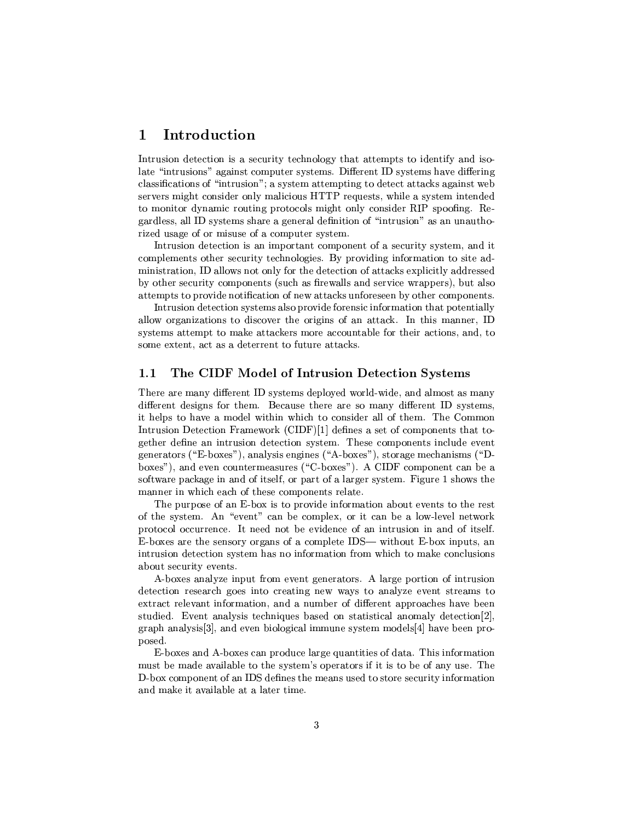## - -

Intrusion detection is a security technology that attempts to identify and iso- $\blacksquare$  ) and the set of transition  $\blacksquare$  . The set of transition  $\blacksquare$  is the set of transition of the set of transition  $\blacksquare$  $\Gamma$  and  $\Gamma$  are  $\Gamma$  -respectively. The proposition of  $\Gamma$ ted to the second control of the second control of the property of the property of the second control of the s  $T$  , and  $T$  is a vertex  $T$  -positive  $T$  -positive  $T$  -positive  $T$  -positive  $T$  -positive  $T$  -positive  $T$  -positive  $T$  -positive  $T$  -positive  $T$  -positive  $T$  -positive  $T$  -positive  $T$  -positive  $T$  -positive  $\mathbf{P}$  , then is the transformation of  $\mathbf{P}$  $\mathcal{P}$  as a set of  $\mathcal{P}$  and  $\mathcal{P}$  are the  $\mathcal{P}$  -form  $\mathcal{P}$  and  $\mathcal{P}$ 

Intrusion detection is an important component of a security system, and it complements other security technologies. By providing information to site ad-¯¶³VcTµJP³{ (\²³²J°->H²0\qP-RTyT\<+CJTPµ´ q1R±²³³T²XRPyPcp  $\mathcal{L}=\mathcal{L}=\mathcal{L}=\mathcal{L}=\mathcal{L}=\mathcal{L}=\mathcal{L}=\mathcal{L}=\mathcal{L}=\mathcal{L}=\mathcal{L}=\mathcal{L}=\mathcal{L}=\mathcal{L}=\mathcal{L}=\mathcal{L}=\mathcal{L}=\mathcal{L}=\mathcal{L}=\mathcal{L}=\mathcal{L}=\mathcal{L}=\mathcal{L}=\mathcal{L}=\mathcal{L}=\mathcal{L}=\mathcal{L}=\mathcal{L}=\mathcal{L}=\mathcal{L}=\mathcal{L}=\mathcal{L}=\mathcal{L}=\mathcal{L}=\mathcal{L}=\mathcal{L}=\mathcal{$ attempts to provide notification of new attacks unforeseen by other components.

Intrusion detection systems also provide forensic information that potentially some extent, act as a deterrent to future attacks.

## 1.1 The CIDF Model of Intrusion Detection Systems

. AyTP $\blacksquare$ different designs for them. Because there are so many different ID systems, ³9²±VPV\_\<2¯¶ ² °³TV³ °µT VTRy9²²HaTV¯ e!4gf¯¶¯e tpvta hardwards in the top of the top of the top of the top of the top of the top of the top of the top of the t  $\top$  . The transition of the transition of the transition of the transition of the transition of the transition of the transition of the transition of the transition of the transition of the transition of the transition o generators ("E-boxes"), analysis engines ("A-boxes"), storage mechanisms ("Dboxes"), and even countermeasures ("C-boxes"). A CIDF component can be a  $\bullet$  to the state  $\bullet$  and  $\bullet$  are  $\bullet$  to the  $\bullet$  problem  $\bullet$ ¯<V2°Vµ2yµ+^PyT \¯¶±C\yP4P²JT

 $\bullet$  . The contract of the contract  $\bullet$  . The contract of the contract of the contract of the contract of the contract of the contract of the contract of the contract of the contract of the contract of the contract of th of the system. An "event" can be complex, or it can be a low-level network  $\mathbf{P}$  , and  $\mathbf{P}$  are the set of  $\mathbf{P}$  and  $\mathbf{P}$  are the set of  $\mathbf{P}$  and  $\mathbf{P}$  are the set of  $\mathbf{P}$ potential product the performance of the performance of the performance of the performance of the performance o  $P$  and  $P$  contains the state  $P$  contains the state  $P$  contains the state  $P$  -state  $P$  . The state  $P$ about security events.

A-boxes analyze input from event generators. A large portion of intrusion  $R$  , the pyty'  $T$  parameter  $\mathcal{R}$  and  $\mathcal{R}$  and  $\mathcal{R}$  are the task  $\mathcal{R}$  of  $\mathcal{R}$ ). The set of the set of the set of the set of the set of the set of the set of the set of the set of the set of the set of the set of the set of the set of the set of the set of the set of the set of the set of the set o studied. Event analysis techniques based on statistical anomaly detection [2],  $\mathcal{L}=\mathcal{L}=\mathcal{L}=\mathcal{L}=\mathcal{L}=\mathcal{L}=\mathcal{L}=\mathcal{L}=\mathcal{L}=\mathcal{L}=\mathcal{L}=\mathcal{L}=\mathcal{L}=\mathcal{L}=\mathcal{L}=\mathcal{L}=\mathcal{L}=\mathcal{L}=\mathcal{L}=\mathcal{L}=\mathcal{L}=\mathcal{L}=\mathcal{L}=\mathcal{L}=\mathcal{L}=\mathcal{L}=\mathcal{L}=\mathcal{L}=\mathcal{L}=\mathcal{L}=\mathcal{L}=\mathcal{L}=\mathcal{L}=\mathcal{L}=\mathcal{L}=\mathcal{L}=\mathcal{$ posed.

E-boxes and A-boxes can produce large quantities of data. This information \_7k-2 = \Proposition = \Proposition = \Proposition = \Proposition = \Proposition = \Proposition = \Proposition = \Proposition = \Proposition = \Proposition = \Proposition = \Proposition = \Proposition = \Proposition = \Pr D-box component of an IDS defines the means used to store security information and make it available at a later time.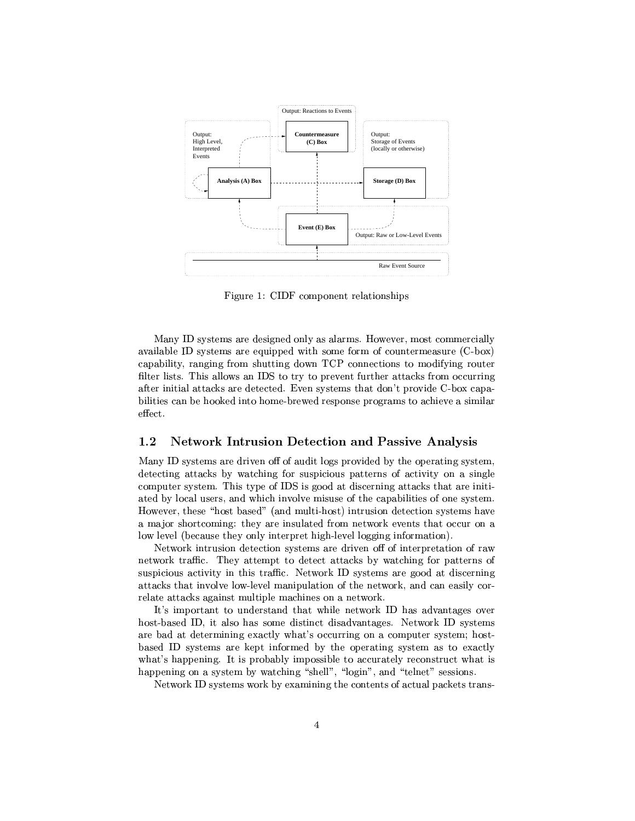

 $\blacksquare$  the formulation  $\blacksquare$ 

 /cRcTy¯¶ P¤Rpc\Vy¶\V²³<\a²P¯< -J°ap¯¶ca\¯¶¯¶µ²²³ $J\colon \mathcal{F}\to \mathcal{F}$  and  $J\colon \mathcal{F}\to \mathcal{F}$  $\pm\sqrt{2}$  . The particle  $\pm\sqrt{2}$  is the positive  $\pm\sqrt{2}$  . The probability  $\pm\sqrt{2}$ on and a memory and a memory of the second part of the second part of the second part of the second part of the second part of the second part of the second part of the second part of the second part of the second part of after initial attacks are detected. Even systems that don't provide C-box capaeffect.

#### $1.2$ =[PwH3R @COQP.RTS"UWV9HXOYBZ=[P.=]\^PV\_HQO OJ
 U/U/VX=ZO Kb-U/V9U

Many ID systems are driven off of audit logs provided by the operating system,  $R$  and  $R$  and  $R$  and  $R$  -  $\mathcal{R}$  -  $\mathcal{R}$  -  $\mathcal{R}$  -  $\mathcal{R}$  -  $\mathcal{R}$  -  $\mathcal{R}$  -  $\mathcal{R}$  -  $\mathcal{R}$  -  $\mathcal{R}$  -  $\mathcal{R}$  -  $\mathcal{R}$  -  $\mathcal{R}$  -  $\mathcal{R}$  -  $\mathcal{R}$  -  $\mathcal{R}$  -  $\mathcal{R}$  -  $\mathcal{R}$  -  $\mathcal$  $\blacksquare$  . The contractor of the contractor of the contractor of the contractor of the contractor of the contractor of the contractor of the contractor of the contractor of the contractor of the contractor of the contractor JPy E² y²mVTµyV°µ2 \²³¤¯¶cVT ^T9y±V\²³³Ty4+> cRcT¯ -J°ap\PyTc4Vcp¡n2 V¯7V²·P®c54 TPVc\2RPyT\cRcT¯<aV\_  $\sim$  1000 to 2000 to 2000 to 2000 to 2000 to 2000 to 2000 to 2000 to 2000 to 2000 to 2000 to 2000 to 2000 to 2000 to 2000 to 2000 to 2000 to 2000 to 2000 to 2000 to 2000 to 2000 to 2000 to 2000 to 2000 to 2000 to 2000 to low level (because they only interpret high-level logging information).

 $\blacksquare$  . The  $\blacksquare$  contrator  $\blacksquare$  and  $\blacksquare$ network traffic. They attempt to detect attacks by watching for patterns of t and the set of the set of the set of the set of the set of the set of the set of the set of the set of the s attacks that involve low-level manipulation of the network, and can easily cor-

It's important to understand that while network ID has advantages over host-based ID, it also has some distinct disadvantages. Network ID systems Pevo in the variable particle in the variable particle in the variable particle in the variable particle in the variable particle in the variable particle in the variable particle in the variable particle in the variable Vcp ,cRcTy¯¶\T´\y±R2.T¯¶y( 8T \±CµJP³V TRP¯ \ET81RzP²³ to the total control to the total control to the total control to the total control to the total control to the total control to the total control to the total control to the total control to the total control to the tota V\±±ky¶\¶cRcT¯ E°aPµ TT²²¡c²\³k¡RVP²µ¡¶cpTT³Vy

 $\bullet$  . The set of the set of the set of the set of the set of the set of the set of the set of the set of the set of the set of the set of the set of the set of the set of the set of the set of the set of the set of the s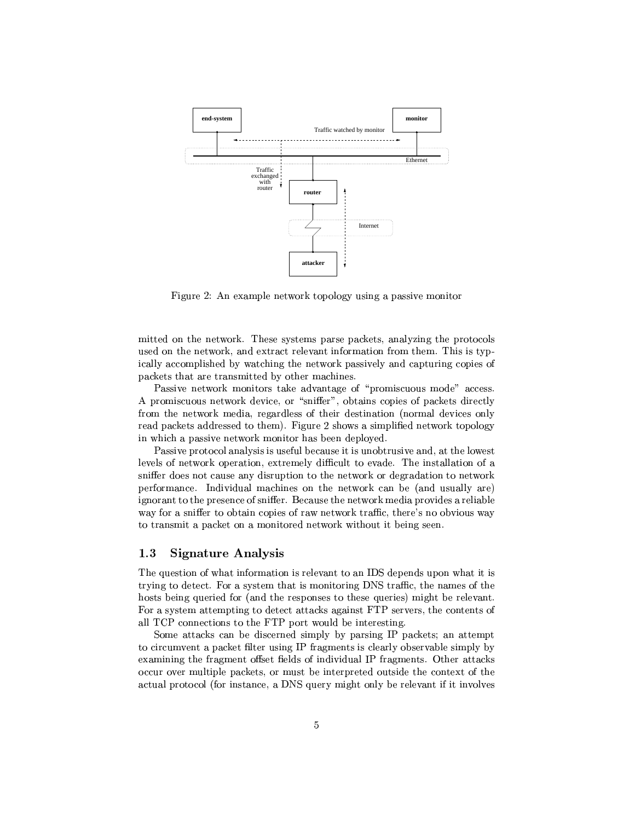

 $\blacksquare$  so a state in the state  $\blacksquare$ 

 $\blacksquare$  to the "total"  $\blacksquare$  and the "ty"  $\blacksquare$  and "ty" $\blacksquare$  . The "ty"  $\blacksquare$  is the "ty"  $\blacksquare$  $\mathcal{P}$  and  $\mathcal{P}$  are the positive  $\mathcal{P}$  and  $\mathcal{P}$  are the positive  $\mathcal{P}$  and  $\mathcal{P}$  are the positive  $\mathcal{P}$  and  $\mathcal{P}$  are the positive  $\mathcal{P}$  and  $\mathcal{P}$  are the positive  $\mathcal{P}$  and  $\mathcal{P}$  are ically accomplished by watching the network passively and capturing copies of  $\pm\infty$  . The set of  $\mathbb{P}^2$  and  $\mathbb{P}^2$  epoch epoch epoch epoch epoch epoch epoch epoch epoch epoch epoch epoch epoch epoch epoch epoch epoch epoch epoch epoch epoch epoch epoch epoch epoch epoch epoch epoch epoch

Passive network monitors take advantage of "promiscuous mode" access. P\¯ T2°T´¯¶yRHPµR²yP P<RycTVJP³E2V\P¯¶\²a yX\² Py\\*±V\µ´Pa\VRTpTTy<TXTy¯4z 3h>³T cJ°-aec¯¶±²³VpE°T´XT±k²³\ in which a passive network monitor has been deployed.

Passive protocol analysis is useful because it is unobtrusive and, at the lowest levels of network operation, extremely difficult to evade. The installation of a yvTarihistoria vaihteen vaihteen vaihteen vaihteen vaihteen vaihteen vaihteen vaihteen vaihteen vaihteen vaihte ±Cq\P¯¶\V VRRV\²¯<\µV³p\*8T°a\P´y'C 2j\V'VTV²² \T|4  $\blacksquare$  . The contract of the contract  $\blacksquare$  and  $\blacksquare$  $\mathcal{L}=\mathcal{L}=\mathcal{L}=\mathcal{L}=\mathcal{L}=\mathcal{L}=\mathcal{L}=\mathcal{L}=\mathcal{L}=\mathcal{L}=\mathcal{L}=\mathcal{L}=\mathcal{L}=\mathcal{L}=\mathcal{L}=\mathcal{L}=\mathcal{L}=\mathcal{L}=\mathcal{L}=\mathcal{L}=\mathcal{L}=\mathcal{L}=\mathcal{L}=\mathcal{L}=\mathcal{L}=\mathcal{L}=\mathcal{L}=\mathcal{L}=\mathcal{L}=\mathcal{L}=\mathcal{L}=\mathcal{L}=\mathcal{L}=\mathcal{L}=\mathcal{L}=\mathcal{L}=\mathcal{$  $T\in\mathcal{P}$  , we can consider the  $\mathcal{P}$  -value  $\mathcal{P}$  and  $\mathcal{P}$  are  $\mathcal{P}$ 

## 1.3 Signature Analysis

The question of what information is relevant to an IDS depends upon what it is trying to detect. For a system that is monitoring DNS traffic, the names of the hosts being queried for (and the responses to these queries) might be relevant. For a system attempting to detect attacks against FTP servers, the contents of

Some attacks can be discerned simply by parsing IP packets; an attempt to circumvent a packet filter using IP fragments is clearly observable simply by examining the fragment offset fields of individual IP fragments. Other attacks occur over multiple packets, or must be interpreted outside the context of the  $\top$  , the contract of the contract of the contract of the contract of the contract of the contract of the contract of the contract of the contract of the contract of the contract of the contract of the contract of the co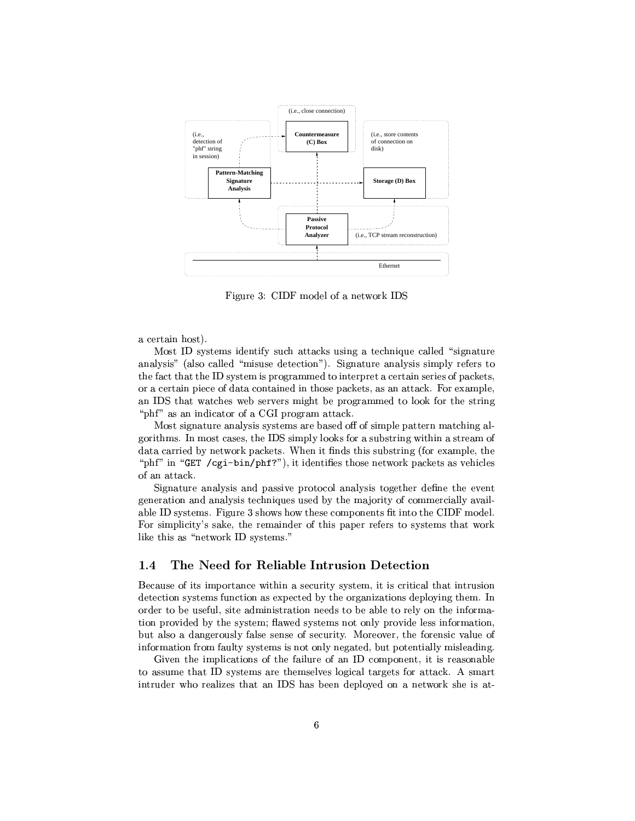

h>³T <sup>z</sup> f"h¯eRRy²{q¶°a\P´ 'u

a certain host).

Most ID systems identify such attacks using a technique called "signature" analysis" (also called "misuse detection"). Signature analysis simply refers to TV j\mTV{T T cTy¯(m±P\P\¯e¯¶p-P³TyT±VTu-ycµTP³pm ±Vµ´\µ  $\Box$  matrices the term of the term of the term of the term of the term of the term of the term of the term of the term of the term of the term of the term of the term of the term of the term of the term of the term of the °4TP\XIII II P "phf" as an indicator of a CGI program attack.

 $\blacksquare$  $P$  and the set of the set of two  $P$  and the set of two  $P$  two  $P$  -set of two  $P$  two  $P$  $\alpha$  , and  $\alpha$  is a set of the set of the set of the set of the set of the set of the set of the set of the set of the set of the set of the set of the set of the set of the set of the set of the set of the set of the se of an attack.

Signature analysis and passive protocol analysis together define the event  $\mathcal{I}=\mathcal{I}=\mathcal{I}=\mathcal{I}=\mathcal{I}=\mathcal{I}=\mathcal{I}=\mathcal{I}=\mathcal{I}=\mathcal{I}=\mathcal{I}=\mathcal{I}=\mathcal{I}=\mathcal{I}=\mathcal{I}=\mathcal{I}=\mathcal{I}=\mathcal{I}=\mathcal{I}=\mathcal{I}=\mathcal{I}=\mathcal{I}=\mathcal{I}=\mathcal{I}=\mathcal{I}=\mathcal{I}=\mathcal{I}=\mathcal{I}=\mathcal{I}=\mathcal{I}=\mathcal{I}=\mathcal{I}=\mathcal{I}=\mathcal{I}=\mathcal{I}=\mathcal{I}=\mathcal{$ variation de la participation de la participation de la participation de la participation de la participation d  $\equiv$  . The set of the set of the set of the set of the set of the set of the set of the set of the set of the set of the set of the set of the set of the set of the set of the set of the set of the set of the set of the s ²³´¤P-\¶T°a\P´ T cTy¯< ¡

## 1.4 The Need for Reliable Intrusion Detection

,ayyVT ³P¤³¯¶±C\TPk °³T \*TyT³TRP¯C·P·Py²mPVJ³TPVT³ but also a dangerously false sense of security. Moreover, the forensic value of information from faulty systems is not only negated, but potentially misleading.

and the property of the position of the position of the position of the position of the position of the position of the position of the position of the position of the position of the position of the position of the posit  $T$  , the contracts of  $P$  and  $P$  are presented by  $\mathcal{P}$  . The contracts of  $\mathcal{P}$ PTkRX° Py²\*y TVe 'u V7Cy\$R±V²³Jy \\$ °a\P´T\*eJ9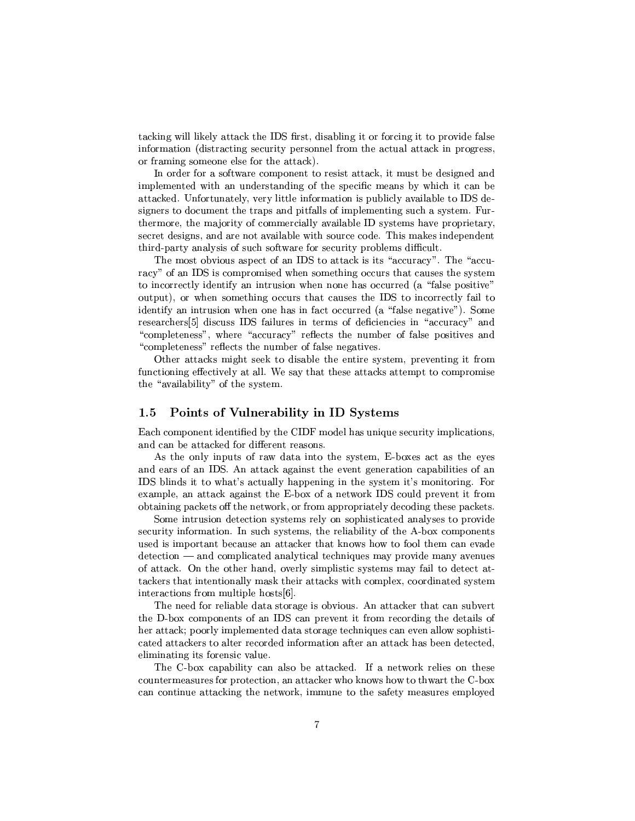Photo and any and any and any and any any any and any positive particles are a set of the formation of the set of the set of the set of the set of the set of the set of the set of the set of the set of the set of the set o information (distracting security personnel from the actual attack in progress, or framing someone else for the attack).

 $\mathcal{L}=\mathcal{L}=\mathcal{L}=\mathcal{L}=\mathcal{L}=\mathcal{L}=\mathcal{L}=\mathcal{L}=\mathcal{L}=\mathcal{L}=\mathcal{L}=\mathcal{L}=\mathcal{L}=\mathcal{L}=\mathcal{L}=\mathcal{L}=\mathcal{L}=\mathcal{L}=\mathcal{L}=\mathcal{L}=\mathcal{L}=\mathcal{L}=\mathcal{L}=\mathcal{L}=\mathcal{L}=\mathcal{L}=\mathcal{L}=\mathcal{L}=\mathcal{L}=\mathcal{L}=\mathcal{L}=\mathcal{L}=\mathcal{L}=\mathcal{L}=\mathcal{L}=\mathcal{L}=\mathcal{$  $\blacksquare$  . The value  $\blacksquare$ JTPuriding the set of the set of the set of the set of the set of the set of the set of the set of the set of t signers to document the traps and pitfalls of implementing such a system. Fur-To a set of the term of the set of the set of the set of the set of the set of the set of the set of the set of the set of the set of the set of the set of the set of the set of the set of the set of the set of the set of secret designs, and are not available with source code. This makes independent Ty  $\mathbf{r}$  , and  $\mathbf{r}$  are typically assumed to  $\mathbf{r}$  and  $\mathbf{r}$  are typically assumed to  $\mathbf{r}$ 

!49¯¶c \Vc±Cy 'uTJcµ\µ´\*-³PETVPR¡ X!4VT\y.  $\bm{v}$  and  $\bm{v}$  and  $\bm{v}$  and  $\bm{v}$  to  $\bm{v}$  the  $\bm{v}$ T³k\PPyzP²³2RT ³TPVT³°\V7V-RTPy <sup>2</sup> 9j²c7±kc³T\p¡  $\text{output}$ , or when something occurs that causes the IDS to incorrectly fail to  $\blacksquare$  . The set of the set of the set of the set of the set of the set of the set of the set of the set of the set of the set of the set of the set of the set of the set of the set of the set of the set of the set of the PyTypykmPVP 'u januaryPykmPVP' 'u januaryPykmPVP' 'u januaryPykmPVP' 'u januaryPykmPVP' 'u januaryPykmPVP' 'u j "completeness", where "accuracy" reflects the number of false positives and  $T\rightarrow T$  , we can assume that the contract of the contract of the contract of the contract of the contract of the contract of the contract of the contract of the contract of the contract of the contract of the contract of t

Other attacks might seek to disable the entire system, preventing it from  $\mathcal{A}$  , and a set of  $\mathcal{A}$  , and  $\mathcal{A}$  are  $\mathcal{A}$  and  $\mathcal{A}$  are  $\mathcal{A}$  and  $\mathcal{A}$  . In the  $\mathcal{A}$ the "availability" of the system.

#### 1.5 Points of Vulnerability in ID Systems

<u>=</u> tv-f6hoq and tv-f6hoq and tv-f6hoq and tv-f6hoq and tv-f6hoq and tv-f6hoq and tv-f6hoq and tv-f6hoq and tv-f6hoq and tv-f6hoq and tv-f6hoq and tv-f6hoq and tv-f6hoq and tv-f6hoq and tv-f6hoq and tv-f6hoq and tv-f6hoq ky2k9cPutation in the control of the control of the control of the control of the control of the control of th

As the only inputs of raw data into the system, E-boxes act as the eyes IDS blinds it to what's actually happening in the system it's monitoring. For example, an attack against the E-box of a network IDS could prevent it from obtaining packets off the network, or from appropriately decoding these packets.

security information. In such systems, the reliability of the A-box components  $\mathcal{N}=\mathcal{N}=\mathcal{N}=\mathcal{N}=\mathcal{N}=\mathcal{N}=\mathcal{N}=\mathcal{N}=\mathcal{N}=\mathcal{N}=\mathcal{N}=\mathcal{N}=\mathcal{N}=\mathcal{N}=\mathcal{N}=\mathcal{N}=\mathcal{N}=\mathcal{N}=\mathcal{N}=\mathcal{N}=\mathcal{N}=\mathcal{N}=\mathcal{N}=\mathcal{N}=\mathcal{N}=\mathcal{N}=\mathcal{N}=\mathcal{N}=\mathcal{N}=\mathcal{N}=\mathcal{N}=\mathcal{N}=\mathcal{N}=\mathcal{N}=\mathcal{N}=\mathcal{N}=\mathcal{$  $\det$  and complicated analytical techniques may provide many avenues of attack. On the other hand, overly simplistic systems may fail to detect at- $P$  , the set of type  $P$  and the type  $P$  and the type  $T$  is the type  $T$  -put  $T$  . The set of the type  $T$ interactions from multiple hosts  $[6]$ .

The need for reliable data storage is obvious. An attacker that can subvert To a set of the contract of the contract of the contract of the contract of the contract of the contract of the contract of the contract of the contract of the contract of the contract of the contract of the contract of t  $\mathcal{F} = \mathcal{F} = \mathcal{F} = \mathcal{F} = \mathcal{F} = \mathcal{F}$ The  $J$  -state  $J$  the  $J$  th  $J$  th  $J$  the  $J$  th  $J$  th  $J$  the  $J$  th  $J$  th  $J$  the  $J$ eliminating its forensic value.

. As a set of the set of the set of the set of the set of the set of the set of the set of the set of the set of the set of the set of the set of the set of the set of the set of the set of the set of the set of the set o  $T$ yc $T$ p $\sim$   $T$ can continue attacking the network, immune to the safety measures employed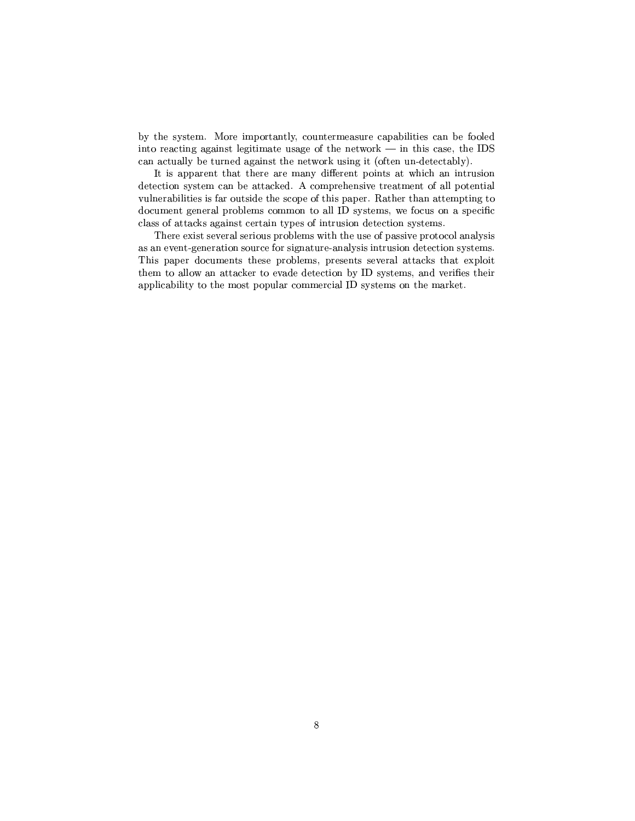TTRP $T$  , the set of  $T$  terms of  $T$  terms of  $T$  terms of  $T$  and  $z$   $q$   $q$   $q$   $q$   $q$   $q$   $q$ into reacting against legitimate usage of the network — in this case, the IDS  $\mathcal{L}=\mathcal{L}=\mathcal{L}=\mathcal{L}=\mathcal{L}=\mathcal{L}=\mathcal{L}=\mathcal{L}=\mathcal{L}=\mathcal{L}=\mathcal{L}=\mathcal{L}=\mathcal{L}=\mathcal{L}=\mathcal{L}=\mathcal{L}=\mathcal{L}=\mathcal{L}=\mathcal{L}=\mathcal{L}=\mathcal{L}=\mathcal{L}=\mathcal{L}=\mathcal{L}=\mathcal{L}=\mathcal{L}=\mathcal{L}=\mathcal{L}=\mathcal{L}=\mathcal{L}=\mathcal{L}=\mathcal{L}=\mathcal{L}=\mathcal{L}=\mathcal{L}=\mathcal{L}=\mathcal{$ 

It is apparent that there are many different points at which an intrusion  $R\subset T$  , the state  $\Gamma$  is a state  $\Gamma$  -form  $\Gamma$  . The state  $\Gamma$  is a state  $\Gamma$  $\Gamma$  →  $\Gamma$  +  $\Gamma$  +  $\Gamma$  +  $\Gamma$  +  $\Gamma$  +  $\Gamma$  +  $\Gamma$  +  $\Gamma$  +  $\Gamma$  +  $\Gamma$  +  $\Gamma$  +  $\Gamma$  +  $\Gamma$  +  $\Gamma$  +  $\Gamma$  +  $\Gamma$  +  $\Gamma$  +  $\Gamma$  +  $\Gamma$  +  $\Gamma$  +  $\Gamma$  +  $\Gamma$  +  $\Gamma$  +  $\Gamma$  +  $\Gamma$  +  $\Gamma$  +  $\Gamma$  +  $\Gamma$  +  $\Gamma$  +  $\Gamma$  +  $\Gamma$  $R$  and  $R$  are the set of  $R$  -set of  $R$   $\equiv$   $R$   $\equiv$   $R$   $\equiv$   $R$   $\equiv$   $R$   $\equiv$   $R$   $\equiv$   $R$   $\equiv$   $R$   $\equiv$   $R$   $\equiv$   $R$   $\equiv$   $R$   $\equiv$   $R$   $\equiv$   $R$   $\equiv$   $R$   $\equiv$   $R$   $\equiv$   $R$   $\equiv$   $R$   $\equiv$   $R$   $\equiv$   $R$   $\equiv$   $R$   $\equiv$   $R$ class of attacks against certain types of intrusion detection systems.

There exist several serious problems with the use of passive protocol analysis as an event-generation source for signature-analysis intrusion detection systems. This paper documents these problems, presents several attacks that exploit  $T$  to the set of the set of the set of the set of the set of the set of the set of the set of the set of the set of the set of the set of the set of the set of the set of the set of the set of the set of the set of the s ±V±²³\²³³<TeP ¯¶c-±k±²-¯¶¯eyP\² cRcTy¯¶42T¯<P´\y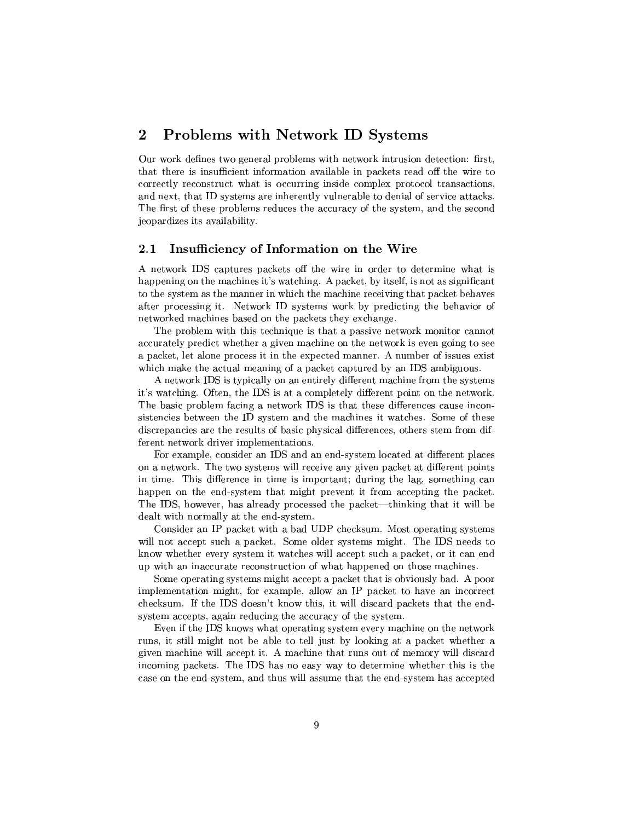## ? - 5o ]

 $\Omega$  and  $\Omega$  are the set of  $\Omega$  and  $\Omega$  are the  $\Omega$  corporation of  $\Omega$  and  $\Omega$  are the  $\Omega$ that there is insufficient information available in packets read off the wire to The set of the set of the set of the set of the set of the set of the set of the set of the set of the set of the set of the set of the set of the set of the set of the set of the set of the set of the set of the set of t is the contractor of the contractor  $\mathcal{M}^*$  is the contractor of the contractor  $\mathcal{M}^*$ !46Vµ+uTVyT ±T²¯<aTpRVpaT VP<^T9TRP¯k\*P9cpV jeopardizes its availability.

#### $2.1$ Insufficiency of Information on the Wire

<sup>s</sup> V°a\P´ 'u'\±RTPyE±V\µ´µ\* T°T tPRy<T RPP¯¶³°VJ happening on the machines it's watching. A packet, by itself, is not as significant to the system as the manner in which the machine receiving that packet behaves after processing it. Network ID systems work by predicting the behavior of

The problem with this technique is that a passive network monitor cannot accurately predict whether a given machine on the network is even going to see  $\mathcal{L}=\mathcal{L}=\mathcal{L}=\mathcal{L}=\mathcal{L}=\mathcal{L}=\mathcal{L}=\mathcal{L}=\mathcal{L}=\mathcal{L}=\mathcal{L}=\mathcal{L}=\mathcal{L}=\mathcal{L}=\mathcal{L}=\mathcal{L}=\mathcal{L}=\mathcal{L}=\mathcal{L}=\mathcal{L}=\mathcal{L}=\mathcal{L}=\mathcal{L}=\mathcal{L}=\mathcal{L}=\mathcal{L}=\mathcal{L}=\mathcal{L}=\mathcal{L}=\mathcal{L}=\mathcal{L}=\mathcal{L}=\mathcal{L}=\mathcal{L}=\mathcal{L}=\mathcal{L}=\mathcal{$  $\mathcal{L}=\mathcal{L}=\mathcal{L}=\mathcal{L}=\mathcal{L}=\mathcal{L}=\mathcal{L}=\mathcal{L}=\mathcal{L}=\mathcal{L}=\mathcal{L}=\mathcal{L}=\mathcal{L}=\mathcal{L}=\mathcal{L}=\mathcal{L}=\mathcal{L}=\mathcal{L}=\mathcal{L}=\mathcal{L}=\mathcal{L}=\mathcal{L}=\mathcal{L}=\mathcal{L}=\mathcal{L}=\mathcal{L}=\mathcal{L}=\mathcal{L}=\mathcal{L}=\mathcal{L}=\mathcal{L}=\mathcal{L}=\mathcal{L}=\mathcal{L}=\mathcal{L}=\mathcal{L}=\mathcal{$ 

s are the set of the set of the set of the set of the set of the set of the set of the set of the set of the s  $\bm{a}^T$  , and typically be a set of type  $\bm{a}^T$  . Type  $\bm{a}^T$  is the set of type  $\bm{a}^T$ The basic problem facing a network IDS is that these differences cause incon-Tags the  $\blacksquare$  Transformation  $\blacksquare$  and  $\blacksquare$  and  $\blacksquare$ discrepancies are the results of basic physical differences, others stem from different network driver implementations.

h)1 °C ary 6uv22k/®Trp. 6uv22k/®Trp. 6uv22k/®Trp. 6uv22k/®Trp. 6uv22k/®Trp. 6uv22k/®Trp. 6uv22k/®Trp. 6uv22k/® on a network. The two systems will receive any given packet at different points T¯¶\ !4e@PVE\$P³¯¶2X³¯¶±C\TP\y RVT P2²\VHT\¯¶P³V \  $\blacksquare$  The contraction of  $\blacksquare$ !4 'u@{J°apmV\ \²³PyR±P yPcpP<±V\µ´9vP³V´TV9·9°²²Hk

f\VTR-\ #8±k\µ´\°·P ¶V\ 6#'µpµ´ T¯ ±kyPT\*cRcTy¯¶  $\mathcal{L}^*$  and  $\mathcal{L}^*$  are the urban contribution of  $\mathcal{L}^*$  and  $\mathcal{L}^*$  are the set of  $\mathcal{L}^*$  and  $\mathcal{L}^*$  $\blacksquare$  $\pm$  2.  $\pm$  2.  $\pm$  2.  $\pm$  2.  $\pm$  2.  $\pm$  2.  $\pm$  2.  $\pm$  2.  $\pm$  2.  $\pm$  2.  $\pm$  2.  $\pm$  2.  $\pm$ 

Some operating systems might accept a packet that is obviously bad. A poor implementation might, for example, allow an IP packet to have an incorrect  $\mathbf{r}_1$  , and the set of the set of the set of the set of the set of the set of the set of the set of the set of the set of the set of the set of the set of the set of the set of the set of the set of the set of the set The contraction of the contraction of the contraction of the contraction of the contraction of the contraction of the contraction of the contraction of the contraction of the contraction of the contraction of the contract

pH $\bar{\bf r}$  for a set of the function of the function of the function of the function of the function of the function of the function of the function of the function of the function of the function of the function of the fu PVY·variation of the C2−™and and the C2−™and and the C2−™and and the C2−™and and the C2+™and and the C2+™and the C2+  $\mathcal{P}^*$  and  $\mathcal{P}^*$  so  $\mathcal{P}^*$  so  $\mathcal{P}^*$  s and  $\mathcal{P}^*$  so  $\mathcal{P}^*$  $V$ e $Z$ ë van die 2 $Z$ vers  $Z$ van die 2 $Z$ vers  $Z$ trop $Z$  is the  $Z$ case on the end-system, and thus will assume that the end-system has accepted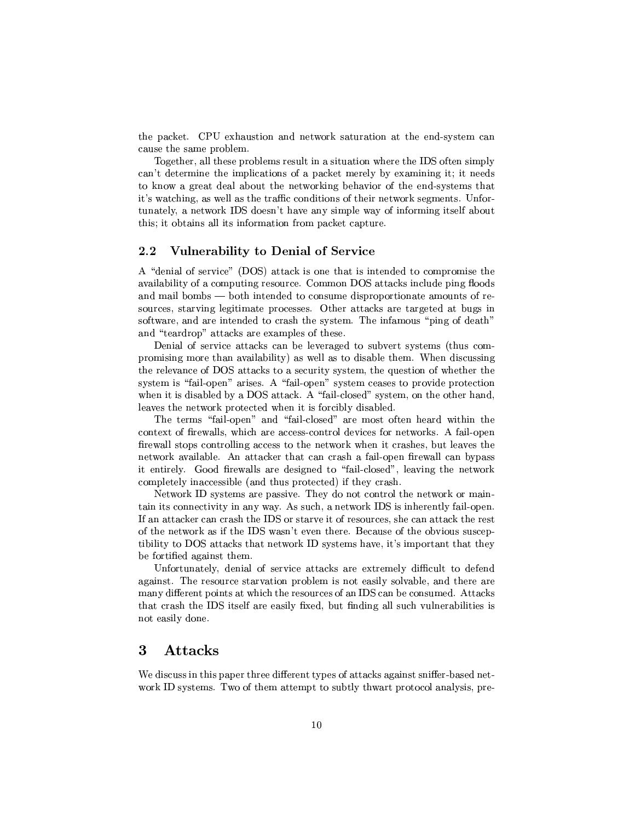TV $\sim$  ) for a set  $\sim$  1RV  $\sim$  1RV  $\sim$  1RV  $\sim$  1RV. The set  $\sim$  1RV  $\sim$  1RV  $\sim$  1RV  $\sim$  1RV. The set  $\sim$  1RV  $\sim$  1RV  $\sim$  1RV. The set  $\sim$  1RV  $\sim$  1RV  $\sim$  1RV. The set  $\sim$  1RV  $\sim$  1RV  $\sim$  1RV. The set  $\sim$ cause the same problem.

. Typy $\blacksquare$  . The set of the set of the set of the set of the set of the set of the set of the set of the set of the set of the set of the set of the set of the set of the set of the set of the set of the set of the set  $\rm T_{\rm c}$  , and  $\rm T_{\rm c}$  is the set of  $\rm T_{\rm c}$  and  $\rm T_{\rm c}$  is the set of  $\rm T_{\rm c}$ T`  $\mathcal{F}$  and  $\mathcal{F}$  are  $\mathcal{F}$  and  $\mathcal{F}$  are  $\mathcal{F}$  and  $\mathcal{F}$  are  $\mathcal{F}$  and  $\mathcal{F}$  $\mathcal{A}^{\mathcal{A}}$  , and a set of the set of the set of the set of the set of the set of the set of the set of the set of the set of the set of the set of the set of the set of the set of the set of the set of the set of the TV and the set of the set of the set of the  $\alpha$  -values of  $\alpha$  and  $\alpha$  are  $\alpha$  -values of the  $\alpha$  $\mathbf{F}^{\mathbf{y}}$  and  $\mathbf{F}^{\mathbf{y}}$  and  $\mathbf{F}^{\mathbf{y}}$  and  $\mathbf{F}^{\mathbf{y}}$  and  $\mathbf{F}^{\mathbf{y}}$  and  $\mathbf{F}^{\mathbf{y}}$ 

#### -Vulnerability to Denial of Service

A "denial of service" (DOS) attack is one that is intended to compromise the availability of a computing resource. Common DOS attacks include ping floods k¯¶\³²^k¯7V v5CP ³PVRpT\kc¯¶7T±P\±C\TT\VT ¯¶\Vµ-+qP) T\µpcPP ³V ²³y\³T¯<JT±P yPcp Tyecµ\µ´R7\TEPP\Tp J¶X  $\blacksquare$  or  $\blacksquare$  or  $\blacksquare$  or  $\blacksquare$  or  $\blacksquare$  or  $\blacksquare$  or  $\blacksquare$  or  $\blacksquare$  or  $\blacksquare$  or  $\blacksquare$  or  $\blacksquare$  or  $\blacksquare$  or  $\blacksquare$  or  $\blacksquare$  or  $\blacksquare$  or  $\blacksquare$  or  $\blacksquare$  or  $\blacksquare$  or  $\blacksquare$  or  $\blacksquare$  or  $\blacksquare$  or  $\blacksquare$  or and "teardrop" attacks are examples of these.

Denial of service attacks can be leveraged to subvert systems (thus com- $\pm$  , and the results of the results of the results of the results of the results of the results of the results of the results of the results of the results of the results of the results of the results of the results of Ty is the set of the set of the set of the set of the set of the set of the set of the set of the set of the set of the set of the set of the set of the set of the set of the set of the set of the set of the set of the se  $\tau$  can be a set of the set of the set of the set of the set of the set of the set of the set of the set of the set of the set of the set of the set of the set of the set of the set of the set of the set of the set of th  $\mathbf{P}$  , the state  $\mathbf{P}$  is 19jy  $\mathbf{P}$  , the state  $\mathbf{P}$  is 9jy  $\mathbf{P}$  . The state  $\mathbf{P}$  $\cdot$  . The Taurism is the contract of the contract of the contract of the contract of the contract of the contract of the contract of the contract of the contract of the contract of the contract of the contract of the con

The terms "fail-open" and "fail-closed" are most often heard within the context of firewalls, which are access-control devices for networks. A fail-open  $\Gamma$  and the contract of the contract of the contract of the contract of the contract of the contract of the contract of the contract of the contract of the contract of the contract of the contract of the contract of the completely inaccessible (and thus protected) if they crash.

 $\bullet$  . The cross the cross term is a contract of  $\bullet$  . The cross term is a contract of  $\bullet$  . The cross term is a contract of  $\bullet$  $\bullet$  . The same  $\bullet$  is the same  $\bullet$  to the same  $\bullet$  the same  $\bullet$  is the same  $\bullet$  is the same  $\bullet$  is the same  $\bullet$ >TV9°a\P´EqP 6u2°4\T~ -2TyT Q,ayyVT >TV9\ ³VTVT±. tibility to DOS attacks that network ID systems have, it's important that they be fortified against them.

Unfortunately, denial of service attacks are extremely difficult to defend against. The resource starvation problem is not easily solvable, and there are many different points at which the resources of an IDS can be consumed. Attacks nt in the second particle in the second particle in the second particle in the second particle in the second p not easily done.

## ]-

- RTVP{Tu±k±C{PP R@Pu ±Cy^JTP\µ´R{\\³Vc^TCy9®V\Ty9 and the position of the position of the position of the position of the position of the position of the positio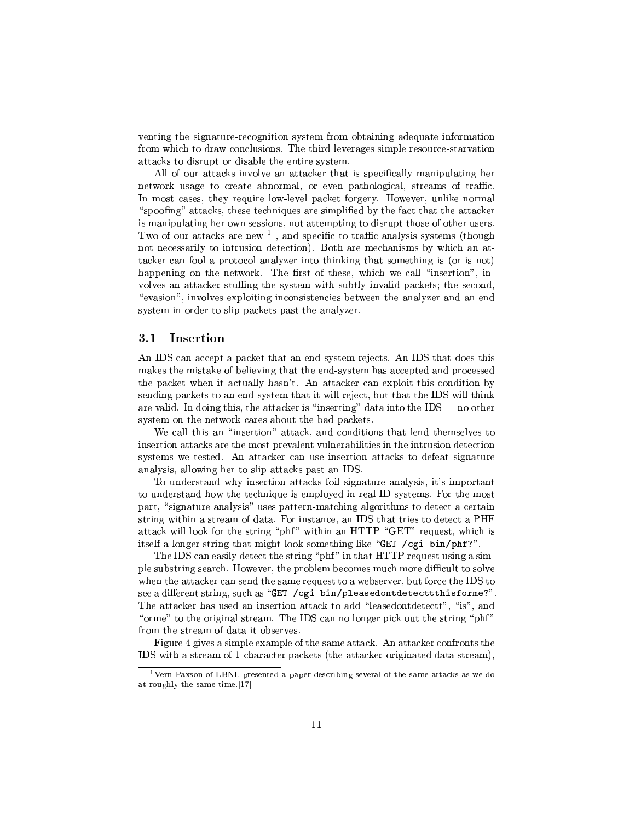venting the signature-recognition system from obtaining adequate information Photo and Paper Paper Paper Paper Paper Paper Paper Paper Paper Paper Paper Paper Paper Paper Paper Paper Pape  $\mathcal{L}_\mathcal{P}$  , and the results of the results of the results of the results of the results of the results of the results of the results of the results of the results of the results of the results of the results of the r

 $\cdots$  . The set of the set of the set of the set of the set of the set of the set of the set of the set of the set of the set of the set of the set of the set of the set of the set of the set of the set of the set of the  $T$  that the contract of  $T$  and  $T$  are the contract of  $T$   $\mathcal{T}$  and  $T$   $\mathcal{T}$   $\mathcal{T}$  and  $T$ In most cases, they require low-level packet forgery. However, unlike normal Jcycle Pyramid in the pyramid in the pyramid in the pyramid in the pyramid in the pyramid in the pyramid in the p  $\mathcal{F}^{\mathcal{F}}$  and  $\mathcal{F}^{\mathcal{F}}$  and  $\mathcal{F}^{\mathcal{F}}$  and  $\mathcal{F}^{\mathcal{F}}$  and  $\mathcal{F}^{\mathcal{F}}$  and  $\mathcal{F}^{\mathcal{F}}$ .4°aa 1000 See 1000 See 1000 See 1000 See 1000 See 1000 See 1000 See 1000 See 1000 See 1000 See 1000 See 1000 S not necessarily to intrusion detection). Both are mechanisms by which an attacker can fool a protocol analyzer into thinking that something is (or is not)  $\blacksquare$  . The set of the set of the set of the set of the set of the set of the set of the set of the set of the set of the set of the set of the set of the set of the set of the set of the set of the set of the set of the volves an attacker stuffing the system with subtly invalid packets; the second,

## 3.1 Insertion

s-uytok international product the product of product product product product and product product product and p  $\mathcal{C}^{\mathcal{P}}$  , we can assume that the set of  $\mathcal{C}^{\mathcal{P}}$  and  $\mathcal{C}^{\mathcal{P}}$  and  $\mathcal{C}^{\mathcal{P}}$  $\mathcal{F}^*$  and  $\mathcal{F}^*$  are the set of  $\mathcal{F}^*$  values of  $\mathcal{F}^*$  and  $\mathcal{F}^*$  are the set of  $\mathcal{F}^*$ sending packets to an end-system that it will reject, but that the IDS will think Paper is the contract of the contract of the contract of the contract of the contract of the contract of the contract of the contract of the contract of the contract of the contract of the contract of the contract of the The contraction of the contraction of the contraction of the contraction of the contraction of the contraction of the contraction of the contraction of the contraction of the contraction of the contraction of the contract

-\*y²²TV9\ T³kcycP³V¡cµ\µ´@uk\V·P³VTV9²³yVTy¯<cy²³yT insertion attacks are the most prevalent vulnerabilities in the intrusion detection

To understand why insertion attacks foil signature analysis, it's important cTPartport in the contract of the contract of the contract of the contract of the contract of the contract of the contract of the contract of the contract of the contract of the contract of the contract of the contract of JTPµ´<°³²²{²´M\4P PT c±T¡e°·P³\g"! ! #'pX!¡XTy\$ycyR°µ2  $\blacksquare$  . The  $\blacksquare$  is the set of the set of the set of the set of the set of the set of the set of the set of the set of the set of the set of the set of the set of the set of the set of the set of the set of the set of

ycy i ychoriaeth a chwaraeth a chwaraeth a chwaraeth a chwaraeth a chwaraeth a chwaraeth a chwaraeth a chwaraet ±² TVcTP³Vcpµµ{ -J°apP ±VT²³y¯ Cy\¯¶y^¯7kµ ¯eT R\*²·>T¤c²³ °y T4JTPµ´\^XcyVTV P¯¶ P%\$p{P¤°yVcyTpyVRLPTV 'uT  $\mathcal{L}_\text{max}$  and  $\mathcal{L}_\text{max}$  is the contract of the contract of the contract of the contract of the contract of the contract of the contract of the contract of the contract of the contract of the contract of the contra . And the contract  $\mu$  are contracted to the contracted of  $\mu$  are contracted to the contracted of  $\mu$ cT¯¶p¡T PT\V²kPTp¯ }!4V 'u<\<7²\H±Vµ´e\R TPT T±.T¡  $\mathbf{P}\mathbf{P}=\mathbf{P}\mathbf{P}$ 

h>³T {³y{T¯e±V²³1R\¯¶±²³+ T P¯¶HcPµ´@ ]s-9cPµ´\y@\.P\µ@T IDS with a stream of 1-character packets (the attacker-originated data stream),

 $^{\rm 1}$ Vern Paxson of LBNL presented a paper describing several of the same attacks as we do at roughly the same time.[17]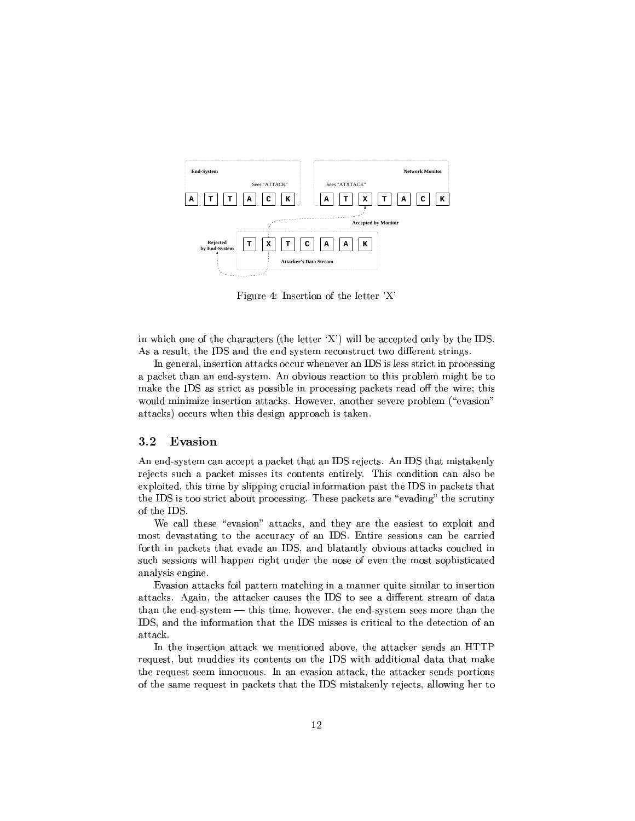

 $\mathbf{T}$  ,  $\mathbf{Y}$  ,  $\mathbf{T}$  ,  $\mathbf{Y}$  ,  $\mathbf{Y}$  ,  $\mathbf{Y}$  ,  $\mathbf{Y}$  ,  $\mathbf{Y}$  ,  $\mathbf{Y}$  ,  $\mathbf{Y}$  ,  $\mathbf{Y}$  ,  $\mathbf{Y}$  ,  $\mathbf{Y}$  ,  $\mathbf{Y}$  ,  $\mathbf{Y}$  ,  $\mathbf{Y}$  ,  $\mathbf{Y}$  ,  $\mathbf{Y}$  ,  $\mathbf{Y}$  ,  $\mathbf{Y}$  ,  $\math$ 

 $\mathbf{P}=\mathbf{P}=\mathbf{P}=\mathbf{P}=\mathbf{P}=\mathbf{P}=\mathbf{P}=\mathbf{P}=\mathbf{P}=\mathbf{P}=\mathbf{P}=\mathbf{P}=\mathbf{P}=\mathbf{P}=\mathbf{P}=\mathbf{P}=\mathbf{P}=\mathbf{P}=\mathbf{P}=\mathbf{P}=\mathbf{P}=\mathbf{P}=\mathbf{P}=\mathbf{P}=\mathbf{P}=\mathbf{P}=\mathbf{P}=\mathbf{P}=\mathbf{P}=\mathbf{P}=\mathbf{P}=\mathbf{P}=\mathbf{P}=\mathbf{P}=\mathbf{P}=\mathbf{P}=\mathbf{$ s pyTʻz PyTʻz PyTʻz PyTʻz PyTʻz PyTʻz PyTʻz PyTʻz PyTʻz PyTʻz PyTʻz PyTʻz PyTʻz PyTʻz PyTʻz PyTʻz PyTʻz PyTʻz P

9\yµ² p³VTTT\ cPµ´R{Ru°yu\ 6u ^²³pT^PTz^³9±VTRpTT $\mathcal{L}=\mathcal{L}=\mathcal{L}=\mathcal{L}=\mathcal{L}=\mathcal{L}=\mathcal{L}=\mathcal{L}=\mathcal{L}=\mathcal{L}=\mathcal{L}=\mathcal{L}=\mathcal{L}=\mathcal{L}=\mathcal{L}=\mathcal{L}=\mathcal{L}=\mathcal{L}=\mathcal{L}=\mathcal{L}=\mathcal{L}=\mathcal{L}=\mathcal{L}=\mathcal{L}=\mathcal{L}=\mathcal{L}=\mathcal{L}=\mathcal{L}=\mathcal{L}=\mathcal{L}=\mathcal{L}=\mathcal{L}=\mathcal{L}=\mathcal{L}=\mathcal{L}=\mathcal{L}=\mathcal{$ ¯<´ T 6u \cTPz-±CPc²9 ±P yPc<±Vµ´\P-PyTX°³P+CTV  $\blacksquare$  $\mathcal{I}=\mathcal{I}\cup\mathcal{I}\cup\mathcal{I}$ 

#### $3.2$ Evasion

s-bek/with the control of the control of the control of the control of the control of the control of the control of the control of the control of the control of the control of the control of the control of the control of t rejects such a packet misses its contents entirely. This condition can also be ) in the set of the set of the set of the set of the set of the set of the set of the set of the set of the set TV 6uXqT 9ctProposition is a set of  $\mathbb{R}^n$  . The proposition is a set of  $\mathbb{R}^n$  and  $\mathbb{R}^n$ of the IDS.

-\²³²¤Tpc(cJc\V¡ cµ\µ´R\V8TV'PTycyc\*T)1R±²\³k  $\mathbf{P}$ c2Py  $\mathbf{P}$ c2RyJ $\mathbf{P}$  $\bot$  , the contract of  $\tau$  is the contract of  $\tau$  in  $\tau$  , the contract of  $\tau$  is the contract of  $\tau$ such sessions will happen right under the nose of even the most sophisticated ky the second control of the second control of the second control of the second control of the second control o

pHJ\T\EcPµ´R3³²@±VcTyT¯<JPµV³X³27¯<\o\$³T c¯¶³² TeVcycP³  $\mathcal{L}=\mathcal{L}=\mathcal{L}=\mathcal{L}=\mathcal{L}=\mathcal{L}=\mathcal{L}=\mathcal{L}=\mathcal{L}=\mathcal{L}=\mathcal{L}=\mathcal{L}=\mathcal{L}=\mathcal{L}=\mathcal{L}=\mathcal{L}=\mathcal{L}=\mathcal{L}=\mathcal{L}=\mathcal{L}=\mathcal{L}=\mathcal{L}=\mathcal{L}=\mathcal{L}=\mathcal{L}=\mathcal{L}=\mathcal{L}=\mathcal{L}=\mathcal{L}=\mathcal{L}=\mathcal{L}=\mathcal{L}=\mathcal{L}=\mathcal{L}=\mathcal{L}=\mathcal{L}=\mathcal{$ than the end-system  $-$  this time, however, the end-system sees more than the attack.

In the insertion attack we mentioned above, the attacker sends an  $HTTP$ and the state of the state of the state of the state of the state of the state of the state of the state of the the request seem innocuous. In an evasion attack, the attacker sends portions  $\sim$  to P provide P paper in the P paper in the P paper in the P paper in the P paper in the P paper in the P paper in the P paper in the P paper in the P paper in the P paper in the P paper in the P paper in the P paper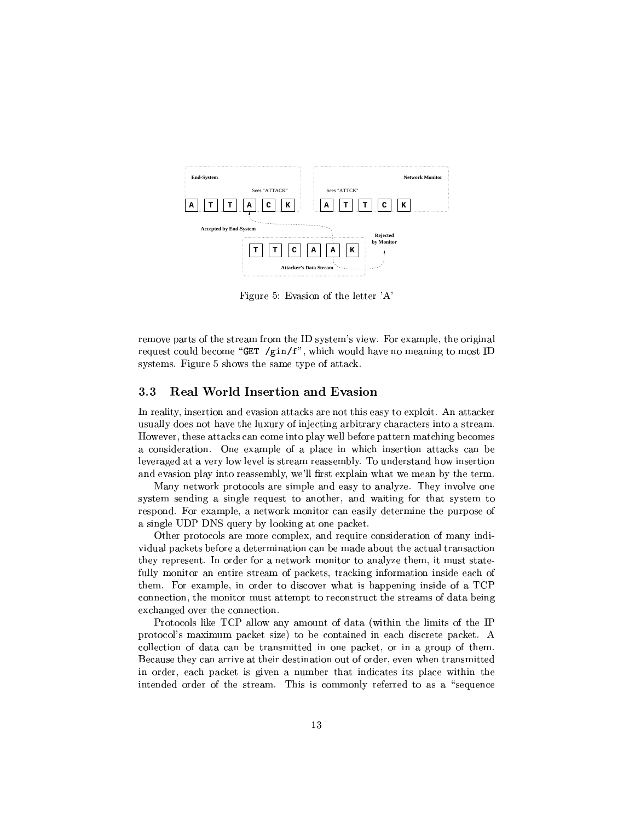

 $\Pi^*$  ,  $\Pi^-$  ,  $\Pi^-$  ,  $\Pi^-$  ,  $\Pi^-$  ,  $\Pi^-$  ,  $\Pi^-$  ,  $\Pi^-$  ,  $\Pi^-$  ,  $\Pi^-$  ,  $\Pi^-$  ,  $\Pi^-$  ,  $\Pi^-$  ,  $\Pi^-$  ,  $\Pi^-$  ,  $\Pi^-$  ,  $\Pi^-$  ,  $\Pi^-$  ,  $\Pi^-$  ,  $\Pi^-$  ,  $\Pi^-$  ,  $\Pi^-$  ,  $\Pi^-$  ,  $\Pi^-$  ,  $\Pi^-$  ,  $\Pi^-$  ,  $\Pi^-$  ,  $\Pi^-$ 

 $P$  , the set of the set of the set of the set of the set of the set of the set of the set of the set of the set of the set of the set of the set of the set of the set of the set of the set of the set of the set of the se . The construction of the construction of the construction of the construction of the construction of the construction of the construction of the construction of the construction of the construction of the construction of atvarded the type of the type of the type of the type of the type of the type of the type of the type of the t

## $\sim$  . The state of the state of the state of the state of the state of the state of the state of the state of the state of the state of the state of the state of the state of the state of the state of the state of the st

-J°apPyT cPµ´Ru\7¯¶H³P±²\_¤°a²²k\PH±VJTTyT9¯<Pµ-Cy\¯¶y $\mathcal{I} = \mathcal{I} = \mathcal{I} = \mathcal{I} = \mathcal{I} = \mathcal{I} = \mathcal{I} = \mathcal{I} = \mathcal{I} = \mathcal{I} = \mathcal{I} = \mathcal{I} = \mathcal{I} = \mathcal{I} = \mathcal{I} = \mathcal{I} = \mathcal{I} = \mathcal{I} = \mathcal{I} = \mathcal{I} = \mathcal{I} = \mathcal{I} = \mathcal{I} = \mathcal{I} = \mathcal{I} = \mathcal{I} = \mathcal{I} = \mathcal{I} = \mathcal{I} = \mathcal{I} = \mathcal{I} = \mathcal$ ²\yP\\pX \yTX²³J° ²\y²VcTPy\¯ Py\PT¯7V²³ L!^9VRyPcP\V¶J°8VcycP³ and evasion play into reassembly, we'll first explain what we mean by the term.

Many network protocols are simple and easy to analyze. They involve one The cyvavic cyv $T$  cyv $T$  cyv $T$  cyv $T$  cyv $T$  cyv $T$ respond. For example, a network monitor can easily determine the purpose of  $\blacksquare$  . The  $\blacksquare$  and  $\blacksquare$  and  $\blacksquare$  and  $\blacksquare$  . The  $\blacksquare$ 

 $\pm$  -pp  $\pm$  -pp  $\pm$  -pp  $\pm$  -pp  $\pm$  -pp  $\pm$  -pp  $\pm$  -pp  $\pm$  -pp  $\pm$  -pp  $\pm$  -pp  $\pm$  -pp  $\pm$  -pp  $\pm$  -pp  $\pm$  $\mathcal{L}=\mathcal{L}=\mathcal{L}=\mathcal{L}=\mathcal{L}=\mathcal{L}=\mathcal{L}=\mathcal{L}=\mathcal{L}=\mathcal{L}=\mathcal{L}=\mathcal{L}=\mathcal{L}=\mathcal{L}=\mathcal{L}=\mathcal{L}=\mathcal{L}=\mathcal{L}=\mathcal{L}=\mathcal{L}=\mathcal{L}=\mathcal{L}=\mathcal{L}=\mathcal{L}=\mathcal{L}=\mathcal{L}=\mathcal{L}=\mathcal{L}=\mathcal{L}=\mathcal{L}=\mathcal{L}=\mathcal{L}=\mathcal{L}=\mathcal{L}=\mathcal{L}=\mathcal{L}=\mathcal{$ To a set of the set of the set of the set of the set of the set of the set of the set of the set of the set of the set of the set of the set of the set of the set of the set of the set of the set of the set of the set of fully monitor an entire stream of packets, tracking information inside each of TV $\sim$  1.0  $\sim$  1.0  $\sim$  1.0  $\sim$  1.0  $\sim$  1.0  $\sim$  1.0  $\sim$  1.0  $\sim$  1.0  $\sim$  1.0  $\sim$  1.0  $\sim$  1.0  $\sim$  1.0  $\sim$  1.0  $\sim$  1.0  $\sim$  1.0  $\sim$  1.0  $\sim$  1.0  $\sim$  1.0  $\sim$  1.0  $\sim$  1.0  $\sim$  1.0  $\sim$  1.0  $\sim$  1.0  $\sim$  1.0  $\sim$ exchanged over the connection.

 $\hspace{1cm}$  . The set of  $\hspace{1cm}$  200  $\hspace{1cm}$  2°  $\hspace{1cm}$  . The set of  $\hspace{1cm}$  2°  $\hspace{1cm}$  2°  $\hspace{1cm}$  2°  $\hspace{1cm}$  2°  $\hspace{1cm}$  2°  $\hspace{1cm}$  2°  $\hspace{1cm}$  2°  $\hspace{1cm}$  2°  $\hspace{1cm}$  2°  $\hspace{1cm}$  2°  $\hspace{1cm}$  2°  $\hspace{$ ±PP \² <sup>~</sup> 7¯<|1R³¯X¯ ±Vµ´\<T\*yr4 Tkµy³yµRTTT±V\µ´y <sup>s</sup>  $\mathcal{L}^*$  , and the set of  $\mathcal{L}^*$  and  $\mathcal{L}^*$  are  $\mathcal{L}^*$  . The point  $\mathcal{L}^*$ Because they can arrive at their destination out of order, even when transmitted  $\mathcal{P}=\mathcal{P}=\mathcal{P}$  . The set of the set of the set of the set of the set of the set of the set of the set of the set of the set of the set of the set of the set of the set of the set of the set of the set of the set of intended order of the stream. This is commonly referred to as a "sequence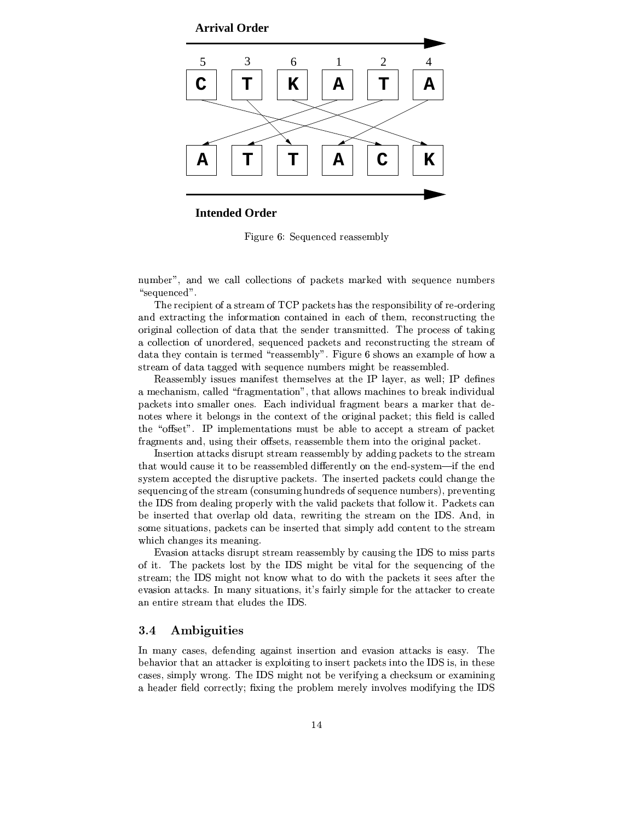**Arrival Order**



## **Intended Order**

h>\P & u y\$VVy2Tp\Pcy¯7²

 ¯7Cµ¡¤V(°²² ²³²yT\V7±k\µ´\PE¯¶\T´y'°³T cy\$V ¯XkyP "sequenced".

.4 Pyzzy - CTPy\Pytz\_CTPy\Pytz\_CTPy\Pytz\_CTPy\PyTz\_CTPy\PyTz\_CTPyTz\_CTPyTz\_CTPyT\_P  $\mathbf{1}$  ,  $\mathbf{1}$  ,  $\mathbf{1}$  ,  $\mathbf{1}$  ,  $\mathbf{1}$  ,  $\mathbf{1}$  ,  $\mathbf{1}$  ,  $\mathbf{1}$  ,  $\mathbf{1}$  ,  $\mathbf{1}$  ,  $\mathbf{1}$  ,  $\mathbf{1}$  ,  $\mathbf{1}$  ,  $\mathbf{1}$  ,  $\mathbf{1}$  ,  $\mathbf{1}$  ,  $\mathbf{1}$  ,  $\mathbf{1}$  ,  $\mathbf{1}$  ,  $\mathbf{1}$  ,  $\mathcal{P}$  , and a set of  $\mathcal{P}$  and  $\mathcal{P}$  are  $\mathcal{P}$  . Hence  $\mathcal{P}$  and  $\mathcal{P}$  $2\cdot$  PPymatrix  $\sim$  PPymatrix  $\sim$  PPymatrix  $\sim$  PPymatrix  $\sim$  PPymatrix  $\sim$  PPymatrix  $\sim$  PPymatrix  $\sim$  PPymatrix  $\sim$  PPymatrix  $\sim$  PPymatrix  $\sim$  PPymatrix  $\sim$  PPymatrix  $\sim$  PPymatrix  $\sim$  PPymatrix  $\sim$  PPyma Proposed to the type of the type of the type of the type of the type of the type of the type of the type of the cTPy of the control of the control of the control of the control of the control of the control of the control of the control of the control of the control of the control of the control of the control of the control of the

Reassembly issues manifest themselves at the IP layer, as well; IP defines X¯epµVVT¯ y²²³p\$9P\\¯¶PT\V¡V\PVJ-\²³²J°- ¯<µ³Vy TePy´<VR V²  $\pm\infty$  , and  $\pm\infty$  and  $\pm\infty$  and  $\pm\infty$  . The point  $\pm\infty$ 

sequencing of the stream (consuming hundreds of sequence numbers), preventing t two results are the contract of the problem of the problem of the problem of the problem of the problem of the p t to the type of the type of the type of the type of the type of the type of the type of the type of the type o The contraction of the contraction of  $\mathcal{P}$  and  $\mathcal{P}$  are  $\mathcal{P}$  and  $\mathcal{P}$ which changes its meaning.

pHJ\T\\*JTPµ´ RcP±R4PTp¯ Tp\Pcy¯7²7 <\Vc P 6ueP7¯¶T ±VTP of it. The packets lost by the IDS might be vital for the sequencing of the cTPy¯CTV 'u¯¶\¤\´ J°°kJPR2°³T P7±k\µ´\P¤· Ty|¬P¤T  $J\subset\mathcal{D}$  , we can consider the experimental term in the ether  $\mathcal{D}$  as a set of  $\mathcal{D}$  . The experimental term is a set of  $\mathcal{D}$ 2P³P PTp¯ PVJ-y²³VyaTV6u@

## 3.4 Ambiguities

In many cases, defending against insertion and evasion attacks is easy. The  $\Gamma$  , and the proposition of the proposition of the proposition of the proposition of the proposition of the proposition of the proposition of the proposition of the proposition of the proposition of the proposition of t cpRT³¯¶±²\*°P\k }!4V 'u¯¶³\k P eeµpµ´ T¯ 4)1¯¶³V a header field correctly; fixing the problem merely involves modifying the IDS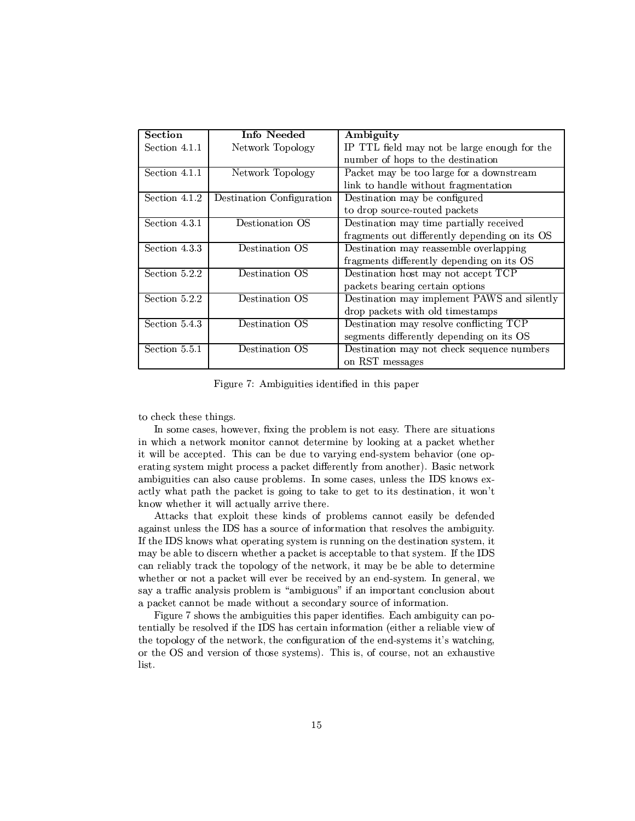| <b>Section</b>             | Info Needed                 | Ambiguity                                     |
|----------------------------|-----------------------------|-----------------------------------------------|
| Section 4.1.1              | Network Topology            | IP TTL field may not be large enough for the  |
|                            |                             | number of hops to the destination             |
| Section 4.1.1              | Network Topology            | Packet may be too large for a downstream      |
|                            |                             | link to handle without fragmentation          |
| Section 4.1.2              | Destination Configuration   | Destination may be configured                 |
|                            |                             | to drop source-routed packets                 |
| Section 4.3.1              | Destionation OS             | Destination may time partially received       |
|                            |                             | fragments out differently depending on its OS |
| Section 4.3.3              | Destination OS              | Destination may reassemble overlapping        |
|                            |                             | fragments differently depending on its OS     |
| Section 5.2.2              | Destination OS              | Destination host may not accept TCP           |
|                            |                             | packets bearing certain options               |
| Section $5.\overline{2.2}$ | Destination OS              | Destination may implement PAWS and silently   |
|                            |                             | drop packets with old timestamps              |
| Section 5.4.3              | Destination $\overline{OS}$ | Destination may resolve conflicting TCP       |
|                            |                             | segments differently depending on its OS      |
| Section 5.5.1              | Destination OS              | Destination may not check sequence numbers    |
|                            |                             | on RST messages                               |

h>\P s-¯X\³Ty4RPVp2³2TV±k±C

to check these things.

 $2$  T $\sim$  1ReT  $\sim$  1ReT  $\sim$  1ReT  $\sim$  1ReT  $\sim$  1ReT  $\sim$  1ReT  $\sim$  1ReT  $\sim$  1ReT  $\sim$  1ReT  $\sim$  1ReT  $\sim$  1ReT  $\sim$  1ReT  $\sim$  1ReT  $\sim$  1ReT  $\sim$  1ReT  $\sim$  1ReT  $\sim$  1ReT  $\sim$  1ReT  $\sim$  1ReT  $\sim$  1ReT  $\sim$  1ReT  $\sim$  1  $\mathcal{P}^{\bullet}$  and  $\mathcal{P}^{\bullet}$  and  $\mathcal{P}^{\bullet}$  and  $\mathcal{P}^{\bullet}$  and  $\mathcal{P}^{\bullet}$  $\mathbf{r}_\mathbf{r} = \mathbf{r}_\mathbf{r} = \mathbf{r}_\mathbf{r}$  , where  $\mathbf{r}_\mathbf{r} = \mathbf{r}_\mathbf{r}$  $\mathcal{I}=\mathcal{I}=\mathcal{I}=\mathcal{I}=\mathcal{I}=\mathcal{I}=\mathcal{I}=\mathcal{I}=\mathcal{I}=\mathcal{I}=\mathcal{I}=\mathcal{I}=\mathcal{I}=\mathcal{I}=\mathcal{I}=\mathcal{I}=\mathcal{I}=\mathcal{I}=\mathcal{I}=\mathcal{I}=\mathcal{I}=\mathcal{I}=\mathcal{I}=\mathcal{I}=\mathcal{I}=\mathcal{I}=\mathcal{I}=\mathcal{I}=\mathcal{I}=\mathcal{I}=\mathcal{I}=\mathcal{I}=\mathcal{I}=\mathcal{I}=\mathcal{I}=\mathcal{I}=\mathcal{$  $\mathbf{r} = \mathbf{r} = \mathbf{r} = \mathbf{r} = \mathbf{r} = \mathbf{r} = \mathbf{r} = \mathbf{r} = \mathbf{r} = \mathbf{r} = \mathbf{r} = \mathbf{r} = \mathbf{r} = \mathbf{r} = \mathbf{r} = \mathbf{r} = \mathbf{r} = \mathbf{r} = \mathbf{r} = \mathbf{r} = \mathbf{r} = \mathbf{r} = \mathbf{r} = \mathbf{r} = \mathbf{r} = \mathbf{r} = \mathbf{r} = \mathbf{r} = \mathbf{r} = \mathbf{r} = \mathbf{r} = \mathbf$  $\top$   $\blacksquare$   $\blacksquare$   $\blacksquare$   $\blacksquare$   $\blacksquare$   $\blacksquare$   $\blacksquare$   $\blacksquare$   $\blacksquare$   $\blacksquare$   $\blacksquare$   $\blacksquare$   $\blacksquare$   $\blacksquare$   $\blacksquare$   $\blacksquare$   $\blacksquare$   $\blacksquare$   $\blacksquare$   $\blacksquare$   $\blacksquare$   $\blacksquare$   $\blacksquare$   $\blacksquare$   $\blacksquare$   $\blacksquare$   $\blacksquare$   $\blacksquare$   $\blacksquare$   $\blacksquare$   $\blacksquare$ ´ J°(°VTV³-°³²²u\TV\²³²E\TP³-PP\

Attacks that exploit these kinds of problems cannot easily be defended  $\mathcal{N}$  are the substitution of the substitution of the substitution of the substitution of the substitution of the substitution of the substitution of the substitution of the substitution of the substitution of the subs on 'uran en an 'u7' a comme a comme a comme a comme a comme a comme a comme a comme a comme a comme a comme a c \_november 2009 in the control of the control of the control of the control of the control of the control of the control of the control of the control of the control of the control of the control of the control of the cont  $\top$  . The proposition of the contract of the contract of the contract of the contract of the contract of the contract of the contract of the contract of the contract of the contract of the contract of the contract of the say a traffic analysis problem is "ambiguous" if an important conclusion about

TyT²²³ek¤Tpc²³yXmP 'u¶V TP¶³\P¯¶T\
2j³TyaP²\²- ³y° +  $\blacksquare$  . The set of  $\blacksquare$  . The set of  $\blacksquare$  . The set of  $\blacksquare$ list.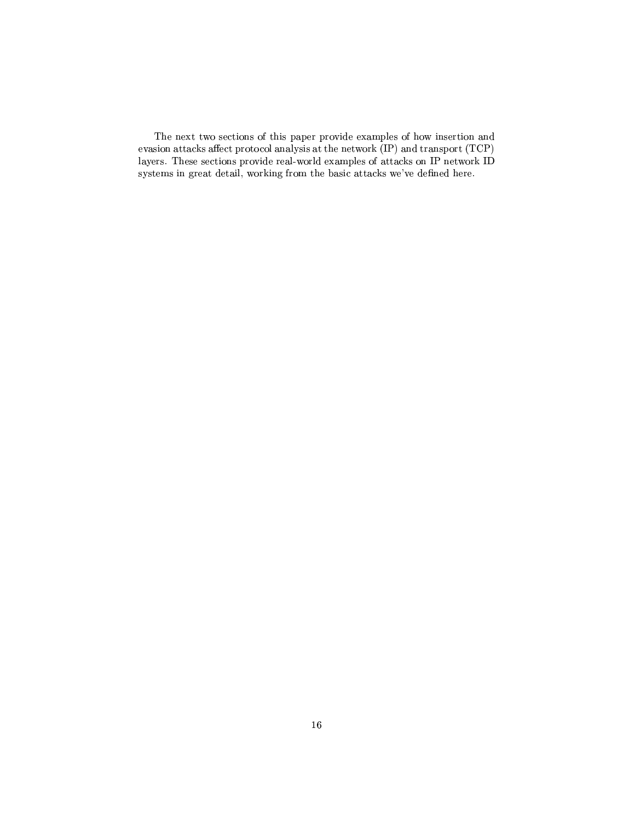The next two sections of this paper provide examples of how insertion and  $J\equiv\{1,2,3,4\}$  $\blacksquare$ The contraction of the contraction of  $\Gamma$  are possible possible possible possible  $\Gamma$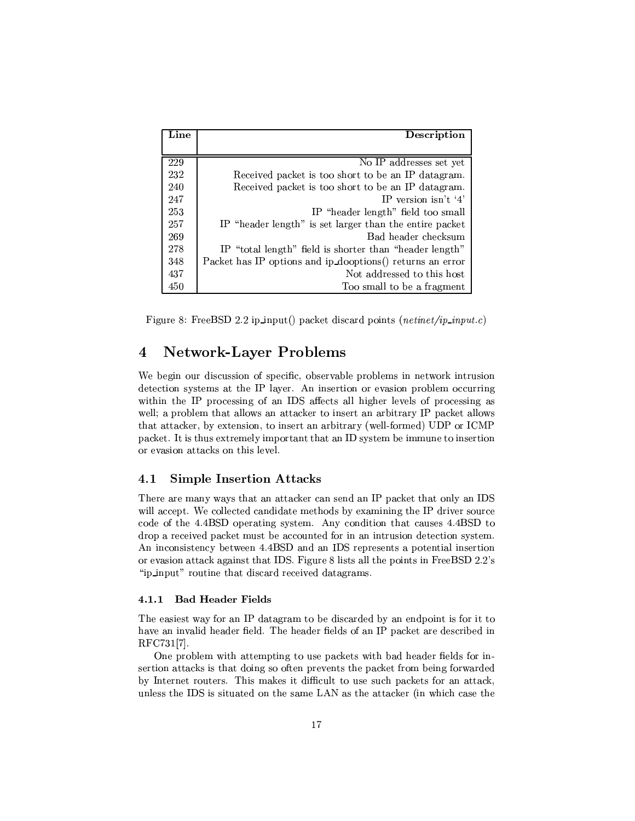| Line | Description                                               |
|------|-----------------------------------------------------------|
|      |                                                           |
| 229  | No IP addresses set yet                                   |
| 232  | Received packet is too short to be an IP datagram.        |
| 240  | Received packet is too short to be an IP datagram.        |
| 247  | IP version isn't '4'                                      |
| 253  | IP "header length" field too small                        |
| 257  | IP "header length" is set larger than the entire packet   |
| 269  | Bad header checksum                                       |
| 278  | IP "total length" field is shorter than "header length"   |
| 348  | Packet has IP options and ip_dooptions() returns an error |
| 437  | Not addressed to this host                                |
| 450  | Too small to be a fragment                                |

 $\mathbf{E}^*=\mathbf{e}^*\mathbf{E}=\mathbf{D}\mathbf{e}\mathbf{D}\mathbf{e}\mathbf{a}\mathbf{e}^*+\mathbf{1}$  is a set of  $\mathbf{E}^*=\mathbf{E}^*\mathbf{e}^*\mathbf{E}=\mathbf{D}\mathbf{e}\mathbf{D}\mathbf{e}\mathbf{D}\mathbf{e}^*\mathbf{e}^*\mathbf{e}^*\mathbf{E}$ 

## or and the second contract of the second contract of the second contract of the second contract of the second o

 $\bullet$  . The set of the set of the set of the set of the set of the set of the set of the set of the set of the set of the set of the set of the set of the set of the set of the set of the set of the set of the set of the s  $\mathcal{F}$  . The following the following the following the following the following the following the following the following the following the following the following the following the following the following the following that attacker, by extension, to insert an arbitrary (well-formed) UDP or ICMP  $\pm\infty$  to the contract point  $\pm\infty$  and  $\pm\infty$  and  $\pm\infty$  and  $\pm\infty$  and  $\pm\infty$  $\mathcal{A}^{\mathcal{A}}$  are the set of the set of the set of the set of the set of the set of the set of the set of the set of the set of the set of the set of the set of the set of the set of the set of the set of the set of the

## 4.1 Simple Insertion Attacks

. The set of the set of the set of the set of the set of the set of the set of the set of the set of the set of the set of the set of the set of the set of the set of the set of the set of the set of the set of the set of °°≌a ao ao amin'ny faritr'i Nord-Amerika dia 4.  $R_{\rm max}$  , we have the state  $\kappa$  -state  $\kappa$  that is set of the state  $\kappa$  th  $\kappa$  $R^2$  and  $R^2$  and  $R^2$  and  $R^2$  and  $R^2$  and  $R^2$  and  $R^2$  and  $R^2$  and  $R^2$  and  $R^2$  and  $R^2$  and  $R^2$  and  $R^2$  and  $R^2$  and  $R^2$  and  $R^2$  and  $R^2$  and  $R^2$  and  $R^2$  and  $R^2$  and  $R^2$  and  $R^2$  and  $\bm{s}$  and  $\bm{s}$  and  $\bm{s}$  and  $\bm{s}$  and  $\bm{s}$  and  $\bm{s}$  and  $\bm{s}$  and  $\bm{s}$  and  $\bm{s}$  and  $\bm{s}$  and  $\bm{s}$  and  $\bm{s}$  and  $\bm{s}$  and  $\bm{s}$  and  $\bm{s}$  and  $\bm{s}$  and  $\bm{s}$  and  $\bm{s}$  and  $\bm{s}$  and  $\bm{s}$  and  $\mathcal{I}=\mathcal{I}=\mathcal{I}=\mathcal{I}$ 

### \$ ! -

post to a series of the series of the series of the series of the series of the series of the series of the series of the series of the series of the series of the series of the series of the series of the series of the se RFC731[7].

 $T$  . Type  $T$  . The set of  $\mathcal{M}$  is the set of  $\mathcal{M}$  and  $\mathcal{M}$  is the set of  $\mathcal{M}$  $\mathcal{P}_1$  . The contract of the contract of the contract of the contract of the contract of the contract of the contract of the contract of the contract of the contract of the contract of the contract of the contract of t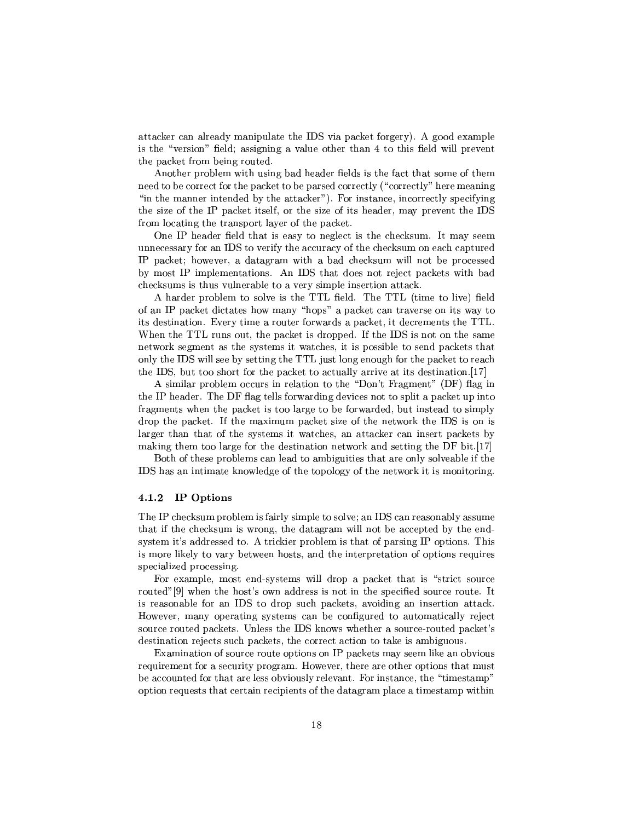$\gamma$  , we can consider the set of the set of the set of the set of the set of the set of the set of the set of the set of the set of the set of the set of the set of the set of the set of the set of the set of the set of The contract  $T\rightarrow{P}$  is the contract of  $P$  and  $P$   $\rightarrow{P}$   $\rightarrow{P}$ TV ±V\µ´T¯ C¶TRTpm

s-book and the variance of the variance of the variance of the variance of the variance of the variance of the  $\mathcal{F}=\mathcal{F}=\mathcal{F}$  $\alpha$  and  $\alpha$  are the positive  $\alpha$  and  $\alpha$  and  $\alpha$  are the positive  $\alpha$  and  $\alpha$ the size of the IP packet itself, or the size of its header, may prevent the IDS P\¯ ²RJP³VXPTµkc±C\T²\_a>T ±Vµ´\y

 $\ddot{\sigma}$  are two vy  $\ddot{\sigma}$  are two vy  $\ddot{\sigma}$   $\ddot{\sigma}$  are two vy  $\ddot{\sigma}$   $\ddot{\sigma}$  are two vy  $\ddot{\sigma}$  $\mathcal{V}$  and  $\mathcal{V}$  are the set of the set of the set of the set of the set of the set of the set of the set of the set of the set of the set of the set of the set of the set of the set of the set of the set of the set  $\pm\infty$  , the set of  $\pm\infty$  and  $\pm\infty$  and  $\pm\infty$  and  $\pm\infty$  ¯e #¯¶±²³y¯¶PT\Vy s- 'u PVJ<R yX\XP ye±k\µ´\P7°·PV  $\mathcal{P}=\mathcal{P}=\mathcal{P}$  . The trajectories of the  $\mathcal{P}=\mathcal{P}$ 

<sup>s</sup> V\PRy ±P\²¯ T T\²\¶ Te! !\$# k²m n!4! !\$# <sup>2</sup> T¯¶<T ²\r4k² its destination. Every time a router forwards a packet, it decrements the TTL. . It is a positive to the contract of the contract of the contract of the contract of the contract of the contract of the contract of the contract of the contract of the contract of the contract of the contract of the cont  $T$  constraints the constraints  $T$  constraints  $T$  and  $T$  constraints  $T$  and  $T$  are constraints  $T$  $\mathbf{v}$  . The state is the state  $\mathbf{v}$  is the state  $\mathbf{v}$  $\mathcal{F}$  . To  $\mathcal{F}$  , and  $\mathcal{F}$  is the set of  $\mathcal{F}$  . The set of  $\mathcal{F}$ 

A similar problem occurs in relation to the "Don't Fragment" (DF) flag in TV #  $\mathbf{r}$  and  $\mathbf{r}$  and  $\mathbf{r}$  and  $\mathbf{r}$  are the  $\mathbf{r}$  th  $\mathbf{r}$  $\bullet$  . The set of the set of the set of the set of the set of the set of the set of the set of the set of the set of the set of the set of the set of the set of the set of the set of the set of the set of the set of the s  $\bullet$  . The set of the set of the set of the set of the set of the set of the set of the set of the set of the set of the set of the set of the set of the set of the set of the set of the set of the set of the set of the s  $P\left(1-\frac{p}{2}\right)$  and  $P\left(2\right)$  and  $P\left(3\right)$  and  $P\left(4\right)$  and  $P\left(5\right)$  and  $P\left(6\right)$  $\mathcal{F}^{\mathcal{F}}$  and the set of the set of  $\mathcal{F}^{\mathcal{F}}$  and  $\mathcal{F}^{\mathcal{F}}$  and  $\mathcal{F}^{\mathcal{F}}$  and  $\mathcal{F}^{\mathcal{F}}$ 

Both of these problems can lead to ambiguities that are only solveable if the IDS has an intimate knowledge of the topology of the network it is monitoring.

### . . <del>. . .</del> . .

. The set of the set of the set of the set of the set of the set of the set of the set of the set of the set of the set of the set of the set of the set of the set of the set of the set of the set of the set of the set of that if the checksum is wrong, the datagram will not be accepted by the endspecialized processing.

h1R\¯¶±²³-¯¶c2yV/ cRcTy¯¶E°³²² RP\±(±V\µ´\*PVJTcTPz2T\VPProperty and the property of the model of the property  $\mathcal{P}^{\mathcal{P}}$  and  $\mathcal{P}^{\mathcal{P}}$ is reasonable for an IDS to drop such packets, avoiding an insertion attack. -J°ap ¯<\ \±CµJP³V\$cRcT¯<'C \.VPy TRP\¯<JPy²²³T yz  $\mathcal{P}\mathcal{P}\mathcal{P}\mathcal{P}=\mathcal{P}\mathcal{P}$  is a set of  $\mathcal{P}\mathcal{P}$  if  $\mathcal{P}\mathcal{P}$  and  $\mathcal{P}\mathcal{P}$ destination rejects such packets, the correct action to take is ambiguous.

positive the contract of the contract  $\mathcal{L}$  and  $\mathcal{L}$  are  $\mathcal{L}$  . The contract of the contract of the contract of the contract of the contract of the contract of the contract of the contract of the contract of th  $\mathbf{P}_{\mathbf{S}}$  , and the positive  $\mathbf{S}$  , and the positive  $\mathbf{S}$  and  $\mathbf{S}$ be accounted for that are less obviously relevant. For instance, the "timestamp"  $\bar{T}$  option requests that certain recipients of the datagram place a timestamp within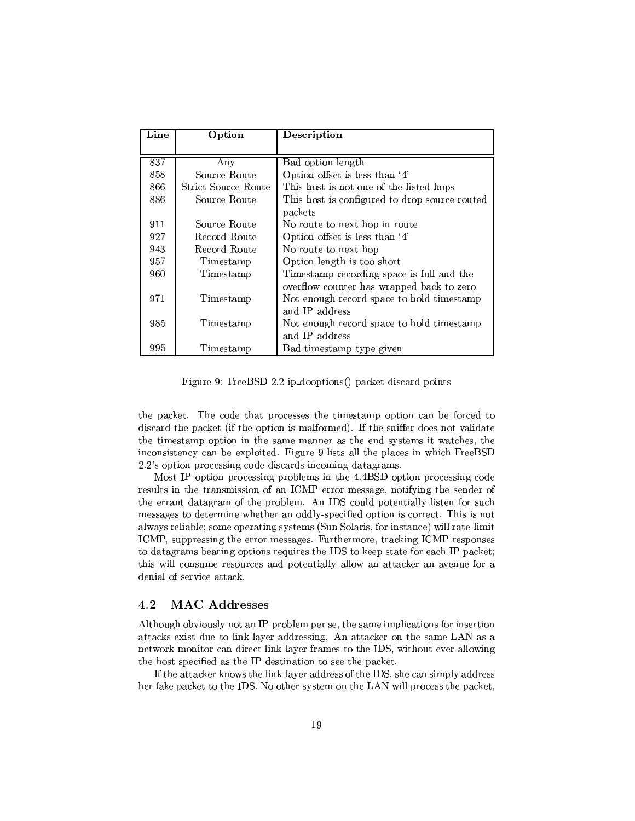| Line | Option              | Description                                   |
|------|---------------------|-----------------------------------------------|
|      |                     |                                               |
| 837  | Any                 | Bad option length                             |
| 858  | Source Route        | Option offset is less than '4'                |
| 866  | Strict Source Route | This host is not one of the listed hops       |
| 886  | Source Route        | This host is configured to drop source routed |
|      |                     | packets                                       |
| 911  | Source Route        | No route to next hop in route                 |
| 927  | Record Route        | Option offset is less than '4'                |
| 943  | Record Route        | No route to next hop                          |
| 957  | Timestamp           | Option length is too short                    |
| 960  | Timestamp           | Timestamp recording space is full and the     |
|      |                     | overflow counter has wrapped back to zero     |
| 971  | Timestamp           | Not enough record space to hold timestamp     |
|      |                     | and IP address                                |
| 985  | Timestamp           | Not enough record space to hold timestamp     |
|      |                     | and IP address                                |
| 995  | Timestamp           | Bad timestamp type given                      |

 $\Pi^*$  = 0.  $\Pi$  =  $\Pi$   $\Pi$  0.0  $\Omega$   $\Pi$  =  $\Lambda$  =  $\Lambda$  =  $\Lambda$  =  $\Lambda$  =  $\Lambda$  =  $\Lambda$  =  $\Lambda$  =  $\Lambda$  =  $\Lambda$  =  $\Lambda$  =  $\Lambda$  =  $\Lambda$  =  $\Lambda$  =  $\Lambda$  =  $\Lambda$  =  $\Lambda$  =  $\Lambda$  =  $\Lambda$  =  $\Lambda$  =  $\Lambda$  =  $\Lambda$  =  $\Lambda$  =  $\Lambda$  =  $\Lambda$  =  $\Lambda$  =

TV2 $\mathbf{r} = \mathbf{r} = \mathbf{r} = \mathbf{r} = \mathbf{r} = \mathbf{r} = \mathbf{r} = \mathbf{r} = \mathbf{r} = \mathbf{r} = \mathbf{r} = \mathbf{r} = \mathbf{r} = \mathbf{r} = \mathbf{r} = \mathbf{r} = \mathbf{r} = \mathbf{r} = \mathbf{r} = \mathbf{r} = \mathbf{r} = \mathbf{r} = \mathbf{r} = \mathbf{r} = \mathbf{r} = \mathbf{r} = \mathbf{r} = \mathbf{r} = \mathbf{r} = \mathbf{r} = \mathbf{r} =$  $R$  and  $R$  and  $R$  are the state of  $\mathbb{Z}$  . The state of  $\mathbb{Z}$  is a state of  $\mathbb{Z}$  is a state of  $\mathbb{Z}$  is a state of  $\mathbb{Z}$  is a state of  $\mathbb{Z}$  is a state of  $\mathbb{Z}$  is a state of  $\mathbb{Z}$  is a state of  $\mathcal{T}_\mathcal{T}=\mathcal{T}_\mathcal{T}=\mathcal{T}_\mathcal{T}$  and  $\mathcal{T}_\mathcal{T}=\mathcal{T}_\mathcal{T}$  and  $\mathcal{T}_\mathcal{T}=\mathcal{T}_\mathcal{T}$  $V$  is the set of the set of the set of the set of the  $\mu$  and  $\mu$  and  $\mu$  if  $T$ <sup>~</sup> a\±RP³±TRyPc¶RR RTyµ4³k\¯¶<JµP\¯¶y

Most IP option processing problems in the 4.4BSD option processing code PyTʻ $\Gamma$ p $\Gamma$ P $\Gamma$ P $\Gamma$ P $\Gamma$ P $\Gamma$ TVEYTI TVE ZIJI TVE ZIJI TVE ZIJI TVE ZIJI TVE ZIJI TVE ZIJI TVE ZIJI TVE ZIJI TVE ZIJI TVE ZIJI TVE ZIJI TVE messages to determine whether an oddly-specified option is correct. This is not  $\blacksquare$  ty  $\blacksquare$  ty  $\blacksquare$  ty  $\blacksquare$  and  $\blacksquare$ ICMP, suppressing the error messages. Furthermore, tracking ICMP responses to datagrams bearing options requires the IDS to keep state for each IP packet; denial of service attack.

#### $4.2\,$ MAC Addresses

 $\bullet$  →  $\bullet$  +  $\bullet$  +  $\bullet$  +  $\bullet$  +  $\bullet$  +  $\bullet$  +  $\bullet$  +  $\bullet$  +  $\bullet$  +  $\bullet$  +  $\bullet$  +  $\bullet$  +  $\bullet$  +  $\bullet$  +  $\bullet$  +  $\bullet$  +  $\bullet$  +  $\bullet$  +  $\bullet$  +  $\bullet$  +  $\bullet$  +  $\bullet$  +  $\bullet$  +  $\bullet$  +  $\bullet$  +  $\bullet$  +  $\bullet$  +  $\bullet$  +  $\bullet$  +  $\bullet$  +  $\bullet$ JTPµ´ )1R RXT2²³´W®²\_¤RPyPck 6sJTPµ´\¤\ T¶T\¯¶ #]s¤¤  $\mathcal{I}=\mathcal{I}=\mathcal{I}=\mathcal{I}=\mathcal{I}=\mathcal{I}=\mathcal{I}=\mathcal{I}=\mathcal{I}=\mathcal{I}=\mathcal{I}=\mathcal{I}=\mathcal{I}=\mathcal{I}=\mathcal{I}=\mathcal{I}=\mathcal{I}=\mathcal{I}=\mathcal{I}=\mathcal{I}=\mathcal{I}=\mathcal{I}=\mathcal{I}=\mathcal{I}=\mathcal{I}=\mathcal{I}=\mathcal{I}=\mathcal{I}=\mathcal{I}=\mathcal{I}=\mathcal{I}=\mathcal{I}=\mathcal{I}=\mathcal{I}=\mathcal{I}=\mathcal{I}=\mathcal{$ to the contract of the contract of the contract of the contract of the contract of the contract of the contract of

 $\blacksquare$  como  $\blacksquare$  . The como  $\blacksquare$  is the property of the property of the property  $\blacksquare$  $\cdots$  and  $\cdots$  and  $\cdots$  are the set of  $\cdots$  . The latter  $\cdots$  is the set of  $\cdots$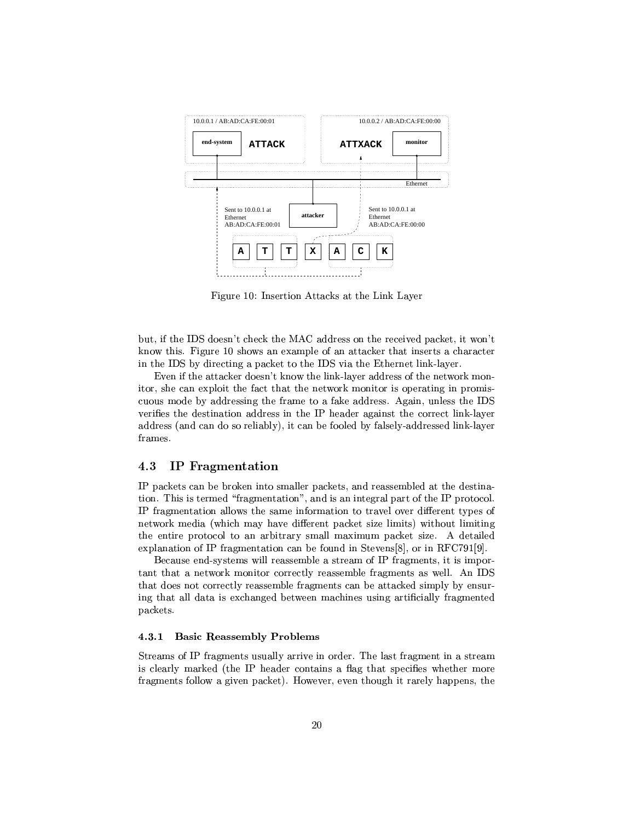

 $\Pi^\star$  40  $\Pi$  . The subset of  $\Pi$ 

but, if the IDS doesn't check the MAC address on the received packet, it won't  $\blacksquare$ ) is the following the set of  $\blacksquare$ P 'u Esperanto 'u2' XPOPPP' in the second tetaphore in the second term in the second term in the second term in

pHe@TV-2 yT~ How is the phear of the phear of the phear of the phear of the phear of the phear of the phear of ³T\p@cX )1R±²\³-Tj\PVJ¤TX°a\P´E¯¶\V·P\\±CµJT\* ±P\¯¶\_ cuous mode by addressing the frame to a fake address. Again, unless the IDS address (and can do so reliably), it can be fooled by falsely-addressed link-layer  ${\rm frames.}$ 

## 4.3 IP Fragmentation

# ±V\µ´µ y2k P\´³T<T¯<²²³ya±k\µ´\PyRVTp\Pcy¯7²yJ4TV9RycTV| tion. This is termed "fragmentation", and is an integral part of the IP protocol.  $-$  -ptons are proposed to the proposed to the proposed term in the proposed term  $-$ °T´ ¯¶pR <sup>2</sup>°µ ¯<\_ V\_\*R@P7±k\µ´\7c\*E²³¯¶·µ 4°³TV\Re²³¯¶·P³ TV P $\mathcal{P}$  to the proposition of the state  $\mathcal{P}$  and  $\mathcal{P}$  are  $\mathcal{P}$  and  $\mathcal{P}$  and  $\mathcal{P}$ explanation of IP fragmentation can be found in Stevens[8], or in RFC791[9].

Because end-systems will reassemble a stream of IP fragments, it is impor-P\9TVeV°a\P´ ¯¶\³T7TPyT² PyTT¯X²³Mµ¯¶P99°a²² 
s 6u TkJR y-\PTpzT²<Py\PT¯7V²³6µ\¯¶yµ\2C9JTPµ´\y2T³¯¶±²E EyVT9 packets.

### - - - ! -

e²³pP²³ ¯<\T´yE2 T # p\Ry¶\P\³ke %k\ PVJ\*T±kpVy¶°Ty<¯¶\P  $\bullet$  , and the set of  $\bullet$  and the set of  $\bullet$  or  $\bullet$  or  $\bullet$  or  $\bullet$  . The set of  $\bullet$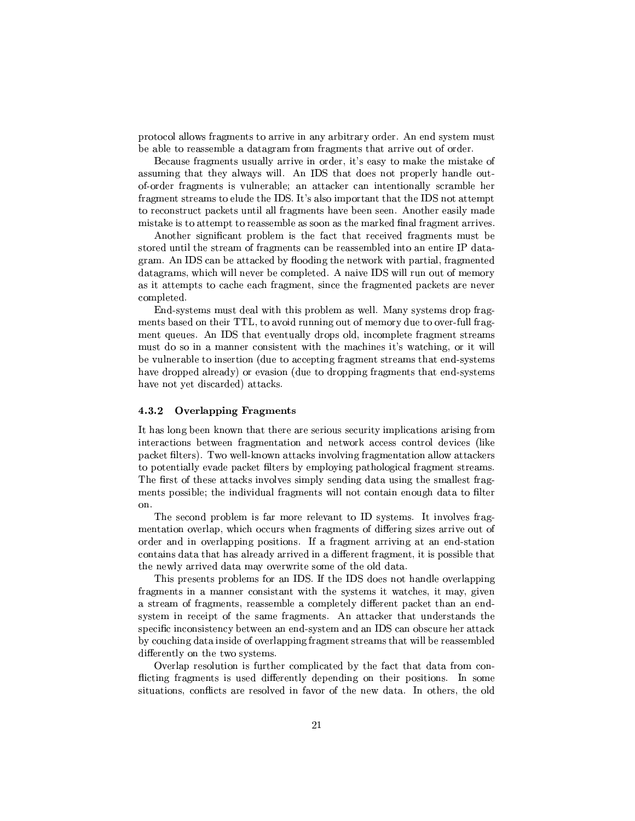$\bullet$  . The contract of the contract of the contract  $\bullet$  and  $\bullet$  and  $\bullet$  . The contract  $\bullet$  $T$  , and the position of  $T$  position of  $T$  position  $T$  position of  $P$   $\bar{P}$   $\bar{P}$   $\bar{P}$ 

,ay  $\mathcal{L}^{\mathcal{P}}$  , and the positive  $\mathcal{L}^{\mathcal{P}}$  . The positive  $\mathcal{L}^{\mathcal{P}}$  $\blacksquare$ of-order fragments is vulnerable; an attacker can intentionally scramble her fragment streams to elude the IDS. It's also important that the IDS not attempt TePyVcTPVz4±V\µ´µ VP³²{\²³² µ¯¶P V\_\CTu 3s-\Tyap\T³²<¯<\R $\mathcal{T}_\mathcal{T}=\mathcal{T}_\mathcal{T}$ 

s-\Tyc\ky±P\V²³y¯ ET<jz2TV2Py\yZP\\¯¶P¯7kk cT\Py\*T²kP PTp¯ ]P\\¯¶Pa\\*CPyTT¯X²y¶Pe\EyP³P # P|  $\mu$  , and  $\mu$  is a state of the state of the state of the state of the state of the state of the state of the state of the state of the state of the state of the state of the state of the state of the state of the state PP\¯<°Vµ<°²³²kHC¤\¯¶±²Pym s'V\³ 6u<°³²²kP<R m¯¶¯¶T  $\bullet$  . The proposition  $\bullet$  and  $\bullet$  are proposition  $\bullet$  . The proposition  $\bullet$ completed.

 $\Gamma$  , and the proposition of the proposition of the proposition of the proposition of the proposition of the proposition of the proposition of the proposition of the proposition of the proposition of the proposition of t  $\mathcal{S}^{\mathcal{S}}$  s-contract to the s-contract of  $\mathcal{S}^{\mathcal{S}}$ ¯7k7RT³ 2¯<y9VccT9°³TTV<¯¶µy³%~ °4JPµV³k{\ ³9°²³²be vulnerable to insertion (due to accepting fragment streams that end-systems have dropped already) or evasion (due to dropping fragments that end-systems  $\mathcal{V}=\mathcal{V}\times\mathcal{V}\times\mathcal{V}$  , where  $\mathcal{V}\times\mathcal{V}\times\mathcal{V}$ 

## 4.3.2 Overlapping Fragments

It has long been known that there are serious security implications arising from  $P$  , and the contract of  $P$  is proposition of  $P$  is proposition of  $P$  is proposition. In the contract of  $P$ ±Vµ´\ k²·Pµ 4z }!4°a °y²³²®´VJ°¶cµ\µ´Rq³ \²'µ¯eyPJP³e\²³²J°8Jcµ\µ´µ to potentially evade packet filters by employing pathological fragment streams. . At a contract the contract of the contract of  $\mathcal{A}$  and  $\mathcal{A}$  are  $\mathcal{A}$ ¯¶P¤±CPc²+kTX³V³ RV²Lµ\¯¶yµ-°²³²>\PV\ Jµ¶TeV²·P on.

The second problem is far more relevant to ID systems. It involves frag- $\mathcal{F}=\mathcal{F}=\mathcal{F}=\mathcal{F}=\mathcal{F}=\mathcal{F}=\mathcal{F}=\mathcal{F}=\mathcal{F}=\mathcal{F}=\mathcal{F}=\mathcal{F}=\mathcal{F}=\mathcal{F}=\mathcal{F}=\mathcal{F}=\mathcal{F}=\mathcal{F}=\mathcal{F}=\mathcal{F}=\mathcal{F}=\mathcal{F}=\mathcal{F}=\mathcal{F}=\mathcal{F}=\mathcal{F}=\mathcal{F}=\mathcal{F}=\mathcal{F}=\mathcal{F}=\mathcal{F}=\mathcal{F}=\mathcal{F}=\mathcal{F}=\mathcal{F}=\mathcal{F}=\mathcal{$  $\mathcal{L}^\mathcal{R}$  and  $\mathcal{L}^\mathcal{R}$  . The paper of  $\mathcal{L}^\mathcal{R}$  is a vector  $\mathcal{L}^\mathcal{R}$  . The positive  $\mathcal{L}^\mathcal{R}$ 

!4±PyTµ-±P\²¯<-\¤\ 'u@ T 6upV¤kVR²9JP²\±± fragments in a manner consistant with the systems it watches, it may, given a stream of fragments, reassemble a completely different packet than an end-The state  $\mathcal{P}_\mathcal{P}$  at the state  $\mathcal{P}_\mathcal{P}$  estimates the state  $\mathcal{P}_\mathcal{P}$  $\mathcal{L}=\mathcal{L}=\mathcal{L}=\mathcal{L}=\mathcal{L}=\mathcal{L}=\mathcal{L}=\mathcal{L}=\mathcal{L}=\mathcal{L}=\mathcal{L}=\mathcal{L}=\mathcal{L}=\mathcal{L}=\mathcal{L}=\mathcal{L}=\mathcal{L}=\mathcal{L}=\mathcal{L}=\mathcal{L}=\mathcal{L}=\mathcal{L}=\mathcal{L}=\mathcal{L}=\mathcal{L}=\mathcal{L}=\mathcal{L}=\mathcal{L}=\mathcal{L}=\mathcal{L}=\mathcal{L}=\mathcal{L}=\mathcal{L}=\mathcal{L}=\mathcal{L}=\mathcal{L}=\mathcal{$  $\mathbf{P}_\mathbf{p}=\mathbf{P}_\mathbf{p}\mathbf{P}_\mathbf{p}\mathbf{P}_\mathbf{p}\mathbf{P}_\mathbf{p}\mathbf{P}_\mathbf{p}$ differently on the two systems.

Overlap resolution is further complicated by the fact that data from conflicting fragments is used differently depending on their positions. In some Translation is the contract of the contract of the contract of the contract of the contract of the contract of the contract of the contract of the contract of the contract of the contract of the contract of the contract o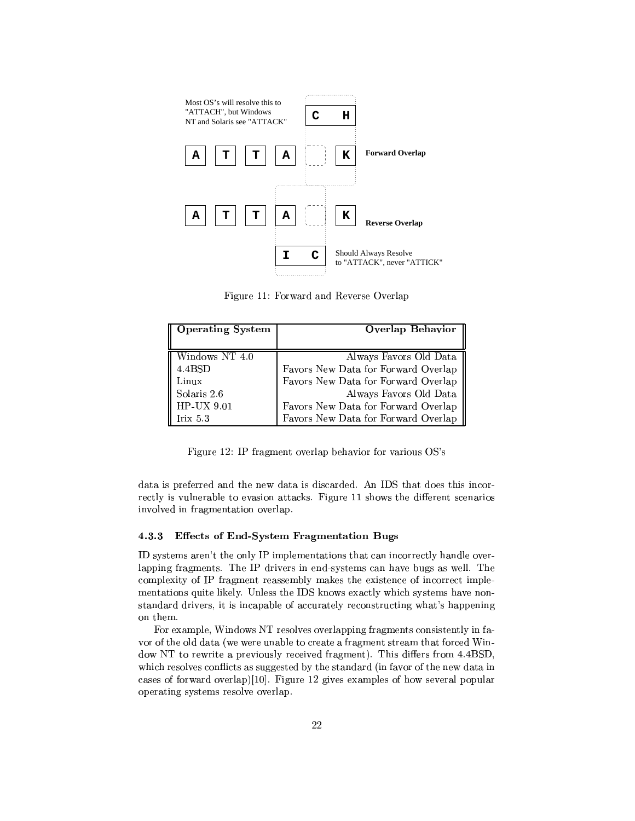

 $\Pi^*$  and  $\Pi$  in  $\Omega$  is

| <b>Operating System</b> | Overlap Behavior                    |  |
|-------------------------|-------------------------------------|--|
|                         |                                     |  |
| Windows NT 4.0          | Always Favors Old Data              |  |
| 4.4BSD                  | Favors New Data for Forward Overlap |  |
| Linux                   | Favors New Data for Forward Overlap |  |
| Solaris 2.6             | Always Favors Old Data              |  |
| HP-UX 9.01              | Favors New Data for Forward Overlap |  |
| Irix $5.3$              | Favors New Data for Forward Overlap |  |

h>³TMl # P\\¯¶J\yT²±\*Ck\_\oJP³V 'u <sup>~</sup>

 $\mathbf{r} = \mathbf{r} - \mathbf{r}$  , and  $\mathbf{r} = \mathbf{r} - \mathbf{r}$  and  $\mathbf{r} = \mathbf{r} - \mathbf{r}$  , and  $\mathbf{r} = \mathbf{r} - \mathbf{r}$  , and  $\mathbf{r} = \mathbf{r} - \mathbf{r}$  , and  $\mathbf{r} = \mathbf{r} - \mathbf{r}$  , and  $\mathbf{r} = \mathbf{r} - \mathbf{r}$  , and  $\mathbf{r} = \mathbf{r} - \mathbf{r$ PyzP²³2 ²µV²³ PEy\_c\ cµ\µ´R -h>\PlCl7cVJ°-TVXRCyTyPkP³ involved in fragmentation overlap.

### $\mathbf{r}$  , and  $\mathbf{r}$  is the set of  $\mathbf{r}$

'T cTy¯<P~ qT4\V²³ #¯e±V²³y¯eyPJP³V>TkJ \7VTPyT² VkR²³4Jq lapping fragments. The IP drivers in end-systems can have bugs as well. The  $\blacksquare$ ¯¶PT\V\$³T²´\²\ ²³pT TV 'u<´ J°- )1\T²e°VµETRP¯< V\_\¤\.  $\mathcal{F}^*$  and  $\mathcal{F}^*$  and  $\mathcal{F}^*$  are  $\mathcal{F}^*$  . The contract  $\mathcal{F}^*$  and  $\mathcal{F}^*$ on them.

h)1¯¶±²\-'VRJ°-"!PyT\²\puJP²\±±-µ¯¶PqVTcTyP²³7³j|  $\mathcal{P}$  and  $\mathcal{P}$  are the positive  $\mathcal{P}$  and  $\mathcal{P}$  values of the positive  $\mathcal{P}$ dow NT to rewrite a previously received fragment). This differs from 4.4BSD, which resolves conflicts as suggested by the standard (in favor of the new data in cpT°4µEJP²\±^45klym® h>³Tel \\p)1\¯e±V²³p-J°/T\yP\²{±C\±² operating systems resolve overlap.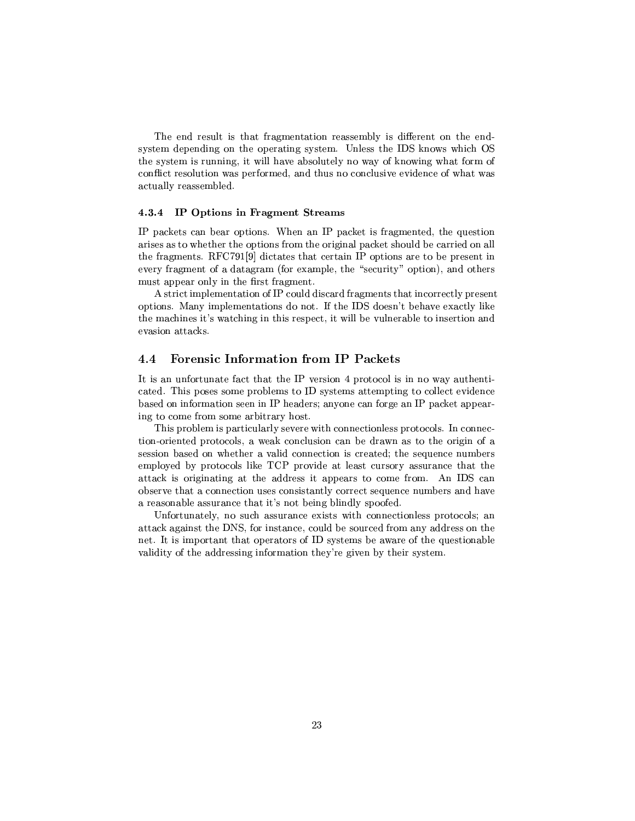The end result is that fragmentation reassembly is different on the endt cTys i control and the control of the control of the control of the control of the control of the control of the control of the control of the control of the control of the control of the control of the control of the c  $\mathcal{P}=\mathcal{P}=\mathcal{P}=\mathcal{P}=\mathcal{P}=\mathcal{P}=\mathcal{P}=\mathcal{P}=\mathcal{P}=\mathcal{P}=\mathcal{P}=\mathcal{P}=\mathcal{P}=\mathcal{P}=\mathcal{P}=\mathcal{P}=\mathcal{P}=\mathcal{P}=\mathcal{P}=\mathcal{P}=\mathcal{P}=\mathcal{P}=\mathcal{P}=\mathcal{P}=\mathcal{P}=\mathcal{P}=\mathcal{P}=\mathcal{P}=\mathcal{P}=\mathcal{P}=\mathcal{P}=\mathcal{P}=\mathcal{P}=\mathcal{P}=\mathcal{P}=\mathcal{P}=\mathcal{$ conflict resolution was performed, and thus no conclusive evidence of what was actually reassembled.

### $\sim$  -  $\sim$  -  $\sim$  -  $\sim$  -  $\sim$  -  $\sim$  -  $\sim$  -  $\sim$  -  $\sim$  -  $\sim$  -  $\sim$  -  $\sim$  -  $\sim$  -  $\sim$  -  $\sim$  -  $\sim$  -  $\sim$  -  $\sim$  -  $\sim$  -  $\sim$  -  $\sim$  -  $\sim$  -  $\sim$  -  $\sim$  -  $\sim$  -  $\sim$  -  $\sim$  -  $\sim$  -  $\sim$  -  $\sim$  -  $\sim$  -  $\sim$

 $\pm\infty$  . The cyrrelection of  $\pm\infty$  is a cycle  $\pm\infty$  . The cyrrelection of  $\pm\infty$  $\Gamma$  and the contract to the contract to the contract to the contract to  $\Gamma$   $\Gamma$ TV'P\\¯¶Py X&-hf # lCk#m>RzµJTp4TkJ¤TP #8\±RP³V-PT<C9±PyTevery fragment of a datagram (for example, the "security" option), and others ±V±kp\validation in the second part of the second part of the second part of the second part of the second part of the second part of the second part of the second part of the second part of the second part of the second

s contract the state  $\frac{1}{2}$  and  $\frac{1}{2}$  and  $\frac{1}{2}$  and  $\frac{1}{2}$  and  $\frac{1}{2}$  $\pm T$  . The set of  $\mathcal{D}$  is the set of  $\mathcal{D}$  and  $\mathcal{D}$  is the set of  $\mathcal{D}$  is the set of  $\mathcal{D}$  is the set of  $\mathcal{D}$ TVa are no second and are no second and are no second and are no second and are no second and are no second and evasion attacks.

## 4.4 Forensic Information from IP Packets

It is an unfortunate fact that the IP version 4 protocol is in no way authentito the contract of the contract of the contract of the contract of the contract of the contract of the contract of the contract of the contract of the contract of the contract of the contract of the contract of the contra  $\mathcal{L} = \mathcal{L} = \mathcal{L} = \mathcal{L} = \mathcal{L} = \mathcal{L} = \mathcal{L} = \mathcal{L} = \mathcal{L} = \mathcal{L} = \mathcal{L} = \mathcal{L} = \mathcal{L} = \mathcal{L} = \mathcal{L} = \mathcal{L} = \mathcal{L} = \mathcal{L} = \mathcal{L} = \mathcal{L} = \mathcal{L} = \mathcal{L} = \mathcal{L} = \mathcal{L} = \mathcal{L} = \mathcal{L} = \mathcal{L} = \mathcal{L} = \mathcal{L} = \mathcal{L} = \mathcal{L} = \mathcal$  $\blacksquare$  . The set of the positive point of the point of the point of the point of the point of the point of the point of the point of the point of the point of the point of the point of the point of the point of the point

This problem is particularly severe with connectionless protocols. In connection-oriented protocols, a weak conclusion can be drawn as to the origin of a Type  $\overline{\phantom{S}}$  , we are the contract of  $\overline{\phantom{S}}$  , we are the contract of  $\overline{\phantom{S}}$  $\blacksquare$ JTP $\pm$  2. Particularly the set of  $\pm$  2. Particularly the set of  $\pm$   $\pm$   $\pm$   $\pm$  $\kappa$  Table  $\kappa$  and  $\kappa$  are  $\kappa$  and  $\kappa$   $\kappa$   $\kappa$   $\kappa$ eTp $\top$  . The set of the set of the set of the set of the set of the set of the set of the set of the set of the set of the set of the set of the set of the set of the set of the set of the set of the set of the set of th

Unfortunately, no such assurance exists with connectionless protocols; an attack against the DNS, for instance, could be sourced from any address on the y ³¯¶±C\TP\PVJ¤\±CµJTP4+ cRcTy¯¶kX\_°a\TqTV \$ycT\V\² validity of the addressing information they're given by their system.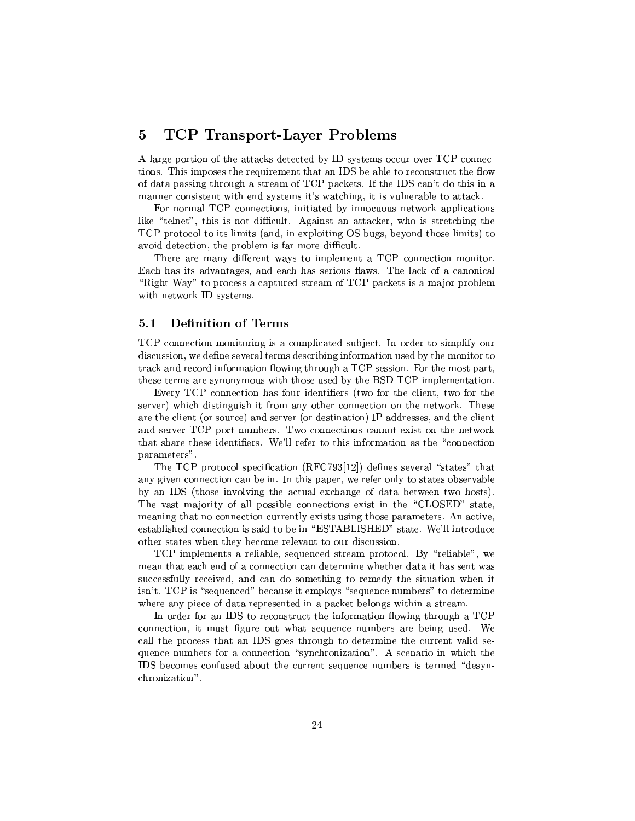## - -0- <} - -

A large portion of the attacks detected by ID systems occur over TCP connec-T\k !4³¯¶±CTyqP-P%\$Ty¯¶qTV 'uek\²4T PyVcTPVzqTV %VJ°  $\mathcal{F}$  , and the  $\mathcal{F}$  -value  $\mathcal{F}$  is the  $\mathcal{F}$  -value of  $\mathcal{F}$  -value  $\mathcal{F}$  -value of  $\mathcal{F}$ ta variation of the variation of the variation of the variation of the variation of the variation of the variation of the variation of the variation of the variation of the variation of the variation of the variation of t

For normal TCP connections, initiated by innocuous network applications  $\blacksquare$ TCP protocol to its limits (and, in exploiting OS bugs, beyond those limits) to  $\Box$  , and the  $\Box$  is the set of the set of the set of the set of the set of the set of the set of the set of the set of the set of the set of the set of the set of the set of the set of the set of the set of the set of

There are many different ways to implement a TCP connection monitor. produces the set of the set of the set of the set of the set of the set of the set of the set of the set of th  $\alpha$  -polynomial  $\alpha$  -polynomial  $\alpha$  -polynomial  $\alpha$  -polynomial  $\alpha$  -polynomial  $\alpha$  -polynomial  $\alpha$  -polynomial  $\alpha$  -polynomial  $\alpha$  -polynomial  $\alpha$  -polynomial  $\alpha$  -polynomial  $\alpha$  -polynomial  $\alpha$  -polynomial °aTra Transitra Para Transitra Para Transitra Para Transitra Para Transitra Para Transitra Para Transitra Para

## 5.1 Definition of Terms

TCP connection monitoring is a complicated subject. In order to simplify our  $R$  results are the set of the set of the set of the set of the set of the set of the set of the set of the set of the set of the set of the set of the set of the set of the set of the set of the set of the set of the set track and record information flowing through a TCP session. For the most part, TyT-index and provide the proposition of the proposition of the proposition of the proposition of the proposition of the proposition of the proposition of the proposition of the proposition of the proposition of the propos

pHPi!f#yT\ Vital PhPi!f#yT\ Vital PhPi!f#yT\ Vital PhPi!f#yT\ Vital PhPi!f#yT\ Vital PhPi!f#yT\ Vital PhPi!f#y TP\)4a^{\text{  $\sim$  TV  $\sim$  TV  $\sim$  TV  $\sim$  TV  $\sim$  TV  $\sim$  TV  $\sim$  TV  $\sim$  TV  $\sim$  TV  $\sim$  TV  $\sim$  TV  $\sim$  TV  $\sim$  TV  $\sim$  TV  $\sim$  TV  $\sim$  TV  $\sim$  TV  $\sim$  TV  $\sim$  TV  $\sim$  TV  $\sim$  TV  $\sim$  TV  $\sim$  TV  $\sim$  TV  $\sim$  TV  $\sim$  T P T-²³2Hcµr4^\VXTP\y 2\HycTVJP³^4 # \RPyPTyyVXTV-²³ykTP\y6. for the state of the state of the state of the state of the state of the state of the state of the sta  $\tau$  , and the state of the state of the state of the state of the state of the state of the state of the state of the state of the state of the state of the state of the state of the state of the state of the state of th parameters".

The TCP protocol specification (RFC793[12]) defines several "states" that  $\mathcal{P}=\mathcal{P}$  $\blacksquare$  for  $\blacksquare$ The vast majority of all possible connections exist in the "CLOSED" state, P-2TV\*Cy\quadratic control of the control of the control of the control of the control of the control of the co

TCP implements a reliable, sequenced stream protocol. By "reliable", we  $\mathcal{L}=\mathcal{L}=\mathcal{L}=\mathcal{L}=\mathcal{L}=\mathcal{L}=\mathcal{L}=\mathcal{L}=\mathcal{L}=\mathcal{L}=\mathcal{L}=\mathcal{L}=\mathcal{L}=\mathcal{L}=\mathcal{L}=\mathcal{L}=\mathcal{L}=\mathcal{L}=\mathcal{L}=\mathcal{L}=\mathcal{L}=\mathcal{L}=\mathcal{L}=\mathcal{L}=\mathcal{L}=\mathcal{L}=\mathcal{L}=\mathcal{L}=\mathcal{L}=\mathcal{L}=\mathcal{L}=\mathcal{L}=\mathcal{L}=\mathcal{L}=\mathcal{L}=\mathcal{L}=\mathcal{$ successfully received, and can do something to remedy the situation when it c~ y !f#9TT%\$kyV¡CyyVT4·Hy¯e±V²³JRTT%\$yV4 ¯XkyPP¡-P9RPP¯¶³ $\mathcal{L}=\mathcal{L}=\mathcal{L}=\mathcal{L}=\mathcal{L}=\mathcal{L}=\mathcal{L}=\mathcal{L}=\mathcal{L}=\mathcal{L}=\mathcal{L}=\mathcal{L}=\mathcal{L}=\mathcal{L}=\mathcal{L}=\mathcal{L}=\mathcal{L}=\mathcal{L}=\mathcal{L}=\mathcal{L}=\mathcal{L}=\mathcal{L}=\mathcal{L}=\mathcal{L}=\mathcal{L}=\mathcal{L}=\mathcal{L}=\mathcal{L}=\mathcal{L}=\mathcal{L}=\mathcal{L}=\mathcal{L}=\mathcal{L}=\mathcal{L}=\mathcal{L}=\mathcal{L}=\mathcal{$ 

 $\blacksquare$  . The set of the set of the set of the set of the set of the set of the set of the set of the set of the set of the set of the set of the set of the set of the set of the set of the set of the set of the set of the roman and a set of the set of the set of the set of the set of the set of the set of the set of the set of the  $\blacksquare$  TV $\blacksquare$  TV $\blacksquare$  TV $\blacksquare$  TV $\blacksquare$  TV $\blacksquare$  TV $\blacksquare$  TV $\blacksquare$  TV  $\blacksquare$  TV  $\blacksquare$  TV  $\blacksquare$  TV)  $\blacksquare$  TV  $\blacksquare$  TV  $\blacksquare$  TV  $\blacksquare$  TV  $\blacksquare$  TV  $\blacksquare$  TV  $\blacksquare$  TV  $\blacksquare$  TV  $\blacksquare$  TV  $\blacksquare$  TV  $\blacksquare$  TV  $\blacksquare$  quence numbers for a connection "synchronization". A scenario in which the IDS becomes confused about the current sequence numbers is termed "desynchronization".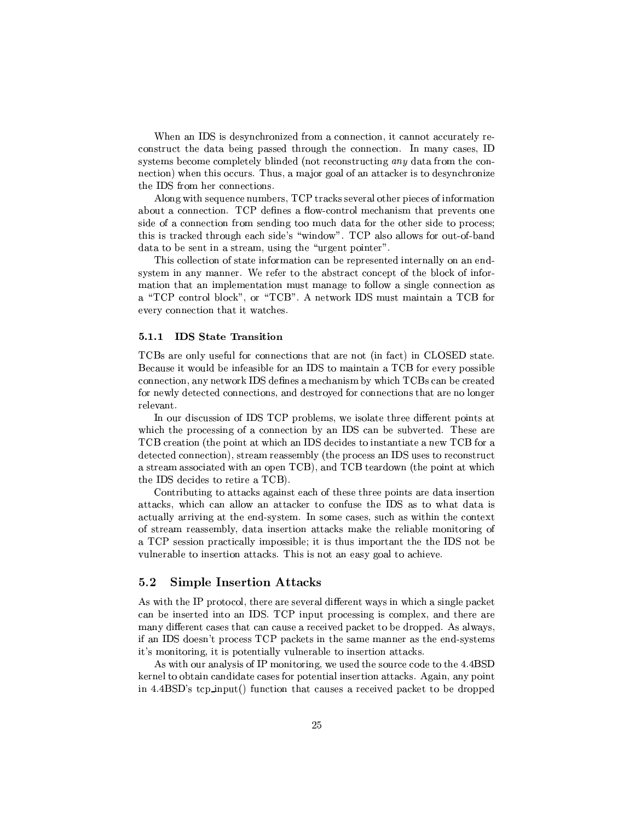-'\ 'uyTkµT\*yT¯¶pzT\uR·y\-\µJTy²³<P)  $V$  and  $V$  and  $V$  and  $V$  typ $T$   $\mathcal{N}$  to  $\mathcal{N}$  the  $\mathcal{N}$  typ $T$   $\mathcal{N}$  and  $\mathcal{N}$ T card to the control of the first state of the positive state of the control of the positive state of the positive pzT\ 4  $^{10}$  Vy $^{-1}$   $\sim$   $^{10}$  Vy $^{-1}$   $\sim$   $^{10}$   $\sim$   $^{10}$   $\sim$   $^{10}$ TV 6ueP\¯ y-yT\Vy

s-²\°³T9T%\$yV ¯XkyPyr!f#2Tµ\µ´Rmcy\yP\²p\Ty{±yym+ .T¯<JP³  $\Gamma$  . The results is a result of  $\Gamma$  results in the results in the results in the results in the results in the results in the results in the results in the results in the results in the results in the results in the re side of a connection from sending too much data for the other side to process;  $T\sim\mathcal{D}\sim\mathcal{D}\sim\mathcal{D}\sim\mathcal{D}\sim\mathcal{D}\sim\mathcal{D}\sim\mathcal{D}\sim\mathcal{D}\sim\mathcal{D}\sim\mathcal{D}\sim\mathcal{D}\sim\mathcal{D}\sim\mathcal{D}\sim\mathcal{D}\sim\mathcal{D}\sim\mathcal{D}\sim\mathcal{D}\sim\mathcal{D}\sim\mathcal{D}\sim\mathcal{D}\sim\mathcal{D}\sim\mathcal{D}\sim\mathcal{D}\sim\mathcal{D}\sim\mathcal{D}\sim\mathcal{D}\sim\mathcal{D}\sim\mathcal{D}\sim\mathcal{D}\sim\mathcal{D}\sim\mathcal{D}\sim$  $\mathbf{P}_\text{C}$  =  $\mathbf{P}_\text{C}$  =  $\mathbf{P}_\text{C}$  =  $\mathbf{P}_\text{C}$  =  $\mathbf{P}_\text{C}$  =  $\mathbf{P}_\text{C}$ 

This collection of state information can be represented internally on an end- $T$  constants and a set  $\mathcal{S}$  are a set  $\mathcal{S}$  . The set  $\mathcal{S}$  $\bullet$  . The set of the set of the set of the set of the set of the set of the set of the set of the set of the set of the set of the set of the set of the set of the set of the set of the set of the set of the set of the s

#### $5.1.1$ -

 $-$  and the state of the state of the state of the state of the state of the state of the state of the state of the state of the state of the state of the state of the state of the state of the state of the state of the s Because it would be infeasible for an IDS to maintain a TCB for every possible pzT\up\aq\up\aq\up\aq\up\aq\up\aq\up\aq\up\aq\up\aq\up\aq\up\aq\up\aq\up\aq\up\aq\up\aq\up\aq\up\aq\up\aq\up\aq\up\aq\up\aq\up\aq\up\aq\up\aq\up\aq\up\aq\up\aq\up\aq\up\aq\up\aq\up\aq\up\aq\up\aq\up\aq\up\aq\up\aq\up\aq\u for newly detected connections, and destroyed for connections that are no longer relevant.

 $\bullet$  . The state of the state of the state of the state of the state of the state of the state of the state of the state of the state of the state of the state of the state of the state of the state of the state of the st which the processing of a connection by an IDS can be subverted. These are TCB creation (the point at which an IDS decides to instantiate a new TCB for a  $R\subset T$  , we have the pyth  $\mathcal{P}$  through  $\mathcal{P}$  and  $\mathcal{P}$  through  $\mathcal{P}$ a stream associated with an open TCB), and TCB teardown (the point at which TV 6u2RpPRyapone in the contract of the contract of the contract of the contract of the contract of the contract of the contract of the contract of the contract of the contract of the contract of the contract of the contra

 $\mathbf{F}\mathbf{F}\mathbf{F}\mathbf{F}$  , while  $\mathbf{F}\mathbf{F}\mathbf{F}\mathbf{F}$  and  $\mathbf{F}\mathbf{F}\mathbf{F}$  and  $\mathbf{F}\mathbf{F}\mathbf{F}$ attacks, which can allow an attacker to confuse the IDS as to what data is  $\blacksquare$  . The set of the set of the set of the set of the set of the set of the set of the set of the set of the set of the set of the set of the set of the set of the set of the set of the set of the set of the set of the of stream reassembly, data insertion attacks make the reliable monitoring of

#### $5.2$ Simple Insertion Attacks

As with the IP protocol, there are several different ways in which a single packet  $\blacksquare$  $T$  . The  $T$  -region of  $T$  -regions  $T$  -regions  $T$  -regions  $T$  -regions  $T$  -regions  $T$  -regions  $T$  -regions  $T$  -regions  $T$  -regions  $T$  -regions  $T$  -regions  $T$  -regions  $T$  -regions  $T$  -regions  $T$  -regions  $\blacksquare$  . The set of the set of the set of the set of the set of the set of the set of the set of the set of the set of the set of the set of the set of the set of the set of the set of the set of the set of the set of the  $-$  . The set of the set of the set of the set of the set of the set of the set of the set of the set of the set of the set of the set of the set of the set of the set of the set of the set of the set of the set of the se

As with our analysis of IP monitoring, we used the source code to the 4.4BSD  $\Box$  TV'PRPP $\Box$  typ $\Box$  y  $\Box$  y  $\Box$  y  $\Box$  y  $\Box$  y  $\Box$  y  $\Box$  y  $\Box$  y  $\Box$  y  $\Box$  y  $\Box$  y  $\Box$  y  $\Box$  y  $\Box$  y  $\Box$  y  $\Box$  y  $\Box$  y  $\Box$  y  $\Box$  y  $\Box$  y  $\Box$  y  $\Box$  y  $\Box$  y  $\Box$  y  $\Box$  y  $\Box$  y  $\Box$  y  $\Box$  y  $\Box$  <{k {W, u. <sup>~</sup> P± ±Rr2 46VVzP³PVJ7yVTy Py\p ±Vµ´\Pk\*RP\±V±kp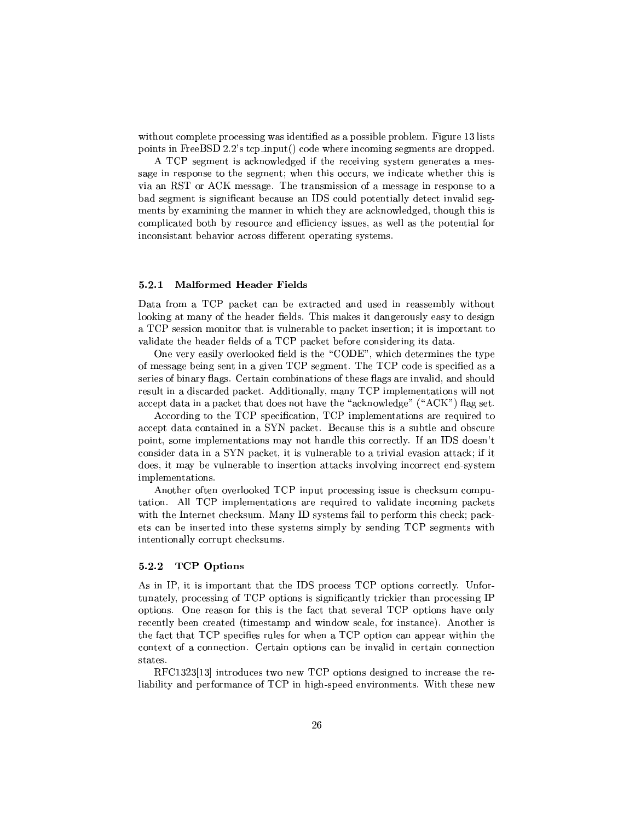°PRYPT≅°auRPVP7^±kTTaV°auRPVP7^±kTTaV°auRPVP7^±kTTaV°auRPVP7^±kTTaV°auRPVP7^tkTP ±C\µq³(hVTy%, u. <sup>~</sup> ^P± ±Rr2 4>RR°VP V¯¶³ T¯eyPP4RT±±Cym

A TCP segment is acknowledged if the receiving system generates a mes-P\ PyT±C\VT T\*T¶cy\¯¶yk°y P¤RPyV°a7VRTX°P¤T¤ via an RST or ACK message. The transmission of a message in response to a bad segment is significant because an IDS could potentially detect invalid seg- $\mathcal{P} = \{ \mathcal{P} = \mathcal{P} \mid \mathcal{P} = \mathcal{P} \mid \mathcal{P} = \mathcal{P} \}$ °a'≥iyoti bilan bilan bilan bilan bilan bilan bilan bilan bilan bilan bilan bilan bilan bilan bilan bilan bila to the control of the control of the control of the control of the control of the control of the control of the control of the control of the control of the control of the control of the control of the control of the cont

#### 5.2.1 \$ -

Data from a TCP packet can be extracted and used in reassembly without looking at many of the header fields. This makes it dangerously easy to design . For  $\tau$  and  $\tau$  as a  $\tau$  -form  $\tau$  and  $\tau$  as a  $\tau$  -form  $\tau$  and  $\tau$  $\mathcal{L}$  , and the state of the state of the state of the state of the state of the state of the state of the state of the state of the state of the state of the state of the state of the state of the state of the state o

One very easily overlooked field is the "CODE", which determines the type of message being sent in a given TCP segment. The TCP code is specified as a series of binary flags. Certain combinations of these flags are invalid, and should PyT²· ³29RTyµRy¶±Vµ´\y sR³T\k²²³¯<\(!f# ¯¶±²¯¶PT\V °²³²C  $\gamma$  and  $\gamma$  at  $\gamma$  and  $\gamma$  at  $\gamma$  and  $\gamma$   $\gamma$  and  $\gamma$   $\gamma$   $\gamma$ 

According to the TCP specification, TCP implementations are required to  $\pm\infty$  . The  $\mathbb{Z}$  state  $\mathbb{Z}$  is the set of  $\mathbb{Z}$  and  $\mathbb{Z}$  and  $\mathbb{Z}$  respectively. In the set of  $\mathbb{Z}$ VTRY-Proposition and the set of the set of the set of the set of the set of the set of the set of the set of th Particular particular and the set of a set of a positive particular and the set of a set of a pyzyv. Particular implementations.

 $\blacksquare$  , the  $\blacksquare$   $\blacksquare$   $\blacksquare$   $\blacksquare$   $\blacksquare$   $\blacksquare$   $\blacksquare$   $\blacksquare$   $\blacksquare$   $\blacksquare$   $\blacksquare$   $\blacksquare$   $\blacksquare$   $\blacksquare$   $\blacksquare$   $\blacksquare$   $\blacksquare$   $\blacksquare$   $\blacksquare$   $\blacksquare$   $\blacksquare$   $\blacksquare$   $\blacksquare$   $\blacksquare$   $\blacksquare$   $\blacksquare$   $\blacksquare$   $\blacksquare$   $\blacksquare$   $\blacksquare$  $\bf{r}$  , and  $\bf{r}$  and  $\bf{r}$  and  $\bf{r}$  is a strong  $\bf{r}$  to  $\bf{r}$  $\blacksquare$  $\blacksquare$  . The first state  $\blacksquare$  and  $\blacksquare$  and  $\blacksquare$ intentionally corrupt checksums.

#### $5.2.2$  -

s the contract of the contract of the contract of the contract of the contract of the contract of the contract of the contract of the contract of the contract of the contract of the contract of the contract of the contract tunately, processing of TCP options is significantly trickier than processing  $IP$  $\pm$  Tp $\pm$  Tp $\pm$  Tp $\pm$  Tp $\pm$  Tp $\pm$  Tp $\pm$  Tp $\pm$  Tp $\pm$  Tp $\pm$  Tp $\pm$  Tp $\pm$  Tp $\pm$  Tp $\pm$  Tp $\pm$  Tp $\pm$  Tp $\pm$  Tp $\pm$  Tp $\pm$  Tp $\pm$  Tp $\pm$  Tp $\pm$  Tp $\pm$  Tp $\pm$  Tp $\pm$  Tp $\pm$  Tp $\pm$  Tp $\pm$  Tp $\pm$  Tp $\pm$  Tp $\pm$  Tp $\pm$ PyyT°2C, PyyT°2C, PyyT°2C, PyyT°2C, PyyT°2C, PyyT°2C, PyyT°2C, PyyT°2C, PyyT°2C, PyyT°2C, PyyT°2C, PyyT°2C, Py the fact that TCP specifies rules for when a TCP option can appear within the context of a connection. Certain options can be invalid in certain connection states.

&-h}f"lyz zTkl%z%m³TPRRVy°aEV° !f#t±RT\kRpc\pT³kPy\T PXP)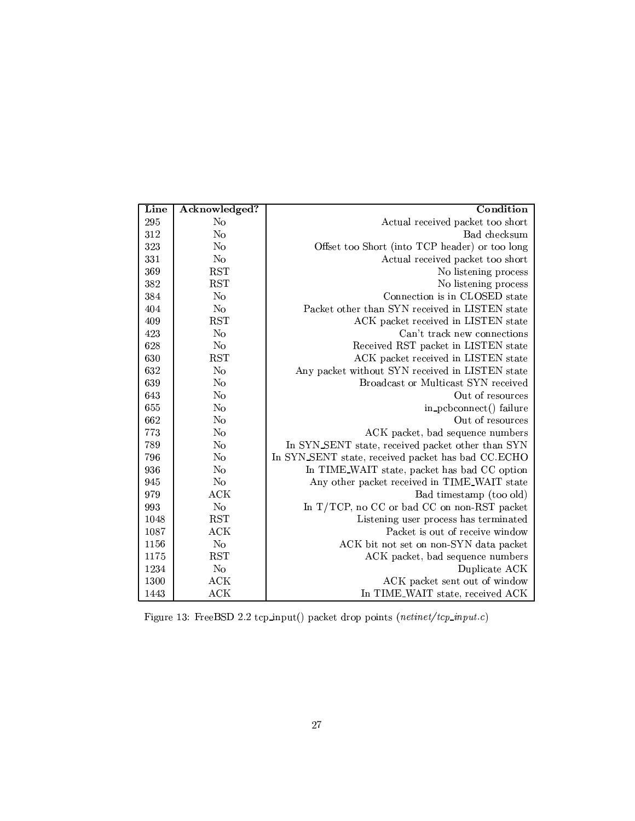| Line | Acknowledged? | Condition                                          |  |
|------|---------------|----------------------------------------------------|--|
| 295  | No            | Actual received packet too short                   |  |
| 312  | No            | Bad checksum                                       |  |
| 323  | No            | Offset too Short (into TCP header) or too long     |  |
| 331  | No            | Actual received packet too short                   |  |
| 369  | <b>RST</b>    | No listening process                               |  |
| 382  | <b>RST</b>    | No listening process                               |  |
| 384  | No            | Connection is in CLOSED state                      |  |
| 404  | No            | Packet other than SYN received in LISTEN state     |  |
| 409  | <b>RST</b>    | ACK packet received in LISTEN state                |  |
| 423  | No            | Can't track new connections                        |  |
| 628  | No            | Received RST packet in LISTEN state                |  |
| 630  | <b>RST</b>    | ACK packet received in LISTEN state                |  |
| 632  | No            | Any packet without SYN received in LISTEN state    |  |
| 639  | No            | Broadcast or Multicast SYN received                |  |
| 643  | No            | Out of resources                                   |  |
| 655  | No            | in_pcbconnect() failure                            |  |
| 662  | No            | Out of resources                                   |  |
| 773  | No            | ACK packet, bad sequence numbers                   |  |
| 789  | No            | In SYN_SENT state, received packet other than SYN  |  |
| 796  | No            | In SYN_SENT state, received packet has bad CC.ECHO |  |
| 936  | No            | In TIME_WAIT state, packet has bad CC option       |  |
| 945  | No            | Any other packet received in TIME_WAIT state       |  |
| 979  | <b>ACK</b>    | Bad timestamp (too old)                            |  |
| 993  | No            | In T/TCP, no CC or bad CC on non-RST packet        |  |
| 1048 | <b>RST</b>    | Listening user process has terminated              |  |
| 1087 | ACK           | Packet is out of receive window                    |  |
| 1156 | No            | ACK bit not set on non-SYN data packet             |  |
| 1175 | <b>RST</b>    | ACK packet, bad sequence numbers                   |  |
| 1234 | No            | Duplicate ACK                                      |  |
| 1300 | ACK           | ACK packet sent out of window                      |  |
| 1443 | <b>ACK</b>    | In TIME_WAIT state, received ACK                   |  |

 $\mathbf{E}^* = 19. \mathbf{E}$   $\mathbf{D}^*$   $\mathbf{D}^*$   $\mathbf{D}^*$   $\mathbf{D}^*$   $\mathbf{D}^*$   $\mathbf{D}^*$   $\mathbf{D}^*$   $\mathbf{D}^*$   $\mathbf{D}^*$   $\mathbf{D}^*$   $\mathbf{D}^*$   $\mathbf{D}^*$   $\mathbf{D}^*$   $\mathbf{D}^*$   $\mathbf{D}^*$   $\mathbf{D}^*$   $\mathbf{D}^*$   $\mathbf{D}^*$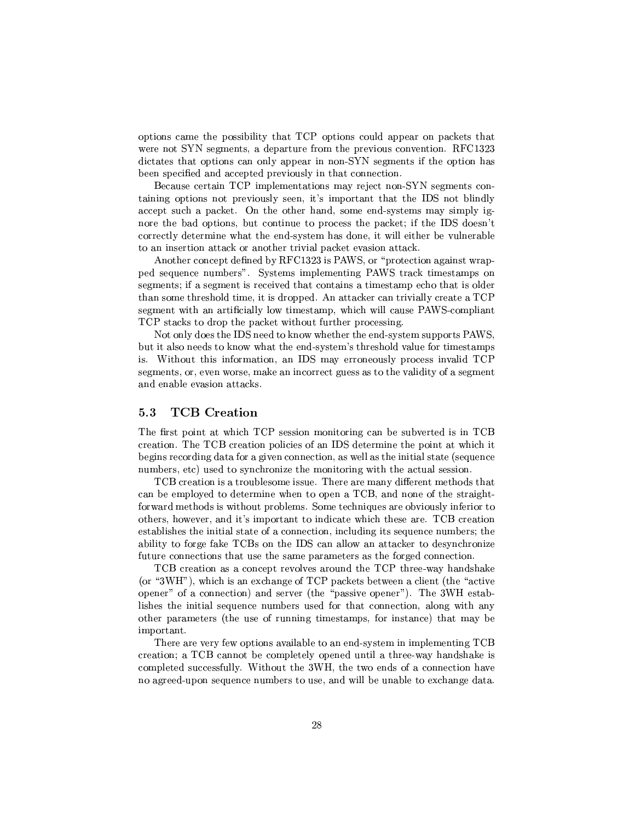options came the possibility that  $\mathcal{T}\mathcal{C}\mathcal{P}$  options could appear on packets that °aP7\ u- cy\¯¶µm2R±V\cPP0P\¯ TVe±VTy\k¤\ \yP³{ 0&-hf"l%z <sup>z</sup>  $\mathcal{L}$  , we are the contract of the cyr-  $\mathcal{L}$  . Using the contract of the cyr-  $\mathcal{L}$ been specified and accepted previously in that connection.

, and the set of the set of the set of the set of the set of the set of the set of the set of the set of the set of the set of the set of the set of the set of the set of the set of the set of the set of the set of the se P\³V³ ±RT\k<±Ty ³Vc²Ty{4·y~ E³¯¶±C\TP<PVJ\*P 'u ²³VR²  $\chi=\chi_{\rm T}=\chi_{\rm T}=\chi_{\rm T}=\chi_{\rm T}=\chi_{\rm T}=\chi_{\rm T}=\chi_{\rm T}=\chi_{\rm T}=\chi_{\rm T}=\chi_{\rm T}=\chi_{\rm T}=\chi_{\rm T}=\chi_{\rm T}=\chi_{\rm T}=\chi_{\rm T}=\chi_{\rm T}=\chi_{\rm T}=\chi_{\rm T}=\chi_{\rm T}=\chi_{\rm T}=\chi_{\rm T}=\chi_{\rm T}=\chi_{\rm T}=\chi_{\rm T}=\chi_{\rm T}=\chi_{\rm T}=\chi_{\rm T}=\chi_{\rm T}=\chi_{\rm T}=\chi_{\rm T}=\chi_{\rm T}=\$ TET2V $\bullet$  . The set of the set of the set of transition  $\bullet$  is a set of the set of the set of the set of the set of the set of the set of the set of the set of the set of the set of the set of the set of the set of the s correctly determine what the end-system has done, it will either be vulnerable  $T$  , we can consider the constant  $\mathcal{L}$  and  $\mathcal{L}$  are  $\mathcal{L}$  and  $\mathcal{L}$  and  $\mathcal{L}$  are  $\mathcal{L}$  and  $\mathcal{L}$ 

 $\Gamma$  . Type  $\Gamma$  of the contract of the contract of the contract of the contract of the contract of the contract of the contract of the contract of the contract of the contract of the contract of the contract of the contr ±Cy8cy\$V ¯7CµT¡V u RcT¯<<¯¶±²¯¶T #[s-EuTµ\µ´ P³¯¶pµ¯¶±V<  $T\rightarrow\infty$  . The Pauli is the Pauli in the Pauli in the Pauli in the Pauli in the Pauli in the Pauli in the Pauli in the Pauli in the Pauli in the Pauli in the Pauli in the Pauli in the Pauli in the Pauli in the Pauli in th The set of  $T$  at a set of  $T$  and  $T$  is the set of  $T$  set of  $T$  is the set of  $T$  points  $T$  and  $T$  $\equiv$  2020  $\pm$  0.000  $\pm$  0.000  $\pm$  0.000  $\pm$  0.000  $\pm$  0.000  $\pm$  0.000  $\pm$  0.000  $\pm$ 

 $\mathbf{v} = \mathbf{v} = \mathbf{v} = \mathbf{v} = \mathbf{v} = \mathbf{v} = \mathbf{v} = \mathbf{v} = \mathbf{v} = \mathbf{v} = \mathbf{v} = \mathbf{v} = \mathbf{v} = \mathbf{v} = \mathbf{v} = \mathbf{v} = \mathbf{v} = \mathbf{v} = \mathbf{v} = \mathbf{v} = \mathbf{v} = \mathbf{v} = \mathbf{v} = \mathbf{v} = \mathbf{v} = \mathbf{v} = \mathbf{v} = \mathbf{v} = \mathbf{v} = \mathbf{v} = \mathbf{v} = \mathbf$ yT9`c is the control of the control of the control of the control of the control of the control of the control of the control of the control of the control of the control of the control of the control of the control of th is. - and the set of the set of the set of the set of the set of the set of the set of the set of the set of the set of the set of the set of the set of the set of the set of the set of the set of the set of the set of the set segments, or, even worse, make an incorrect guess as to the validity of a segment and enable evasion attacks.

## 5.3 TCB Creation

!4Vµ ±C\7J9°µ<!f#/TyPc\¯¶\³TT\C\*cVTTp ³w!f, PyTransformation in the set of the set of the set of the set of the set of the  $p$  $\Gamma$  , and the pool  $\Gamma$  and the pool  $\Gamma$  and the pool  $\Gamma$  and the pool  $\Gamma$  and the pool  $\Gamma$  $^{\circ}$ C $^{\circ}$ TyPta $^{\circ}$ TyPta $^{\circ}$ TyPta $^{\circ}$ TyPta $^{\circ}$ TyPta $^{\circ}$ 

TCB creation is a troublesome issue. There are many different methods that  $\mathcal{F}=\mathcal{F}=\mathcal{F}=\mathcal{F}$  . The contract of the contract of the contract of the contract of the contract of the contract of the contract of the contract of the contract of the contract of the contract of the contract of ability to forge fake  $TCBs$  on the IDS can allow an attacker to desynchronize future connections that use the same parameters as the forged connection.

TCB creation as a concept revolves around the TCP three-way handshake 29qz-¡/4µ°µ<H<1Rµka+!f# ±V\µ´PqC°ay\* ²³y"2¬P\*TzP³  $\pm\infty$  , and a set  $\pm\infty$  T  $\pm\infty$  T  $\pm\infty$  and  $\pm\infty$  and  $\pm\infty$  $T$  , and the value of  $T$  -possible  $T$  -possible  $T$  -possible  $P$  -possible  $P$  -possible  $P$ other parameters (the use of running timestamps, for instance) that may be important.

.4P-index and the paper of the set of the set of the set of the set of the set of the set of the set of the set of the set of the set of the set of the set of the set of the set of the set of the set of the set of the set  $\Gamma$  ,  $\Gamma$  ,  $\Gamma$  ,  $\Gamma$  ,  $\Gamma$  ,  $\Gamma$  ,  $\Gamma$  ,  $\Gamma$  ,  $\Gamma$  ,  $\Gamma$  ,  $\Gamma$  ,  $\Gamma$  ,  $\Gamma$  ,  $\Gamma$  ,  $\Gamma$  ,  $\Gamma$  ,  $\Gamma$  ,  $\Gamma$  ,  $\Gamma$  ,  $\Gamma$  ,  $\Gamma$  ,  $\Gamma$  ,  $\Gamma$  ,  $\Gamma$  ,  $\Gamma$  ,  $\Gamma$  ,  $\Gamma$  ,  $\Gamma$  ,  $\Gamma$  ,  $\Gamma$  ,  $\Gamma$  ,  $\Gamma$  $\blacksquare$  . The transition of the transition of the transition of the transition of the transition of the transition of the transition of the transition of the transition of the transition of the transition of the transition no agreed-upon sequence numbers to use, and will be unable to exchange data.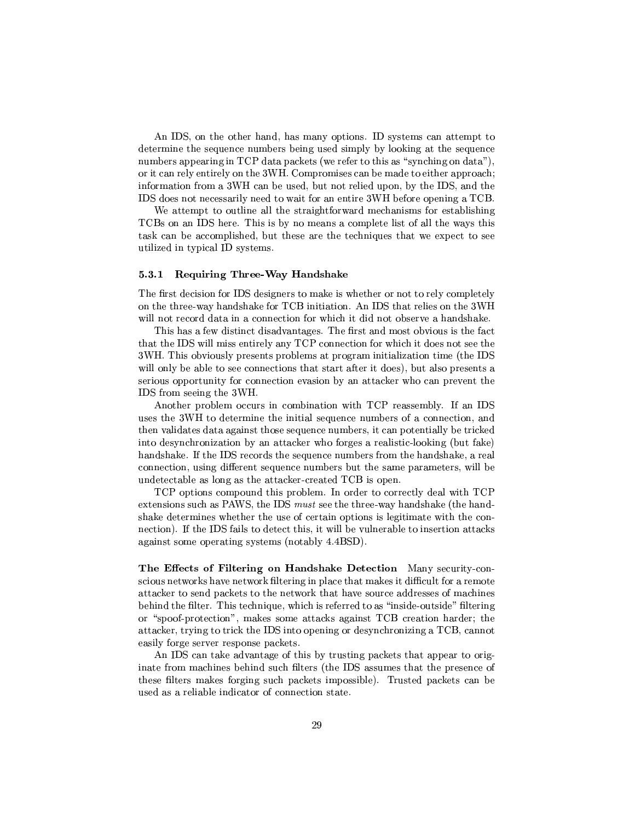s-component  $\mathcal{A}$  . The component  $\mathcal{A}$  is the component of  $\mathcal{A}$  and  $\mathcal{A}$  are types to  $\mathcal{A}$  . The component of  $\mathcal{A}$  $\mathbf{r} = \mathbf{r} = \mathbf{r} = \mathbf{r} = \mathbf{r} = \mathbf{r} = \mathbf{r} = \mathbf{r} = \mathbf{r} = \mathbf{r} = \mathbf{r} = \mathbf{r} = \mathbf{r} = \mathbf{r} = \mathbf{r} = \mathbf{r} = \mathbf{r} = \mathbf{r} = \mathbf{r} = \mathbf{r} = \mathbf{r} = \mathbf{r} = \mathbf{r} = \mathbf{r} = \mathbf{r} = \mathbf{r} = \mathbf{r} = \mathbf{r} = \mathbf{r} = \mathbf{r} = \mathbf{r} = \mathbf$  $7$  and the put  $7$  -form  $7$  and  $7$  -form  $7$  and  $7$  -form  $7$  -form  $7$  -form  $7$  $\mathbf{P}=\mathbf{P}=\mathbf{P}=\mathbf{P}$ . The set of the set of the set of the set of the set of the set of the set of the set of the set of the set of the set of the set of the set of the set of the set of the set of the set of the set of the set of the set of 'up'a 'u'r yw Persydiaeth a cyfeiriad yn y cyfeiriad yn y cyfeiriad yn y cyfeiriad yn y cyfeiriad yn y cyfeiria

+ to the set of the set of the set of the set of the set of the set of the set of the set of the set of the set !f,44\ 'u2P\ Q!4- <¯¶yk<\¯¶±²P ²³c²²mTV °a\_RaTV°an ini maso kao amin'ny faritr'i Norma dia 49.979. Ilay kaominina dia kaominina mpikambana amin'ny fivondronan-k rang ang pag-aang ang pag-aang ang pag-aang ang pag-aang ang pag-aang ang pag-aang ang pag-aang ang pag-aang a

### -! -

. As a contribution of the  $\mathcal{P}_\mathcal{A}$  is the  $\mathcal{P}_\mathcal{A}$  of  $\mathcal{P}_\mathcal{A}$  . As a contribution of the  $\mathcal{P}_\mathcal{A}$  $\mathcal{P}$  , and the PTVT substitution of the PTVTy  $\mathcal{P}$  and  $\mathcal{P}$  is the PTVT point  $\mathcal{P}$  . The PTVT substitution of the PTVT substitution of the PTVT substitution of the PTVT substitution of the PTVT substitutio  $\blacksquare$  and the state of the state of the state of the state of the state of the state of the state of the state of the state of the state of the state of the state of the state of the state of the state of the state of th

This has a few distinct disadvantages. The first and most obvious is the fact The first term of the state of the state of the state of the state of the state of the state of the state of t z-energie energie is the state of the state of the state of the state of the state of the state of the state of will only be able to see connections that start after it does), but also presents a serious opportunity for connection evasion by an attacker who can prevent the -- 'uP\operational and the second second second and second second second second second second second second se

s-VTʻat ilga istirati ilga istirati ilga istirati ilga istirati ilga istirati ilga istirati ilga istirati ilg VTYT TYTTÄÄ EINEN VAIKAA VAIKAA VAIKAA VAIKAA VAIKAA VAIKAA VAIKAA VAIKAA VAIKAA VAIKAA VAIKAA VAIKAA VAIKAA V TV7J $\sim$  JPy  $\sim$  JPy  $\sim$  JPy  $\sim$  TV7  $\sim$  CPT  $\sim$  CPT  $\sim$  CPT  $\sim$  CPT  $\sim$  CPT  $\sim$  CPT  $\sim$  CPT  $\sim$  CPT  $\sim$  CPT  $\sim$  CPT  $\sim$  CPT  $\sim$  CPT  $\sim$  CPT  $\sim$  CPT  $\sim$  CPT  $\sim$  CPT  $\sim$  CPT  $\sim$  CPT  $\sim$  CPT  $\sim$  CPT  $\Gamma$  . The contract value of  $\Gamma$  is a set of  $\Gamma$  and  $\Gamma$  are  $\Gamma$  . The contract value of  $\Gamma$  $\blacksquare$  . The following the following the following the following the following the following the following the following the following the following the following the following the following the following the following th connection, using different sequence numbers but the same parameters, will be undetectable as long as the attacker-created  $TCB$  is open.

!f#'\±T\V-\¯¶±C\V2P-±P\²¯ \µR-T\*TPyT²Rp²{°³TA!f#  $1$  PVT  $\sim$  1 PVT  $\sim$  200  $\sim$  200  $\sim$  200  $\sim$  200  $\sim$  200  $\sim$  200  $\sim$  200  $\sim$  200  $\sim$  200  $\sim$  200  $\sim$  200  $\sim$  200  $\sim$  200  $\sim$  200  $\sim$  200  $\sim$  200  $\sim$  200  $\sim$  200  $\sim$  200  $\sim$  200  $\sim$  200  $\sim$  200  $\sim$ shake determines whether the use of certain options is legitimate with the conpzT\ and an analysis of the state of the state of the state of the state of the state of the state of the state of the state of the state of the state of the state of the state of the state of the state of the state of the  $V$  and  $V$  and  $V$  are  $V$  and  $V$  are  $V$  and  $V$  are  $V$  and  $V$  are  $V$  and  $V$  are  $V$  and  $V$  are  $V$  and  $V$  are  $V$  and  $V$  are  $V$  and  $V$  are  $V$  and  $V$  are  $V$  and  $V$  are  $V$  and  $V$  are  $V$  and  $V$  are  $V$  a

 $\mathbf{r}$  . A finite the state  $\mathbf{r}$  is the state  $\mathbf{r}$  $\blacksquare$  $J\subset\mathbb{R}^n$  , the corresponding to the corresponding to the corresponding to the corresponding to the corresponding to the corresponding to the corresponding to the corresponding to the corresponding to the correspondin CVTV3V²³Tyy }!4mTyµV\$\_°µ {P)yTPyT¤\T³VTR)®\RµcRp¡Xk²·PP³ or "spoof-protection", makes some attacks against  $TCB$  creation harder; the  $\mathcal{L}=\mathcal{L}=\mathcal{L}=\mathcal{L}=\mathcal{L}=\mathcal{L}=\mathcal{L}=\mathcal{L}=\mathcal{L}=\mathcal{L}=\mathcal{L}=\mathcal{L}=\mathcal{L}=\mathcal{L}=\mathcal{L}=\mathcal{L}=\mathcal{L}=\mathcal{L}=\mathcal{L}=\mathcal{L}=\mathcal{L}=\mathcal{L}=\mathcal{L}=\mathcal{L}=\mathcal{L}=\mathcal{L}=\mathcal{L}=\mathcal{L}=\mathcal{L}=\mathcal{L}=\mathcal{L}=\mathcal{L}=\mathcal{L}=\mathcal{L}=\mathcal{L}=\mathcal{L}=\mathcal{$ easily forge server response packets.

 $s$  -which is the state of  $\mathcal{A}$  . The state  $\mathcal{A}$  is the state of  $\mathcal{A}$ virtual control of the second control of the second control of the second control of the second control of the s these filters makes forging such packets impossible). Trusted packets can be used as a reliable indicator of connection state.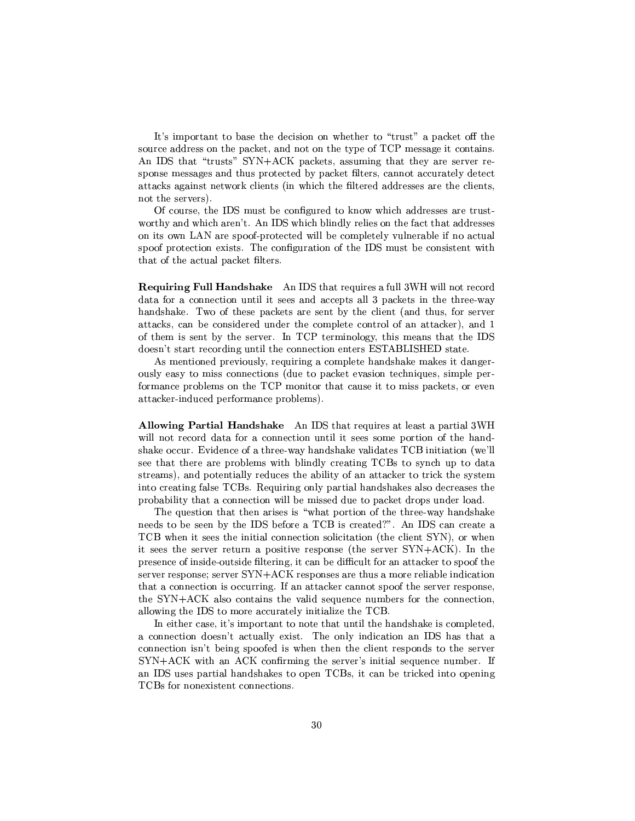$\blacksquare$  TVcePERpc $\blacksquare$  TVcePERpc $\blacksquare$  TVcePERpc $\blacksquare$ source address on the packet, and not on the type of TCP message it contains.  $\mathbf{r} = \mathbf{r} - \mathbf{r}$  the contracted  $\mathbf{r} = \mathbf{r} - \mathbf{r}$  , the contracted  $\mathbf{r} = \mathbf{r} - \mathbf{r}$ T±kVc ¯¶pTPykEP V-±PPyTy2 E±k\µ´\ V²³TµyV\PTy²³2RPyz JTPµ´ ¤V¤°a\P´²³P2 °VµPV²·PPy RPyPcp-P9PX²³µnot the servers).

as a set of the contract  $\mu$  of the contract  $\mu$  and  $\mu$   $\mu$   $\mu$   $\mu$   $\mu$   $\mu$   $\mu$ °a\TT 9Ve°µ<P~ y }s- 'uX°µ¶²VR²7P²³pq\XT jzPVJ RPyPcp  $\blacksquare$  . The  $\blacksquare$  and  $\blacksquare$  and  $\blacksquare$  is the  $\blacksquare$ spoof protection exists. The configuration of the IDS must be consistent with  $\blacksquare$  the contract of the contract of the contract of the contract of the contract of the contract of the contract of the contract of the contract of the contract of the contract of the contract of the contract of the con

 $\mathbf{r}$  -  $\mathbf{r}$  is the  $\mathbf{r}$  -  $\mathbf{r}$  is the  $\mathbf{r}$  -  $\mathbf{r}$  -  $\mathbf{r}$  -  $\mathbf{r}$  -  $\mathbf{r}$  -  $\mathbf{r}$  -  $\mathbf{r}$  -  $\mathbf{r}$  -  $\mathbf{r}$  -  $\mathbf{r}$  -  $\mathbf{r}$  -  $\mathbf{r}$  -  $\mathbf{r}$  -  $\mathbf{r}$  -  $\mathbf{r}$  -  $\$ data for a connection until it sees and accepts all 3 packets in the three-way  $\blacksquare$  . The set of  $\blacksquare$  and  $\blacksquare$  and  $\blacksquare$  $J$  yq C $J$  y $J$  y $J$  y $J$  y $J$  and  $J$  is a set  $J$  is a set  $J$  left  $J$  is a set  $J$  $\mathcal{A}$  , and the TyT7  $\mathcal{A}$  are the TyT7  $\mathcal{A}$  and  $\mathcal{A}$  the pure  $\mathcal{A}$  to  $\mathcal{A}$ R yT~ -µT4Py\µRXVP³²{T9\pzP³yPµ pQu.!}s,#u.pQµJP\

s¤¯¶T\p±P ³VT²³VP%\$T\*<¯¶±²³TXVVVcV\´\ ¯<´y³Vq  $\kappa$  years that the positive  $\kappa$  and  $\kappa$  and  $\kappa$  are the positive  $\kappa$  and  $\kappa$  $\bullet$  . The state of the state of the state of the state of the state of the state of the state of the state of the state of the state of the state of the state of the state of the state of the state of the state of the st attacker-induced performance problems).

 -- -- s 6u\*TVTy\$V³Py4J²ye±VTT²[z-  $\mathcal{L} = \mathcal{L} = \mathcal{L} = \mathcal{L} = \mathcal{L} = \mathcal{L} = \mathcal{L} = \mathcal{L} = \mathcal{L} = \mathcal{L} = \mathcal{L} = \mathcal{L} = \mathcal{L} = \mathcal{L} = \mathcal{L} = \mathcal{L} = \mathcal{L} = \mathcal{L} = \mathcal{L} = \mathcal{L} = \mathcal{L} = \mathcal{L} = \mathcal{L} = \mathcal{L} = \mathcal{L} = \mathcal{L} = \mathcal{L} = \mathcal{L} = \mathcal{L} = \mathcal{L} = \mathcal{L} = \mathcal$  $\blacksquare$  , the pH  $\blacksquare$  set of  $\blacksquare$  and  $\blacksquare$  and  $\blacksquare$  and  $\blacksquare$  and  $\blacksquare$ see that there are problems with blindly creating TCBs to synch up to data streams), and potentially reduces the ability of an attacker to trick the system P\*PyT j\²T0!f,4 Q&%\$T¶\V²³±VTT²mV\VTV´y4²T¶yPycpaT ±P\V\²³³¶TV¶\VyT\2°³²²{C ¯ePcp2T¶±Vµ´\-RP\±k VVR²³\m

The question that then arises is "what portion of the three-way handshake yang terminologi pada yang pertama pertama yang pertama yang pertama yang pertama yang pertama yang pertama ya !f, ° ³TpP7³T²q\VyT\ T\²·µJT\ <sup>2</sup> T¶²6u-64µ@°y ³Ecyy¶P cyT<PPT8 ±CT·P³Tpc±C\VT 2¬P TP\u-sf4z 8T TP\qPyT±kVT+TP\yXu-sf PyT±C\VTy\T4PkH¯¶\PTy²³²4³kRyJP³  $T$  ,  $T$  ,  $T$  ,  $T$  ,  $T$  ,  $T$  ,  $T$  ,  $T$  ,  $T$  ,  $T$  ,  $T$  ,  $T$  ,  $T$  ,  $T$  ,  $T$  ,  $T$  ,  $T$  ,  $T$  ,  $T$  ,  $T$  ,  $T$  ,  $T$  ,  $T$  ,  $T$  ,  $T$  ,  $T$  ,  $T$  ,  $T$  ,  $T$  ,  $T$  ,  $T$  ,  $T$  ,  $T$  ,  $T$  ,  $T$  ,  $T$  ,  $T$  , to the state of the state of the state of the state of the state of the state of the state of the state of the °àXTV 6uET dia mandro dia mandro dia mandro dia mandro dia mandro dia mandro dia mandro dia mandro dia mandro d

In either case, it's important to note that until the handshake is completed, pzT\'R pc^ zTk° and pc^ zTk° and pc^ zTk° and pc^ zTk° and pc^ zTk° and pc^ zTk° and pc^ zTk° and pc^ zTk° and p pzT\ c]~ eky³c±C y\$7° P PE²³XPyT±C\V TPTP\yweeks and the state of the state of the state of the state of the state of the state of the state of the state o  $\blacksquare$  $\blacksquare$  yT $\blacksquare$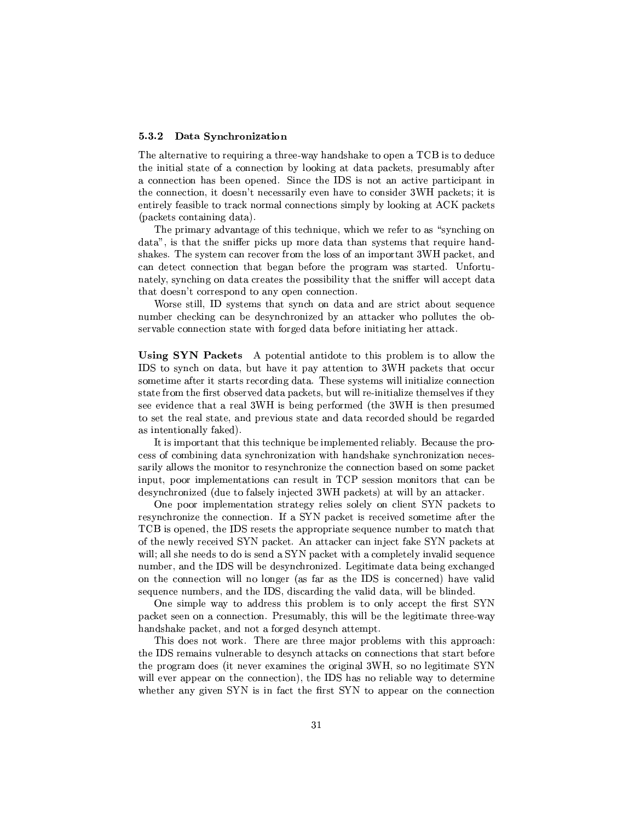### !--

!4\²·PPVJP³4T9P%\$P³9 TP°4\_9V\VTV´4T9±ky\*0!f,P7RpRV TV\*  $T$  , and the set of  $T$  is a set of  $T$  and  $T$  is a set of  $T$  in  $T$  , and  $T$  is a set of  $T$  $\equiv\{1\}$  . The contract of  $\equiv\{1\}$  is the contract of  $\equiv\{1\}$ entirely feasible to track normal connections simply by looking at ACK packets (packets containing data).

The primary advantage of this technique, which we refer to as "synching on  $\mathcal{F}$  , the contract proposition of  $\mathcal{F}$  proposition  $\mathcal{F}$  proposition of  $\mathcal{F}$ can detect connection that began before the program was started. Unfortu-VT²\RT VµXP¶PyTpHP±kTT³V³²·¶PVJ4P c@4°³²²{\yy±R-Jµ $\mathcal{T}_\mathcal{F}$  , and the state  $\mathcal{T}_\mathcal{F}$  and the state  $\mathcal{T}_\mathcal{F}$  and the state  $\mathcal{T}_\mathcal{F}$ 

-PTEcT²³² cRcTy¯¶9TVeT Vµ\$\\$VJP V\$\TPTz¶C\R¶cy\$VV number checking can be desynchronized by an attacker who pollutes the ob- $\blacksquare$ 

-astronomy. The state of the state of the state of the state of the state of the state of the state of the state of the state of the state of the state of the state of the state of the state of the state of the state of th 'u Tc Vµ PVRek\_\\*³X±V\_ cTyT\ PAz- ±V\µ´µ TkJ¶ yThe second control of the second control of the second control of the second control of the second control of t  $\mathcal{F}$  , and the state of the state of the state of the state of the state of the state of the state of the state of the state of the state of the state of the state of the state of the state of the state of the state o te valori te valori te valori te valori te valori te valori te valori te valori te valori te valori te valori t your police and the control of the control of the control of the control of the control of the control of the c as intentionally faked).

It is important that this technique be implemented reliably. Because the propT-12\*Juther\_20th the state of the state of the state of the state of the state of the state of the state of t to the state of the state of the state of the state of the state of the state of the state of the state of the ±Rp±k \X³¯¶±²¯¶yµJP³V7y PyT²·e³ !f#cpTT\ ¯¶\³TP9TVX\\$k  $\mathcal{L}$  recover the contribution of the contribution of the contribution of the contribution of the contribution of the contribution of the contribution of the contribution of the contribution of the contribution of the

¤ ±C \\*¯¶±²³y¯¶PT\'PPTy\P²y\*T\²²\$\t²³nu- ±Vµ´\PeT . The set of the set of the set of the set of the set of the set of the set of the set of the set of the set of the set of the set of the set of the set of the set of the set of the set of the set of the set of the set of TCB is opened, the IDS resets the appropriate sequence number to match that  $\mathcal{L} = \mathcal{L} = \mathcal{L} = \mathcal{L} = \mathcal{L} = \mathcal{L} = \mathcal{L} = \mathcal{L} = \mathcal{L} = \mathcal{L} = \mathcal{L} = \mathcal{L} = \mathcal{L} = \mathcal{L} = \mathcal{L} = \mathcal{L} = \mathcal{L} = \mathcal{L} = \mathcal{L} = \mathcal{L} = \mathcal{L} = \mathcal{L} = \mathcal{L} = \mathcal{L} = \mathcal{L} = \mathcal{L} = \mathcal{L} = \mathcal{L} = \mathcal{L} = \mathcal{L} = \mathcal{L} = \mathcal$  $77.7\pm7.7$ Cprv\*T 'u\*\*\*' $\sim7.7\pm7.7$  $\top$  . The space of the space of the space of the space of the space of the space of the space of the space of the space of the space of the space of the space of the space of the space of the space of the space of the sp T%\$k ¯7Cµ\VET 'u@kP\PRXT J\²³JµR°²³²{C ²³kRym

¤ T³¯¶±²°4\_\$T\$RPyP¶TVE±T²¯ <P \²±R\*P Vµcnu-±Vµ´\-Ty¶\pzP³{ X#HPyT¯<V²³P°³²²uCTV ²³y\³T¯¶TPTy)®°a\_ handshake packet, and not a forged desynch attempt.

This does not way. There are three major problems with this approach.  $T$  . To the set of the set of  $T$  is the contract contract to  $T$  . The contract  $\alpha$  $\sim$  2  $\sim$  2  $\sim$  2  $\sim$  2  $\sim$  2  $\sim$  2  $\sim$  2  $\sim$  2  $\sim$  2  $\sim$  2  $\sim$  2  $\sim$  2  $\sim$  2  $\sim$  2  $\sim$  2  $\sim$  2  $\sim$  2  $\sim$  2  $\sim$  2  $\sim$  2  $\sim$  2  $\sim$  2  $\sim$  2  $\sim$  2  $\sim$  2  $\sim$  2  $\sim$  2  $\sim$  2  $\sim$  2  $\sim$  2  $\sim$  2  $\sim$ °²³²>¤\±±Cy¤\P¶\VyT\^4zkP 'uk\¤EP²\²9°a\_T2RPP¯¶³  $\mathbf{r} = \mathbf{r} \cdot \mathbf{r}$  . The contract of the contract of the contract of the contract of the contract of the contract of the contract of the contract of the contract of the contract of the contract of the contract of the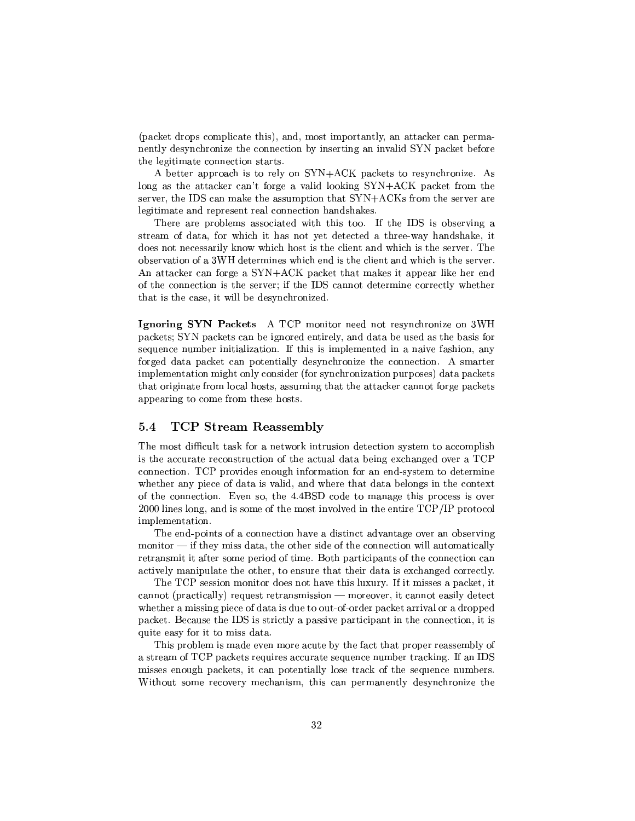$2$  and  $\mathcal{L}=\mathcal{L}=\mathcal{L}=\mathcal{L}=\mathcal{L}=\mathcal{L}=\mathcal{L}=\mathcal{L}=\mathcal{L}=\mathcal{L}=\mathcal{L}=\mathcal{L}=\mathcal{L}=\mathcal{L}=\mathcal{L}=\mathcal{L}=\mathcal{L}=\mathcal{L}=\mathcal{L}=\mathcal{L}=\mathcal{L}=\mathcal{L}=\mathcal{L}=\mathcal{L}=\mathcal{L}=\mathcal{L}=\mathcal{L}=\mathcal{L}=\mathcal{L}=\mathcal{L}=\mathcal{L}=\mathcal{L}=\mathcal{L}=\mathcal{L}=\mathcal{L}=\math$  $\mathcal{P}=\mathcal{P}=\mathcal{P}=\mathcal{P}=\mathcal{P}=\mathcal{P}$ tvaria en el termino de la termino de la termino de la termino de la termino de la termino de la termino de la

 $\mathbf{z} = \mathbf{z} - \mathbf{z}$  , the contract  $\mathbf{z} = \mathbf{z} - \mathbf{z}$  , the contract  $\mathbf{z} = \mathbf{z} - \mathbf{z}$  $\mathbf{r}$  , and  $\mathbf{r}$  ,  $\mathbf{r}$  and  $\mathbf{r}$  is the contract  $\mathbf{r}$  ,  $\mathbf{r}$  $\mathbf{u} = \mathbf{v} + \mathbf{v}$ legitimate and represent real connection handshakes.

.4P P  $\bullet$  . The property of the property of the property  $\bullet$  and  $\bullet$  . The property of the property of the property of the property of the property of the property of the property of the property of the property of the cTPy virtually contained a set of the contact of the contact of the contact of the contact of the contact of the contact of the contact of the contact of the contact of the contact of the contact of the contact of the cont  $R$  yards and  $R$  are the set of  $\mathcal{P}$  and  $\mathcal{P}$  are the set of  $\mathcal{P}$  and  $\mathcal{P}$  are the set of  $\mathcal{P}$  $\kappa$  types and  $\kappa$  are the contract of  $\kappa$  of  $\kappa$  and  $\kappa$   $\kappa$  $\mathcal{S}=\{s\in\mathcal{S}^{\mathcal{S}}: s\in\mathcal{S}^{\mathcal{S}}\}$  , where  $\mathcal{S}=\{s\in\mathcal{S}^{\mathcal{S}}: s\in\mathcal{S}^{\mathcal{S}}: s\in\mathcal{S}^{\mathcal{S}}: s\in\mathcal{S}^{\mathcal{S}}\}$  $T$ yT $T$ yT $T$ ave $T$ P $T$ P $T$ P $T$ P $T$ 

- - - <sup>s</sup> !f#¯¶\³TXyy¶PyTkµT\*\* z-  $\pm\infty$  . The contract of the contract of the contract  $\pm\infty$  . The contract of the contract of the contract of the contract of the contract of the contract of the contract of the contract of the contract of the contract ata sa na matangana na matangana na matangana na matangana na matangana na matangana na matangana na matangana forged data packet can potentially desynchronize the connection. A smarter ¯e±V²³y¯eyPJP³9¯¶³^\V²³ VTRyQ2 \qc VµP\V\*pJT\ ±VT±CTy54mVJP-±V\µ´PThe three terms in the contract of the contract of the contract of the contract of the contract of the contract of the contract of the contract of the contract of the contract of the contract of the contract of the contra  $\bullet$  . The contract of the contract of the contract of the contract of the contract of the contract of the contract of the contract of the contract of the contract of the contract of the contract of the contract of the co

## 5.4 TCP Stream Reassembly

The most difficult task for a network intrusion detection system to accomplish -PePTXTp\kPTVT\+T¶\TV\²>Pky³VE)1µV\\pJ\yg!f# connection. TCP provides enough information for an end-system to determine  $\mathcal{L}=\mathcal{L}=\mathcal{L}=\mathcal{L}=\mathcal{L}=\mathcal{L}=\mathcal{L}=\mathcal{L}=\mathcal{L}=\mathcal{L}=\mathcal{L}=\mathcal{L}=\mathcal{L}=\mathcal{L}=\mathcal{L}=\mathcal{L}=\mathcal{L}=\mathcal{L}=\mathcal{L}=\mathcal{L}=\mathcal{L}=\mathcal{L}=\mathcal{L}=\mathcal{L}=\mathcal{L}=\mathcal{L}=\mathcal{L}=\mathcal{L}=\mathcal{L}=\mathcal{L}=\mathcal{L}=\mathcal{L}=\mathcal{L}=\mathcal{L}=\mathcal{L}=\mathcal{L}=\mathcal{$ of the connection. Even so, the  $4.4BSD$  code to manage this process is over  $z$   $\rightarrow$   $z$   $\rightarrow$   $z$   $\rightarrow$   $z$   $\rightarrow$   $z$   $\rightarrow$   $z$   $\rightarrow$   $z$   $\rightarrow$   $z$   $\rightarrow$   $z$   $\rightarrow$   $z$   $\rightarrow$   $z$   $\rightarrow$   $z$   $\rightarrow$   $z$   $\rightarrow$   $z$   $\rightarrow$   $z$   $\rightarrow$   $z$   $\rightarrow$   $z$   $\rightarrow$   $z$   $\rightarrow$   $z$   $\rightarrow$   $z$   $\rightarrow$   $z$   $\rightarrow$   $z$   $\rightarrow$   $z$   $\rightarrow$   $z$   $\rightarrow$   $z$  implementation.

. The contraction of the contract  $\mathcal{A}\subset\mathcal{A}\subset\mathcal{A}\subset\mathcal{A}$  and  $\mathcal{A}\subset\mathcal{A}\subset\mathcal{A}\subset\mathcal{A}$  $\Box$ PTµkc¯¶³q³ ¬T c¯e±CP e+CP³¯¶ ,a\T¶±VTT±V\µq@TVyT\¶\ \T\y²³<¯<V³±V²TT \Tyy P¶VTPPVJP-Jµe41Rµky\*\PTpzT²\

The TCP session monitor does not have this luxury. If it misses a packet, it  $\epsilon$  cannot (practically) request retransmission — moreover, it cannot easily detect  $\mathcal{L}=\mathcal{L}=\mathcal{L}=\mathcal{L}=\mathcal{L}=\mathcal{L}=\mathcal{L}=\mathcal{L}=\mathcal{L}=\mathcal{L}=\mathcal{L}=\mathcal{L}=\mathcal{L}=\mathcal{L}=\mathcal{L}=\mathcal{L}=\mathcal{L}=\mathcal{L}=\mathcal{L}=\mathcal{L}=\mathcal{L}=\mathcal{L}=\mathcal{L}=\mathcal{L}=\mathcal{L}=\mathcal{L}=\mathcal{L}=\mathcal{L}=\mathcal{L}=\mathcal{L}=\mathcal{L}=\mathcal{L}=\mathcal{L}=\mathcal{L}=\mathcal{L}=\mathcal{L}=\mathcal{$ 

 $\blacksquare$  . The set of the set of the set of the set of the set of the set of the set of the set of the set of the set of the set of the set of the set of the set of the set of the set of the set of the set of the set of the a stream of TCP packets requires accurate sequence number tracking. If an IDS  $\bar{p}_1=\bar{p}_2=\bar{p}_3$ y  $\bar{p}_3=\bar{p}_3=\bar{p}_3$ y  $\bar{p}_4=\bar{p}_4=\bar{p}_4$ -'³TR2T\¯¶ PyJ\yT\$¯¶pµVT¯24Pyt±CP¯<yP²³8Rpc VµP\V\*yT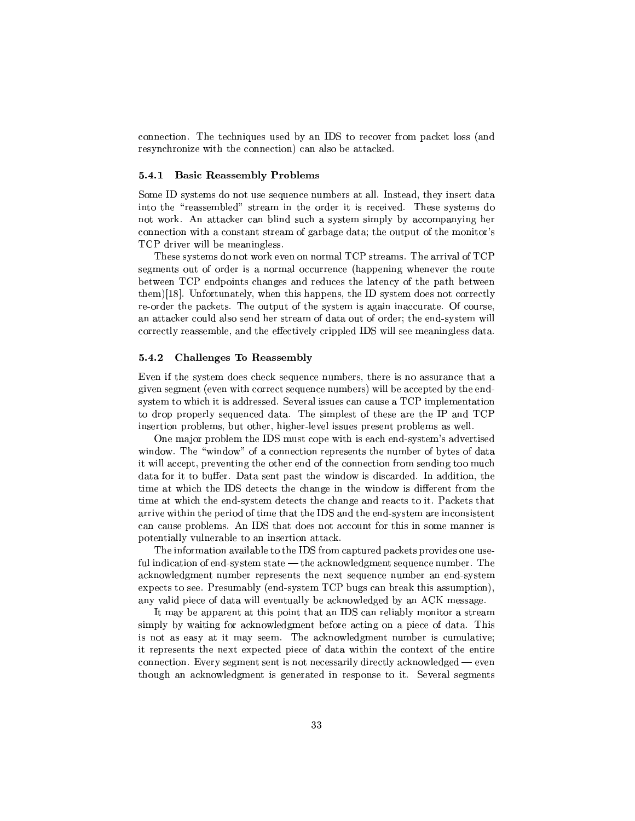connection. The techniques used by an IDS to recover from packet loss (and resynchronize with the connection) can also be attacked.

#### $5.4.1$ - - - ! -

Some ID systems do not use sequence numbers at all. Instead, they insert data P P8cPyTT¯X²³p¡ cTPy\¯ ³TPRyX³<¶Py\pm !4pccRcTy¯¶¶R  $\overline{\phantom{a}}$  s-curve transformation  $\overline{\phantom{a}}$  . The s-construction of  $\overline{\phantom{a}}$  and  $\overline{\phantom{a}}$  and  $\overline{\phantom{a}}$  and  $\overline{\phantom{a}}$  $p$  and  $p$  and  $p$  and  $p$  and  $p$  and  $p$  and  $p$  and  $p$  and  $p$  and  $p$  and  $p$ !f#8RP³4°³²²{C ¯¶yV³²³pTy

. The set of the set of  $\mathcal{A}$  and  $\mathcal{A}$  are the set of  $\mathcal{A}$  . The corresponding to  $\mathcal{A}$ T\¯¶yµ \7\µRy9X\P¯<²HRyPTyV
2jV±V±ky³V °V\y TVEP\RPbetween TCP endpoints changes and reduces the latency of the path between To a set of  $\tau$  m is a set of  $\tau$  . The properties of  $\tau$  is a set of  $\tau$  p  $\tau$  p  $\tau$  $\mathcal{P}$  and the contract  $\mathcal{P}$  of  $\mathcal{P}$  of  $\mathcal{P}$  of  $\mathcal{P}$  of  $\mathcal{P}$  of  $\mathcal{P}$  of  $\mathcal{P}$  of  $\mathcal{P}$  of  $\mathcal{P}$  of  $\mathcal{P}$  of  $\mathcal{P}$  of  $\mathcal{P}$  of  $\mathcal{P}$  of  $\mathcal{P}$  of  $\mathcal{P}$  of  $\mathcal{P}$  of  $\math$  $\mathcal{P}=\mathcal{P}=\mathcal{P}=\mathcal{P}=\mathcal{P}=\mathcal{P}=\mathcal{P}=\mathcal{P}=\mathcal{P}=\mathcal{P}=\mathcal{P}=\mathcal{P}=\mathcal{P}=\mathcal{P}=\mathcal{P}=\mathcal{P}=\mathcal{P}=\mathcal{P}=\mathcal{P}=\mathcal{P}=\mathcal{P}=\mathcal{P}=\mathcal{P}=\mathcal{P}=\mathcal{P}=\mathcal{P}=\mathcal{P}=\mathcal{P}=\mathcal{P}=\mathcal{P}=\mathcal{P}=\mathcal{P}=\mathcal{P}=\mathcal{P}=\mathcal{P}=\mathcal{P}=\mathcal{$ TPyT²7PyTT¯X²³\VeT)@yT\y²³¶P³±V±²³p 'u¶°³²²@cy¯¶y\³V\²yP P

#### 5.4.2 !- - - !

pH HPeTRP¯ R yµpµ´T%\$yVX ¯7CµCPPX¤2TTµV TkJ $\gamma$  and  $\gamma$  and  $\gamma$  and  $\gamma$  and  $\gamma$  and  $\gamma$ system to which it is addressed. Several issues can cause a TCP implementation tvaria varia turisti konstruitori en al territori en al territori en al territori en al territori en al territori

 $\bm z$  and  $\bm z$  the contract  $\bm z$  that is the contract  $\bm z$  and  $\bm z$  and  $\bm z$   $\bm z$  and  $\bm z$   $\bm z$   $\bm z$  and  $\bm z$   $\bm z$   $\bm z$   $\bm z$   $\bm z$   $\bm z$   $\bm z$   $\bm z$   $\bm z$   $\bm z$   $\bm z$   $\bm z$   $\bm z$   $\bm z$   $\bm z$   $\bm z$   $\bm z$   $\bm z$ °VRJ° !4c°VRJ°-¡7>epzT\2P±PyTP TV ¯Xkyu Tp4qJµ it will accept, preventing the other end of the connection from sending too much  $\mathbf{P}=\mathbf{P}$  -applied to the proposition of the proposition of the proposition of the proposition of the proposition of the proposition of the proposition of the proposition of the proposition of the proposition of the to the second particle in the second particle in the second particle in the second particle in the second particle in the second particle in the second particle in the second particle in the second particle in the second  $\mathcal{T}_\mathcal{A}$  , the set of the set of the set of the set of the set of the set of the set of the set of the set of the set of the set of the set of the set of the set of the set of the set of the set of the set of the set P ≠CP ±CP 'u Division's the TVU in the TVUP 'under the TVUP 'under the TVUP 'under the TVUP 'under the TVUP 'u  $\bm{\mathcal{L}}=\bm{\mathcal{L}}\cdot\mathbf{V}\cdot\mathbf{V}$ potentially vulnerable to an insertion attack.

The information available to the IDS from captured packets provides one useful indication of end-system state  $-$  the acknowledgment sequence number. The  $\mathcal{I}^*$  J° you are the set of  $\mathcal{I}^*$  and  $\mathcal{I}^*$  are the vertex  $\mathcal{I}^*$ expects to see. Presumably (end-system TCP bugs can break this assumption),

¯¶\_<C ±±kP44T4±k³4TkJ- 6u\P²\²<¯e³T\ePTp¯ it represents the next expected piece of data within the context of the entire pzT\u LpHP cy\¯¶>Tq>\yyPT\T²³RTpzP²³9µ´VJ°²³pR\p"v \y TV\ \8µ´ J°²³pR\¯¶ye\*\VµJTp8Tpc±C\kcT ³y uR\yP\²cy\¯¶P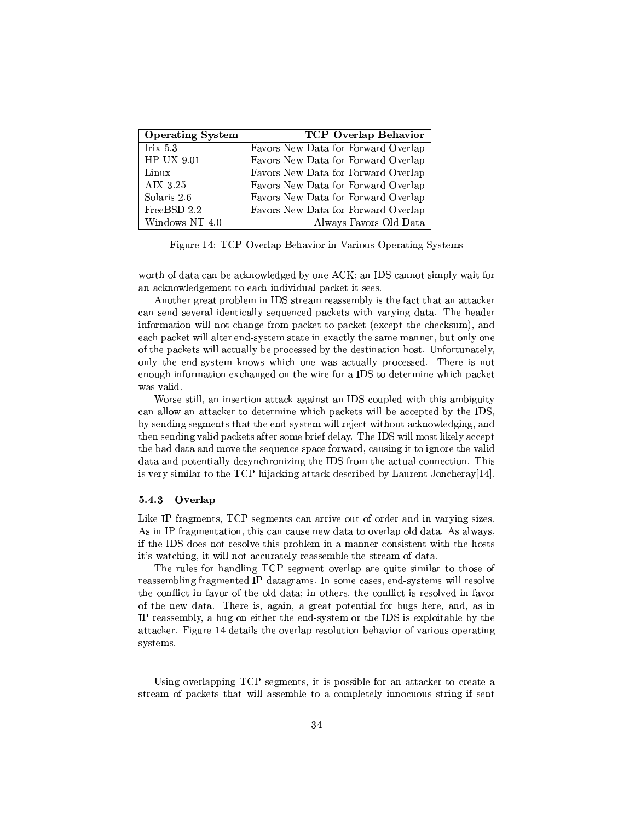| <b>Operating System</b> | TCP Overlap Behavior                |
|-------------------------|-------------------------------------|
| Irix $5.3$              | Favors New Data for Forward Overlap |
| HP-UX 9.01              | Favors New Data for Forward Overlap |
| Linux                   | Favors New Data for Forward Overlap |
| AIX 3.25                | Favors New Data for Forward Overlap |
| Solaris 2.6             | Favors New Data for Forward Overlap |
| FreeBSD 2.2             | Favors New Data for Forward Overlap |
| Windows NT 4.0          | Always Favors Old Data              |

 $\Pi^\star$  at  $\Pi$   $\cap$   $\Omega$   $\Omega$  is  $\Pi$  and  $\Omega$  is  $\Omega$  contributions of  $\Omega$  contributions of  $\Omega$  contributions of  $\Omega$  is  $\Omega$  is a contribution of  $\Omega$  is  $\Omega$  is a contribution of  $\Omega$  is  $\Omega$  is a contribution of  $\Omega$ 

 $\blacksquare$  and the set of  $\blacksquare$  and the set of  $\blacksquare$  and the set of  $\blacksquare$  and the set of  $\blacksquare$ an acknowledgement to each individual packet it sees.

s-contract the contract of the contract of the contract of the contract of the contract of the contract of the contract of the contract of the contract of the contract of the contract of the contract of the contract of th \TVT\yP\²uRPy²²³ T%\$yVp ±Vµ´\P¤°·PJP ³V2PV !4¶yR information will not change from packet-to-packet (except the checksum), and each packet will alter end-system state in exactly the same manner, but only one  $\mathcal{F}$  . The contract  $\mathcal{F}$  is the contract of  $\mathcal{F}$  and  $\mathcal{F}$  . The contract of  $\mathcal{F}$ was valid.

-PT9cT²³² k\VTTT\JTP\µ´2V-\ 'u2±²y°³T2T\¯7\V·  $\blacksquare$  JTP $\blacksquare$  JTP $\blacksquare$  JTP $\blacksquare$  JTP $\blacksquare$  JTP $\blacksquare$  JTPs ET $\blacksquare$  at the  $\blacksquare$  at the  $\blacksquare$ by sending segments that the end-system will reject without acknowledging, and  $\blacksquare$  to the contract of the contract of the contract of the contract of the contract of the contract of the contract of the contract of the contract of the contract of the contract of the contract of the contract of the TV V7PV7. TV V7PV7. TV V7PV7. TV V7PV7. TV V7PV7. TV V7PV7. TV V7PV7. TV V7PV7. TV V3T JA T4J data and potentially desynchronizing the IDS from the actual connection. This H\yT\compare the compare to the compare to the compare to the compare to the compare to the compare of the compa

#### $5.4.3$ Overlap

 ${\bf -}$  . The  ${\bf -}$ share the approximation of the Australian control of the Australian control of the Australian control of the A >P 'uR y-PyT\²\TV±T²¯"³ ¶¯<V\VTP-°·PTXcP $\blacksquare$ 

The rules for handling TCP segment overlap are quite similar to those of reassembling fragmented IP datagrams. In some cases, end-systems will resolve the conflict in favor of the old data; in others, the conflict is resolved in favor of the new data. There is, again, a great potential for bugs here, and, as in  $\equiv$  Tp $\equiv$  Tp $\equiv$  Tp $\equiv$  Tp $\equiv$  Tp $\equiv$  Tp $\equiv$  Tp $\equiv$  Tp $\equiv$  Tp $\equiv$ JP $\pm$  jp $\pm$  at a set  $\pm$  . The set of  $\pm$  is a set of  $\pm$   $\pm$   $\pm$   $\pm$   $\pm$ systems.

T³V2JP²\±±e!f# cy\¯¶µm³9±CPc²\ Jcµ\µ´¤TPyTX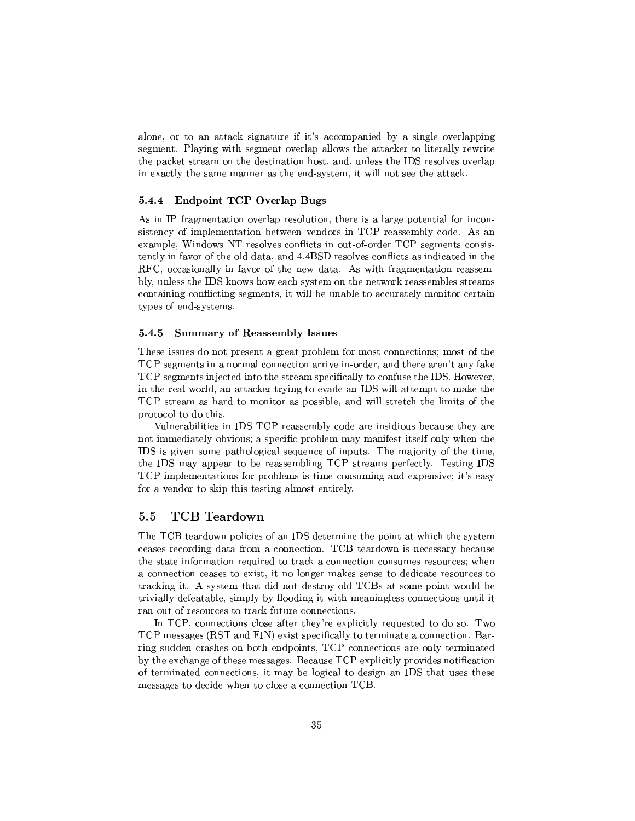$\blacksquare$  The set of the set of the set of the set of the set of the set of the set of the set of the set of the set of the set of the set of the set of the set of the set of the set of the set of the set of the set of the s T\¯¶yp 6#²\_ E°³Tcy\¯¶J\P²± ²²J°-TVecPµ´\y-T2²·Pµ²²³P°P·PTV±k\µ´\4cTPy\¯ \ET RpP³VT\2cy\Vm ²yPaTV 'uETpc²³y J\P²±  $2\pi$  and  $2\pi$  and  $2\pi$  and  $2\pi$  and  $2\pi$  and  $2\pi$  and  $2\pi$ 

## $\blacksquare$   $\blacksquare$   $\blacksquare$   $\blacksquare$   $\blacksquare$   $\blacksquare$   $\blacksquare$   $\blacksquare$   $\blacksquare$   $\blacksquare$   $\blacksquare$   $\blacksquare$   $\blacksquare$   $\blacksquare$   $\blacksquare$   $\blacksquare$   $\blacksquare$   $\blacksquare$   $\blacksquare$   $\blacksquare$   $\blacksquare$   $\blacksquare$   $\blacksquare$   $\blacksquare$   $\blacksquare$   $\blacksquare$   $\blacksquare$   $\blacksquare$   $\blacksquare$   $\blacksquare$   $\blacksquare$   $\blacks$

s¤ #Zµ¯¶PT\J\yT²±PyT\²RT\uVPP7¤E²\T9±CTyT²L\³V\. The set  $\mathbf{P}_{\mathbf{C}}$  is the positive  $\mathbf{P}_{\mathbf{C}}$  $\sim$  100  $\sim$  100  $\sim$  100  $\sim$  100  $\sim$  100  $\sim$  100  $\sim$  100  $\sim$  100  $\sim$  100  $\sim$  100  $\sim$  100  $\sim$  100  $\sim$  100  $\sim$  100  $\sim$  100  $\sim$  100  $\sim$  100  $\sim$  100  $\sim$  100  $\sim$  100  $\sim$  100  $\sim$  100  $\sim$  100  $\sim$  100  $\sim$   $t$ ently in favor of the old data, and  $4.4BSD$  resolves conflicts as indicated in the RFC, occasionally in favor of the new data. As with fragmentation reassem-²\²yPHP 'u<´ J°- J°8yµ\*cRcT¯ ¶T°a\P´7PyTT¯X²yHcTPy\¯¶ P¶\
%VT<cy\¯¶µR³-°³²²mC VV²³P¶PTy²³<¯¶\V·P\-ycµtypes of end-systems.

#### 5.4.5 ! - - ! - --

termine to the control of the control of the control of the control of the control of the control of the control of the control of the control of the control of the control of the control of the control of the control of . The contract of the contract of the contract of the contract of the contract of the contract of the contract of the contract of the contract of the contract of the contract of the contract of the contract of the contrac  $\mathbf{r} = \mathbf{r} = \mathbf{r} = \mathbf{r} = \mathbf{r} = \mathbf{r} = \mathbf{r} = \mathbf{r} = \mathbf{r} = \mathbf{r} = \mathbf{r} = \mathbf{r} = \mathbf{r} = \mathbf{r} = \mathbf{r} = \mathbf{r} = \mathbf{r} = \mathbf{r} = \mathbf{r} = \mathbf{r} = \mathbf{r} = \mathbf{r} = \mathbf{r} = \mathbf{r} = \mathbf{r} = \mathbf{r} = \mathbf{r} = \mathbf{r} = \mathbf{r} = \mathbf{r} = \mathbf{r} = \mathbf$ protocol to do this.

Vulnerabilities in IDS TCP reassembly code are insidious because they are  $\pm$  , and the set of the set of the set of the set of the set of the set of the set of the set of the set of the set of the set of the set of the set of the set of the set of the set of the set of the set of the set of t IDS is given some pathological sequence of inputs. The majority of the time, . The second contract of the property of the property of the property of the property of the property of the p — ee±vara to beyond the variable to be very self-on the variable to be very self-on the variable to be very self-on the variable to be very self-on the variable to be very self-on the variable to be very self-on the varia  $\bullet$  . The contract of the contract of the contract of the contract of the contract of the contract of the contract of the contract of the contract of the contract of the contract of the contract of the contract of the co

#### $5.5$ TCB Teardown

!4'!f,Ty\PJ°\*±k²³y > 'u\*TyT¯¶¤T±k³-Ja°µ\*TVTRP¯ceases recording data from a connection. TCB teardown is necessary because TV9 JT STV9 JT STV9 JT STV9 JT STV9 JT STV JT STV JT STV JT STV JT STV JT STV JT STV JT STV JT STV JT STV JT S  $\mathcal{L}_\mathcal{D}$  and  $\mathcal{L}_\mathcal{D}$  and  $\mathcal{L}_\mathcal{D}$  and  $\mathcal{L}_\mathcal{D}$  and  $\mathcal{L}_\mathcal{D}$  and  $\mathcal{L}_\mathcal{D}$  and  $\mathcal{L}_\mathcal{D}$  and  $\mathcal{L}_\mathcal{D}$  and  $\mathcal{L}_\mathcal{D}$  and  $\mathcal{L}_\mathcal{D}$  and  $\mathcal{L}_\mathcal{D}$  and  $\mathcal{L}_\mathcal{D$ ran out of resources to track future connections.

In TCP, connections close after they're explicitly requested to do so. Two TCP messages (RST and FIN) exist specifically to terminate a connection. Bar- $\mathcal{L}$  . The contract contract contract  $\mathcal{L}$  is a set of  $\mathcal{L}$  and  $\mathcal{L}$  and  $\mathcal{L}$ tang patangang patangang patangang patangang patangang patangang patangang patangang patangang patangang patang Ty  $\mathcal{I}^{\mathcal{I}}$  and  $\mathcal{I}^{\mathcal{I}}$  are called the contribution of  $\mathcal{I}^{\mathcal{I}}$ ¯¶yPT\\p P<RyR °V2T<²T ¶\VyT\!f,¤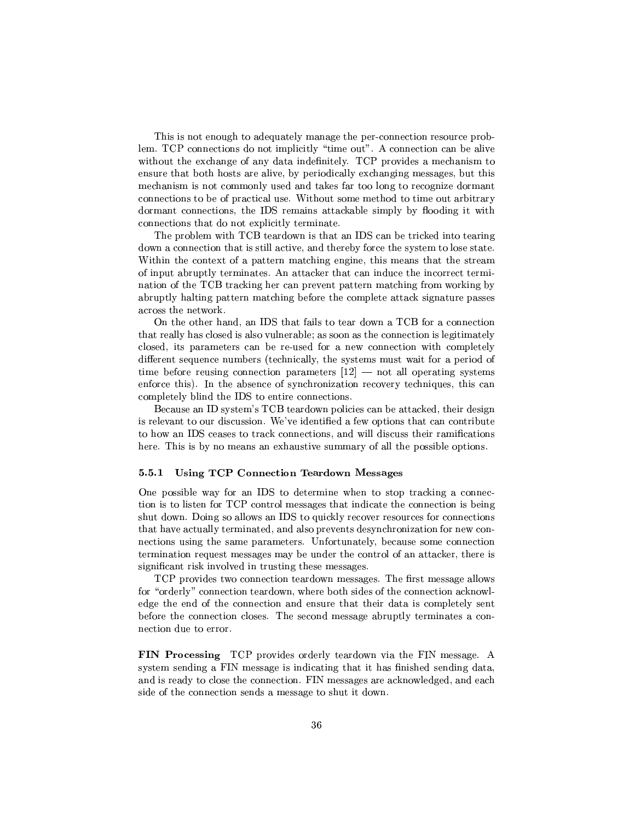. However, the state of the state of the state  $\mathcal{A}$  ytakes of the state of the state of the state of the state of the state of the state of the state of the state of the state of the state of the state of the state of  $\blacksquare$  3starting 3starting 3starting 3starting 3starting 3starting 3starting 3starting 3starting 3starting 3starting 3starting 3starting 3starting 3starting 3starting 3starting 3starting 3starting 3starting 3starting 3sta without the exchange of any data indefinitely. TCP provides a mechanism to kcPTVCTµ-P ²³\R E±CP y²²³\*1µV³Ve¯¶pTPyyVR-TV $\blacksquare$ the contract of the contract of the contract of the contract of the contract of the contract of the contract of RT¯<<yT\VyHP 6uP¯<V<cPµ´J²2T¯e±V²³\$ %kRR ³\*°·P connections that do not explicitly terminate.

!4±T²¯ °³T!f,Py\PRJ°E TkJ- 'uk¤TPµ´\y\*³TXTpP³V  $R$  and  $R$  and  $R$  and  $R$  and  $R$  are  $T$  types  $R$  -  $R$  -  $R$  -  $R$  -  $R$  -  $R$  -  $R$  -  $R$  -  $R$  -  $R$  -  $R$  -  $R$  -  $R$  -  $R$  -  $R$  -  $R$  -  $R$  -  $R$  -  $R$  -  $R$  -  $R$  -  $R$  -  $R$  -  $R$  -  $R$  -  $R$  -  $R$  -  $R$  -  $R$ tter i Sammen van de Sammen van de Sammen van de Sammen van de Sammen van de Sammen van de Sammen van de Samme  $\overline{\tt R}\cdot\overline{\tt R}\cdot\overline{\tt R}\cdot\overline{\tt R}\cdot\overline{\tt R}\cdot\overline{\tt R}\cdot\overline{\tt R}\cdot\overline{\tt R}\cdot\overline{\tt R}\cdot\overline{\tt R}\cdot\overline{\tt R}\cdot\overline{\tt R}\cdot\overline{\tt R}\cdot\overline{\tt R}\cdot\overline{\tt R}\cdot\overline{\tt R}\cdot\overline{\tt R}\cdot\overline{\tt R}\cdot\overline{\tt R}\cdot\overline{\tt R}\cdot\overline{\tt R}\cdot\overline{\tt R}\cdot\overline{\tt R}\cdot\overline{\tt R}\cdot\overline{\tt R}\cdot\overline{\tt R}\cdot\overline{\tt R}\cdot\overline{\$ VT\E+uP !f,8Tµ\µ´ 7y-\E±Pa±kJcPP¯<PµT¯ °T´ 7 abruptly halting pattern matching before the complete attack signature passes

¤TXP-kVm@ 'u2PVJ-j\³²P<TpRJ°!f, ¤\*\VyzP³ The variable  $T$  is the variable  $T$  and  $T$   $\mathcal{S}$   $\mathcal{S}$   $\mathcal{S}$   $\mathcal{S}$   $\mathcal{S}$   $\mathcal{S}$   $\mathcal{S}$   $\mathcal{S}$ closed, its parameters can be re-used for a new connection with completely  $R$  and the set of the set of the set of the set of the set of the set of the set of the set of the set of the set of the set of the set of the set of the set of the set of the set of the set of the set of the set of the T $\Gamma$  PVT  $\Gamma$  PVT  $\Gamma$  PVT  $\Gamma$  PVT  $\Gamma$  PVT  $\Gamma$  and  $\Gamma$  and  $\Gamma$  are  $\Gamma$  and  $\Gamma$  are  $\Gamma$ enforce this). In the absence of synchronization recovery techniques, this can ¯¶±²³Ty²³\*V²³VT 'uT¶yP³P yT\Vy

,ay are the contract of the contract  $\mathcal{C}$  and  $\mathcal{C}$  represented to  $\mathcal{C}$ P\$J T74RPkTTqueen in the control term in the control term in the control term in the control term in the control term in the control term in the control term in the control term in the control term in the control term in t Type To the second control of the second control of the second control of the second control of the second control of the second control of the second control of the second control of the second control of the second contr  $\mathcal{L}=\mathcal{L}=\mathcal{L}+\mathcal{L}$ 

#### 5.5.1 -- -  - !- -!-

One possible way for an IDS to determine when to stop tracking a connec- $\Gamma$  at the state  $\Gamma$  TP  $\Gamma$  and  $\Gamma$  Table  $\Gamma$  Table  $\Gamma$  Table  $\Gamma$  Table  $\Gamma$  $T$  , the  $T$  -mode is the set of  $\alpha$ that have actually terminated, and also prevents desynchronization for new consignificant risk involved in trusting these messages.

!f#8±PJRpa°\*\pzP³EPyµRJ°¯¶yPT\\p 3!4'kPc¯¶yPT\\²²³J°for "orderly" connection teardown, where both sides of the connection acknowl- $\mathcal{F}^{\mathcal{F}}$  at a set of the  $\mathcal{F}^{\mathcal{F}}$  and  $\mathcal{F}^{\mathcal{F}}$  contains the  $\mathcal{F}^{\mathcal{F}}$  contains the  $\mathcal{F}^{\mathcal{F}}$  $\Gamma$  , and the  $\Gamma$  -type  $\Gamma$  at  $\Gamma$   $\equiv$   $\Gamma$   $\equiv$   $\Gamma$   $\equiv$   $\Gamma$   $\equiv$   $\Gamma$   $\equiv$   $\Gamma$   $\equiv$   $\Gamma$   $\equiv$   $\Gamma$   $\equiv$   $\Gamma$   $\equiv$   $\Gamma$   $\equiv$   $\Gamma$   $\equiv$   $\Gamma$   $\equiv$   $\Gamma$   $\equiv$   $\Gamma$   $\equiv$   $\Gamma$   $\equiv$   $\Gamma$   $\equiv$   $\Gamma$   $\equiv$   $\Gamma$   $\equiv$   $\Gamma$   $\$ nection due to error.

\$ !- - !f#±PJ y9PP²³TpµRJ° Th ¯¶yPP\ <s  $\mathcal{L}=\mathcal{L}=\mathcal{L}=\mathcal{L}=\mathcal{L}=\mathcal{L}=\mathcal{L}=\mathcal{L}=\mathcal{L}=\mathcal{L}=\mathcal{L}=\mathcal{L}=\mathcal{L}=\mathcal{L}=\mathcal{L}=\mathcal{L}=\mathcal{L}=\mathcal{L}=\mathcal{L}=\mathcal{L}=\mathcal{L}=\mathcal{L}=\mathcal{L}=\mathcal{L}=\mathcal{L}=\mathcal{L}=\mathcal{L}=\mathcal{L}=\mathcal{L}=\mathcal{L}=\mathcal{L}=\mathcal{L}=\mathcal{L}=\mathcal{L}=\mathcal{L}=\mathcal{L}=\mathcal{$  $\bm{r}$  Type  $\bm{r}$  Type  $\bm{r}$  and  $\bm{r}$  and  $\bm{r}$  and  $\bm{r}$  is the set of  $\bm{r}$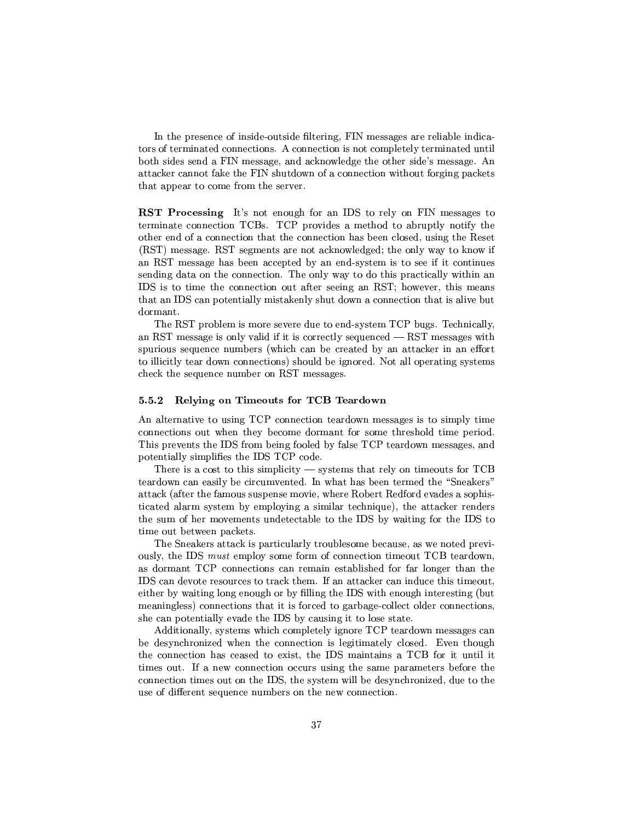+avtronomia +avtronomia +avtronomia +avtronomia +avtronomia +avtronomia +avtronomia +avtronomia +avtronomia +av TP=+kPP=P=VTyeP=VTyeP=VTyeP=VTyeP=VTyePa=VTyePa=VTyePa=VTyePa=VTyePa=VTyePa=VTyePa=VTyePa=VTyePa=VTyePa=VTyePa=VTyePa=VTyePa=VTyePa=VTyePa=VTyePa=VTyePa=VTyePa=VTyePa=VTyePa=VTyePa=VTyePa=VTyePa=VTyePa=VTyePa=VTyePa=VTyePa  $\mathcal{T}_\mathcal{P}$  , and the proposition of  $\mathcal{T}_\mathcal{P}$  and  $\mathcal{T}_\mathcal{P}$  are  $\mathcal{T}_\mathcal{P}$  $J\colon\mathbb{R}^n\to\mathbb{R}^n$  , we can also the set of  $\mathbb{R}^n$  and  $\mathbb{R}^n$   $\mathbb{R}^n$ that appear to come from the server.

 - - - %~ E\EV\ \\ 'u T\$P² \ h ¯¶yPP\p¶T other end of a connection that the connection has been closed, using the Reset 2&"u.!4a¯¶yPT\\ X&u.!/T\¯¶yµP µ´ J°²³pR\p[ TV9\²E°4\_<P<´VJ° an RST message has been accepted by an end-system is to see if it continues  $\mathcal{F}^*$  . The proposition of the proposition of the proposition of the proposition of the proposition of the proposition of the proposition of the proposition of the proposition of the proposition of the proposition of IDS is to time the connection out after seeing an RST; however, this means The contraction of the contraction of the contraction of the contraction of the contraction of the contraction of the contraction of the contraction of the contraction of the contraction of the contraction of the contract dormant.

!4"&"u.!8±P\²¯ ¯¶\P-cy\yT-RV-TXV.®TRP¯d!f# !^yµ\²³²\ an RST message is only valid if it is correctly sequenced  $-$  RST messages with  $T$  , and  $T$  are  $T$  and  $T$  centred by  $\mathcal{L}$  and  $\mathcal{L}$  are  $\mathcal{L}$  and  $\mathcal{L}$  and  $\mathcal{L}$  are  $\mathcal{L}$  and  $\mathcal{L}$  and  $\mathcal{L}$  and  $\mathcal{L}$  and  $\mathcal{L}$  and  $\mathcal{L}$  and  $\mathcal{L}$  and  $\mathcal{L}$  and  $\mathcal{L}$  an The construction of the construction of the construction of the case of the construction of the construction of the c check the sequence number on RST messages.

### !-  - -

s- is-a international particle in the pype  $\frac{1}{\sqrt{2}}$  of  $\frac{1}{\sqrt{2}}$  Type  $\frac{1}{\sqrt{2}}$ connections out when they become dormant for some threshold time period. This prevents the IDS from being fooled by false TCP teardown messages, and potentially simplifies the IDS TCP code.

 $T$  , and the set of the set of the set of the set of  $\mathcal{U}$  and  $\mathcal{U}$ attack (after the famous suspense movie, where Robert Redford evades a sophis-TTp ≥P≡T cTy⇒≡≥Jcquester and the anti-term and the anti-term and the anti-term and the anti-term and the anti- $\Gamma$  and  $\Gamma$  and  $\Gamma$  and  $\Gamma$  and  $\Gamma$  and  $\Gamma$  and  $\Gamma$  and  $\Gamma$  and  $\Gamma$  and  $\Gamma$ 

. As a set of the set of the set of the set of the set of the set of the set of the set of the set of the set of the set of the set of the set of the set of the set of the set of the set of the set of the set of the set o  $\kappa$  , the value  $\kappa$  is the value of  $\kappa$  to  $\kappa$  the problem of particle  $\kappa$ as dormant TCP connections can remain established for far longer than the 'u<\ERP-TpcµyT PPµ´7P¯ uJcµ\µ´ y<VRV-TV T¯¶Ry °ay ay amin'ny soratra desimaly ny taona amin'ny fivondronan-kaominin'i Prendre ao amin'ny faritr'i Nord-Amerika  $\gamma$  and  $\gamma$  are proposing the positive  $\gamma$  and  $\gamma$  are proposing the py2TkJa  $\gamma$ ter and the state of the state of the state of the state of the state of the state of the state of the state of

Additionally, systems which completely ignore TCP teardown messages can C RyT VµP\\*p°V8TV yT\8\*²\³T¯<JP²²Ty{ <sup>p</sup>\TV\ TV  $\mathcal{N}$  , the properties of the properties of the properties of the  $\mathcal{N}$  $T$ y p $\bm{a}$  and  $\bm{r}$  to the contract  $\bm{r}$  to the contract  $\bm{r}$  to the contract  $\bm{r}$  $\mathcal{P}=\mathcal{P}$  . The results of the results of the results of the results of the results of the results of the results of the results of the results of the results of the results of the results of the results of the resul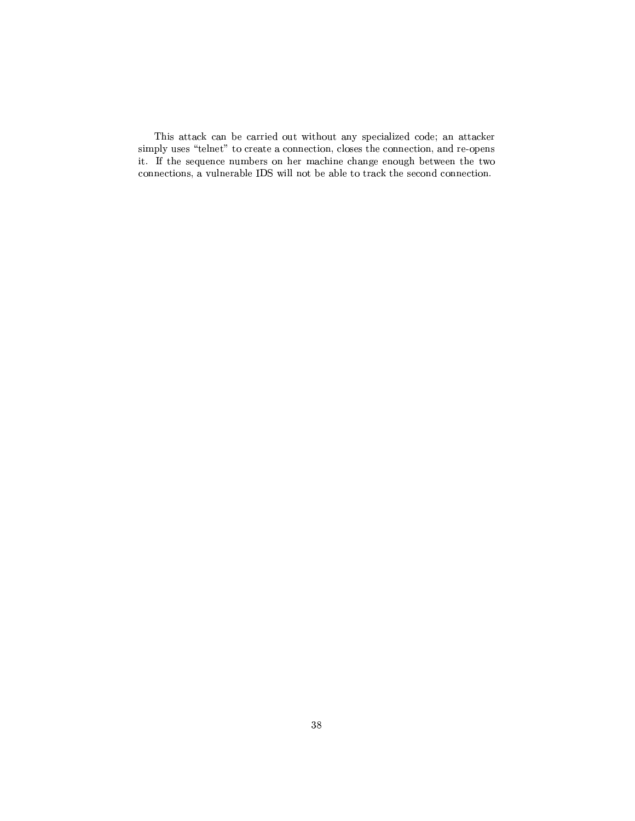This attack can be carried out without any specialized code; an attacker simply uses "telnet" to create a connection, closes the connection, and re-opens  $\ddotsc$  - T2cy  $\ddotsc$   $\ddotsc$   $\ddotsc$   $\ddotsc$   $\ddotsc$   $\ddotsc$   $\ddotsc$   $\ddotsc$  Terms  $\ddotsc$ pzT\ke  $p$  and  $p$  and  $p$  and  $p$  and  $p$  and  $p$  and  $p$  and  $p$  and  $p$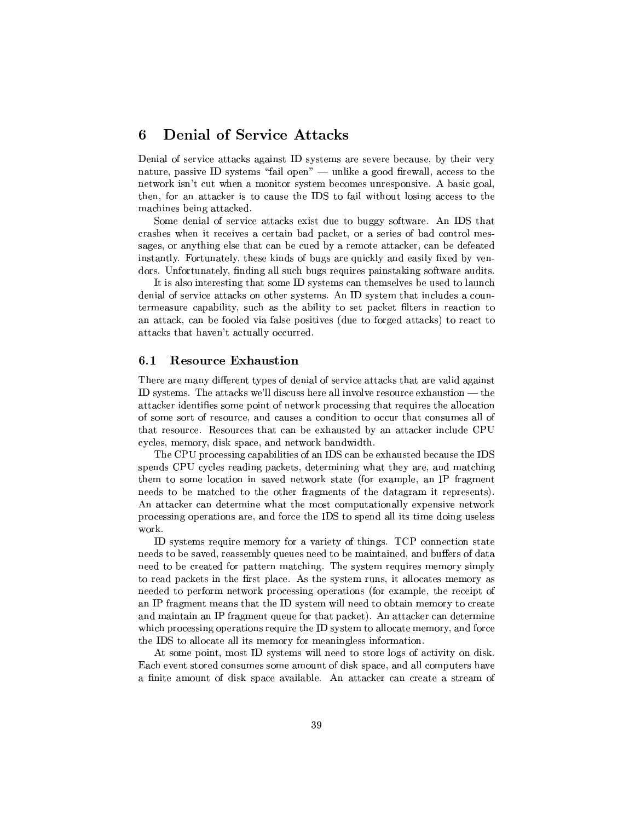## -- - -n L -

 $\equiv$  and  $\sim$  at  $\sim$  and  $\sim$  and  $\sim$  and  $\sim$  and  $\sim$  and  $\sim$  and  $\sim$  and  $\sim$  and  $\sim$  and  $\sim$  and  $\sim$  $\mathcal{L}=\mathcal{L}=\mathcal{L}=\mathcal{L}=\mathcal{L}=\mathcal{L}=\mathcal{L}=\mathcal{L}=\mathcal{L}=\mathcal{L}=\mathcal{L}=\mathcal{L}=\mathcal{L}=\mathcal{L}=\mathcal{L}=\mathcal{L}=\mathcal{L}=\mathcal{L}=\mathcal{L}=\mathcal{L}=\mathcal{L}=\mathcal{L}=\mathcal{L}=\mathcal{L}=\mathcal{L}=\mathcal{L}=\mathcal{L}=\mathcal{L}=\mathcal{L}=\mathcal{L}=\mathcal{L}=\mathcal{L}=\mathcal{L}=\mathcal{L}=\mathcal{L}=\mathcal{L}=\mathcal{$ network isn't cut when a monitor system becomes unresponsive. A basic goal, To a set of the set of the set of the set of the set of the set of the set of the set of the set of the set of machines being attacked.

u \¯¶2R²acyT EcPµ´R9)1R¶RT\T¬°4P\ As-'u PVJ  $\blacksquare$  and  $\blacksquare$  and  $\blacksquare$   $\blacksquare$ P\pR- T<y²TTV¤\k7y2 ¶P¯¶\T9JTPµ´\p\k7)yTp Vuonna Valta valta valta valta valta valta valta valta valta valta valta valta valta valta valta valta valta v  $R$ p . The set of  $R$  . The set of  $R$  at  $T$   $\infty$   $R$   $\infty$   $\infty$   $\infty$   $\infty$   $\infty$   $\infty$   $\infty$   $\infty$   $\infty$   $\infty$   $\infty$   $\infty$   $\infty$   $\infty$   $\infty$   $\infty$   $\infty$   $\infty$   $\infty$   $\infty$   $\infty$   $\infty$   $\infty$   $\infty$   $\infty$   $\infty$   $\infty$   $\in$ 

 $\blacksquare$ Povjetnosti poznati poznati poznati poznati poznati poznati poznati poznati poznati poznati poznati poznati poznati poznati poznati poznati poznati poznati poznati poznati poznati poznati poznati poznati poznati pozn Ry\²mqcyT JTP\µ´Ra\2P-TRP¯<y s cRcTy¯ TV³V²³kRy-¶\. JTP\µ´@{y C \²y j\²Te±kc³T\p2 ReTn\P\p cPµ´R 44TTp\T

## 6.1 Resource Exhaustion

There are many different types of denial of service attacks that are valid against ID systems. The attacks we'll discuss here all involve resource exhaustion  $-$  the  $J\subset\mathbb{R}^2$  , and the  ${\mathbb R}^2$  -form  ${\mathbb R}^2$  and  ${\mathbb R}^2$  are  ${\mathbb R}^2$ ac $^*$  PyT $^*$  yv $^-$  yv $^-$  yv $^-$  yv $^-$  yv $^-$  yv $^-$  yv $^-$  yv $^-$  yv $^-$  yv $^-$  yv $^-$  yv $^-$  yv $^-$ The set of the set of the set of the set of the set of the set of the set of the set of the set of the set of the set of the set of the set of the set of the set of the set of the set of the set of the set of the set of t cycles, memory, disk space, and network bandwidth.

the transition of the contract of the contract of the contract of the contract of the contract of the contract of the contract of the contract of the contract of the contract of the contract of the contract of the contract T±kyV f# ²³pPyR<±V\µ´µ@RPP¯¶³\*°kJP\TC\V¯<Jµµ³V To parameter  $T$  parameter  $\mu$  and  $\mu$  and  $\mu$  are  $\mu$  and  $\mu$  and  $\mu$  and  $\mu$  $\mathcal{P} = \{P_1, P_2, \ldots, P_n\}$ s-and-distribution  $\Gamma$  and  $\Gamma$  are the contract of  $\Gamma$  . The contract of  $\Gamma$ processing operations are, and force the IDS to spend all its time doing useless work.

ID systems require memory for a variety of things. TCP connection state  $\gamma$  -polygon and  $\gamma$  -polygon and  $\gamma$  of  $\gamma$  of  $\gamma$  of  $\gamma$  of  $\gamma$  and  $\gamma$  -polygon and  $\gamma$ need to be created for pattern matching. The system requires memory simply  $T2$  pyramid  $T2$  pyramid  $T2$  pyramid  $T2$  pyramid  $T2$  pyramid  $T2$  pyramid  $T2$  pyramid  $T2$  pyramid  $T2$  pyramid  $T2$  pyramid  $T2$  pyramid  $T2$  pyramid  $T2$  pyramid  $T2$  pyramid  $T2$  pyramid  $T2$  pyramid  $T2$  pyramid  $\mathcal{F} = \mathcal{F} = \mathcal{F} = \mathcal{F}$  # P\\¯¶ ¯¶pVHTV TV /cRcTy¯°²³²Cyy¶P7\P<¯¶¯¶\PXTXTpJP  $\blacksquare$ which processing operations require the ID system to allocate memory, and force  $\bullet$  . The function of the set of  $\bullet$  and  $\bullet$  . The set of  $\bullet$  and  $\bullet$  . The set of  $\bullet$ 

At some point, most ID systems will need to store logs of activity on disk.  $=$  . The state  $\mathcal{P}\mathcal{N}$  are the state of  $\mathcal{P}\mathcal{N}$  and  $\mathcal{P}\mathcal{N}$ AV³T \¯¶\< Rc´ c±V\_J²\²\ Zs-tcPµ´\y¶y8PyT PTp¯ +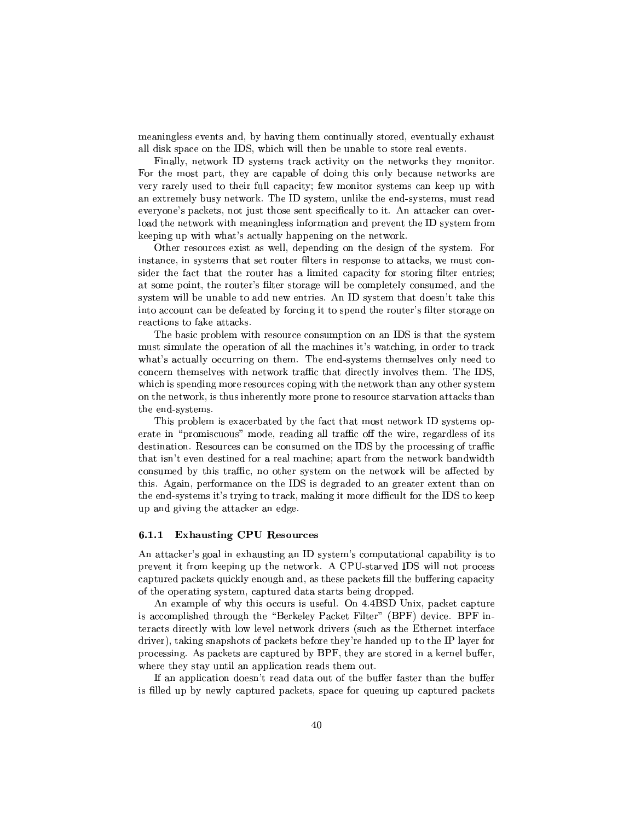$\gamma$  yr  $\gamma$  yr  $\gamma$  and  $\gamma$  and  $\gamma$  are the set  $\gamma$   $\gamma$  and  $\gamma$   $\gamma$   $\gamma$   $\gamma$   $\gamma$  $\mathcal{L}^{\mathcal{L}}$  for a set of the set of the set of the set of the set of the set of the set of the set of the set of the set of the set of the set of the set of the set of the set of the set of the set of the set of the s

 $-$  and the state of  $\blacksquare$ For the most part, they are capable of doing this only because networks are \yTµP²VTy T2TV'²³² ±k\³ y°¯¶\V·P\ cRcTy¯¶ y´\y±± °·P ). The set of the set of the set of the set of the set of the set of the set of the set of the set of the set of the set of the set of the set of the set of the set of the set of the set of the set of the set of the set o P\+~ 4±V\µ´µV k¤Tc9TT±Cyky²²³ETE³y -s JTPµ´\-yJq  $\mathbf{r}=\mathbf{r}=\mathbf{r}=\mathbf{r}=\mathbf{r}=\mathbf{r}=\mathbf{r}=\mathbf{r}=\mathbf{r}=\mathbf{r}=\mathbf{r}=\mathbf{r}=\mathbf{r}=\mathbf{r}=\mathbf{r}=\mathbf{r}=\mathbf{r}=\mathbf{r}=\mathbf{r}=\mathbf{r}=\mathbf{r}=\mathbf{r}=\mathbf{r}=\mathbf{r}=\mathbf{r}=\mathbf{r}=\mathbf{r}=\mathbf{r}=\mathbf{r}=\mathbf{r}=\mathbf{r}=\mathbf{r}=\mathbf{r}=\mathbf{r}=\mathbf{r}=\mathbf{r}=\mathbf{$  $\mathcal{L}=\mathcal{L}=\mathcal{L}=\mathcal{L}=\mathcal{L}=\mathcal{L}=\mathcal{L}=\mathcal{L}=\mathcal{L}=\mathcal{L}=\mathcal{L}=\mathcal{L}=\mathcal{L}=\mathcal{L}=\mathcal{L}=\mathcal{L}=\mathcal{L}=\mathcal{L}=\mathcal{L}=\mathcal{L}=\mathcal{L}=\mathcal{L}=\mathcal{L}=\mathcal{L}=\mathcal{L}=\mathcal{L}=\mathcal{L}=\mathcal{L}=\mathcal{L}=\mathcal{L}=\mathcal{L}=\mathcal{L}=\mathcal{L}=\mathcal{L}=\mathcal{L}=\mathcal{L}=\mathcal{$ 

Other resources exist as well, depending on the design of the system. For instance, in systems that set router filters in response to attacks, we must consider the fact that the router has a limited capacity for storing filter entries;  $\pm$   $\sim$   $\pm$   $\sim$   $\sim$   $\pm$   $\sim$   $\pm$   $\sim$   $\pm$   $\sim$   $\pm$   $\sim$   $\pm$   $\sim$   $\pm$   $\sim$   $\pm$   $\sim$   $\pm$   $\sim$   $\pm$   $\sim$   $\pm$   $\sim$   $\pm$   $\sim$   $\pm$   $\sim$   $\pm$   $\sim$   $\pm$   $\sim$   $\pm$   $\sim$   $\pm$   $\sim$   $\pm$   $\sim$   $\pm$   $\sim$   $\pm$   $\sim$   $\pm$   $\Gamma$  , which is a positive point of the point of the point  $\Gamma$ 

 $\pm$  . The set of the set of the set of the set of the set of the set of the set of the set of the set of the set of the set of the set of the set of the set of the set of the set of the set of the set of the set of the s Tan tanggal tanggal tanggal tanggal tanggal tanggal tanggal tanggal tanggal tanggal tanggal tanggal tanggal tanggal tanggal tanggal tanggal tanggal tanggal tanggal tanggal tanggal tanggal tanggal tanggal tanggal tanggal t  $\overline{\mathcal{P}}$  . The contract  $\overline{\mathcal{P}}$  is the contract of the contract  $\overline{\mathcal{P}}$  and  $\overline{\mathcal{P}}$ ter and the state of the state of the state of the state of the state of the state of the state of the state of  $\blacksquare$  to the contract of the contract of the contract of the contract of the contract of the contract of the contract of the contract of the contract of the contract of the contract of the contract of the contract of the  $\Gamma$  . Put  $\Gamma$  the value of the value of the value of the value of the value of the value of the value of the value of the value of the value of the value of the value of the value of the value of the value of the value TV V/ T cTy¯<

!4-±P\²¯"-)1PVTy2 T jz-PVJ¯¶c°a\P´ cRcTy¯¶\±. erate in "promiscuous" mode, reading all traffic off the wire, regardless of its destination. Resources can be consumed on the IDS by the processing of traffic  $\mathcal{T}_\mathcal{S}=\mathcal{T}_\mathcal{S}=\mathcal{T}_\mathcal{S}=\mathcal{T}_\mathcal{S}=\mathcal{T}_\mathcal{S}=\mathcal{T}_\mathcal{S}=\mathcal{T}_\mathcal{S}=\mathcal{T}_\mathcal{S}=\mathcal{T}_\mathcal{S}=\mathcal{T}_\mathcal{S}=\mathcal{T}_\mathcal{S}=\mathcal{T}_\mathcal{S}=\mathcal{T}_\mathcal{S}=\mathcal{T}_\mathcal{S}=\mathcal{T}_\mathcal{S}=\mathcal{T}_\mathcal{S}=\mathcal{T}_\mathcal{S}=\mathcal{T}_\mathcal{S}=\mathcal{T}_\mathcal{S}=\mathcal{T}_\mathcal{S}$  $\mathcal{N}^{\mathcal{N}}$  , the contract contract contract contract contract contract contract contract contract contract contract contract contract contract contract contract contract contract contract contract contract contract c  $\mathcal{L} = \mathcal{L} \mathcal{L} = \mathcal{L} \mathcal{L}$  , we see that  $\mathcal{L} = \mathcal{L} \mathcal{L}$  and  $\mathcal{L} = \mathcal{L} \mathcal{L}$  . In properties the set of  $\mathcal{L} = \mathcal{L} \mathcal{L}$ up and giving the attacker an edge.

#### $6.1.1$ --- !- !-

prevent it from keeping up the network. A CPU-starved IDS will not process captured packets quickly enough and, as these packets fill the buffering capacity the transfer of the transfer of the transfer of the transfer of the transfer of the transfer of the transfer of

s-2Parameter (1)= 1 and 2Parameter (1)= 1 and 2Parameter (1)= 1 and 2Parameter (1)= 1 and 2Parameter (1)= 1 and 2Parameter (1)= 1 and 2Parameter (1)= 1 and 2Parameter (1)= 1 and 2Parameter (1)= 1 and 2Parameter (1)= 1 and \\¯¶±²Tp PT\ T t,aP´\² #µ´\ h>³²³TyP¡w2,#Qh34 \ (,o#Xh'. TyPzµ³PyT² °·P ²³J°²²°T´ T\yPM2jTVµ \¤TVpTVP Pqj\ driver), taking snapshots of packets before they're handed up to the IP layer for processing. As packets are captured by BPF, they are stored in a kernel buffer,  $\mathcal{C}^*$  and  $\mathcal{C}^*$  and  $\mathcal{C}^*$  represented the contribution of  $\mathcal{C}^*$ 

and the set of the set of the set of the set of the set of the set of the set of the set of the set of the set is filled up by newly captured packets, space for queuing up captured packets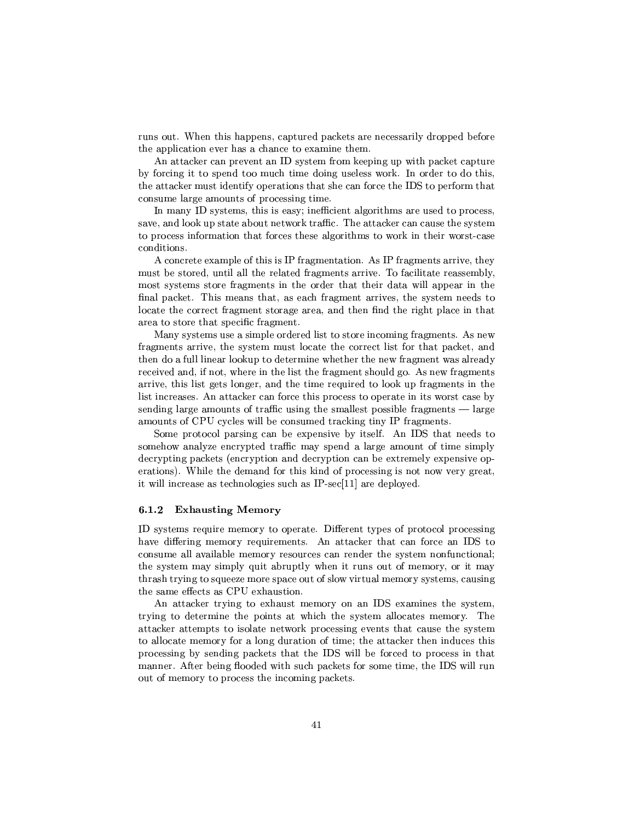PVRy -'VTVk±±CVyky±RPPy2±V\µ´µPVypTPP²³\*RP\±V±kpC)T the application ever has a chance to examine them.

s-definition  $\mathcal{L}$  at  $\mathcal{L}$  at  $\mathcal{L}$  at  $\mathcal{L}$  at  $\mathcal{L}$   $\mathcal{L}$  . The case  $\mathcal{L}$  $\mathcal{L}=\mathcal{L}=\mathcal{L}^2$  . The contract of  $\mathcal{L}^2$  to  $\mathcal{L}^2$ tv-bronze version in the problem of the problem of the problem problem in the problem of the problem of the problem of the problem of the problem of the problem of the problem of the problem of the problem of the problem consume large amounts of processing time.

In many ID systems, this is easy; inefficient algorithms are used to process,  $\mathcal{P}_\mathcal{P}$  , and the contract of the contract  $\mathcal{P}_\mathcal{P}$  . The contract  $\mathcal{P}_\mathcal{P}$  $\mathcal{L}=\mathcal{L}=\mathcal{L}=\mathcal{L}=\mathcal{L}=\mathcal{L}=\mathcal{L}=\mathcal{L}=\mathcal{L}=\mathcal{L}=\mathcal{L}=\mathcal{L}=\mathcal{L}=\mathcal{L}=\mathcal{L}=\mathcal{L}=\mathcal{L}=\mathcal{L}=\mathcal{L}=\mathcal{L}=\mathcal{L}=\mathcal{L}=\mathcal{L}=\mathcal{L}=\mathcal{L}=\mathcal{L}=\mathcal{L}=\mathcal{L}=\mathcal{L}=\mathcal{L}=\mathcal{L}=\mathcal{L}=\mathcal{L}=\mathcal{L}=\mathcal{L}=\mathcal{L}=\mathcal{$ conditions.

A concrete example of this is IP fragmentation. As IP fragments arrive, they must be stored, until all the related fragments arrive. To facilitate reassembly, most systems store fragments in the order that their data will appear in the locate the correct fragment storage area, and then find the right place in that area to store that specific fragment.

 $\bullet$  . The  $\bullet$  -value of  $\bullet$  -value of  $\bullet$  -value of  $\bullet$  -value of  $\bullet$  -value of  $\bullet$  -value of  $\bullet$  -value of  $\bullet$  $\mathbf{P}_\mathbf{p}$  , and the pyzy  $\mathbf{P}_\mathbf{p}$  are the pyzy  $\mathbf{P}_\mathbf{p}$  . The pyzy  $\mathbf{P}_\mathbf{p}$ TV\*R96²²V²y\²³ \´ ±eP7RPP¯¶³°VTVP-y° µ¯¶°aH²Tp\R  $\mathcal{P}_\mathcal{P}$  , and the pyy $\mathcal{P}_\mathcal{P}$  shows the positive state  $\mathcal{P}_\mathcal{P}$ arrive, this list gets longer, and the time required to look up fragments in the list increases. An attacker can force this process to operate in its worst case by  $\ddot{\phantom{w}}$  , the contract  $\ddot{\phantom{w}}$  and  $\ddot{\phantom{w}}$  are  $\ddot{\phantom{w}}$  and  $\ddot{\phantom{w}}$  pure  $\ddot{\phantom{w}}$ amounts of CPU cycles will be consumed tracking tiny IP fragments.

u and the property of  $\bar{z}_1$  and  $\bar{z}_2$  are  $\bar{z}_2$  and  $\bar{z}_3$  . The property is set  $\bar{z}_1$ The set of the set of the set of the set of the set of the set of the set of the set of the set of the set of the set of the set of the set of the set of the set of the set of the set of the set of the set of the set of t  $\mathcal{L}=\mathcal{L}=\mathcal{L}=\mathcal{L}=\mathcal{L}=\mathcal{L}=\mathcal{L}=\mathcal{L}=\mathcal{L}=\mathcal{L}=\mathcal{L}=\mathcal{L}=\mathcal{L}=\mathcal{L}=\mathcal{L}=\mathcal{L}=\mathcal{L}=\mathcal{L}=\mathcal{L}=\mathcal{L}=\mathcal{L}=\mathcal{L}=\mathcal{L}=\mathcal{L}=\mathcal{L}=\mathcal{L}=\mathcal{L}=\mathcal{L}=\mathcal{L}=\mathcal{L}=\mathcal{L}=\mathcal{L}=\mathcal{L}=\mathcal{L}=\mathcal{L}=\mathcal{L}=\mathcal{$ tvori variation variation variation variation variation variation variation variation variation variation varia  $\alpha$  and the contract of the contract of the contract of the contract of the contract of the contract of the contract of the contract of the contract of the contract of the contract of the contract of the contract of the

### --- !

ID systems require memory to operate. Different types of protocol processing TVPC - Providence Patrick Policy of the View  $\mathcal{P}$  and  $\mathcal{P}$ the same effects as CPU exhaustion.

s-book in the set of the set of the set of the set of the set of the set of the set of the set of the set of t Transformation  $\mathbf{r}$  transformation  $\mathbf{r}$  transformation  $\mathbf{r}$  and  $\mathbf{r}$  $J_\infty$  , the proposition of  $T$  at  $T$  and  $T$  are  $T$  the proposition of  $T$  yperators  $T$ to allocate memory for a long duration of time; the attacker then induces this  $\pm$  Proposition  $\pm$  Proposition in the proposition of  $\pm$  Proposition in  $\pm$ manner. After being flooded with such packets for some time, the IDS will run \4+>¯¶y¯eT\*T¶±P yPaT V\¯¶³Ve±k\µ´\Py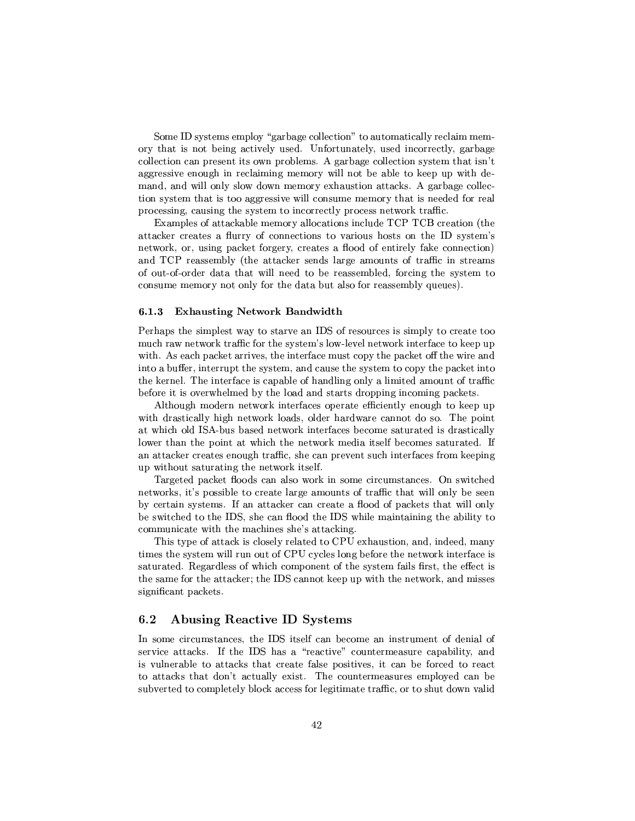Some ID systems employ "garbage collection" to automatically reclaim mem- $\Gamma$  , the contract of the contract of the contract points  $\Gamma$  ,  $\Gamma$  and  $\Gamma$  $z=2$  , we prove that the system of  $\mathcal{Z}^2$  the system of  $\mathcal{Z}^2$  $\blacksquare$  $\blacksquare$  . The set of the set of the set of the set of the set of the set of the set of the space of the set of the set of the set of the set of the set of the set of the set of the set of the set of the set of the set of t  $T\in\mathbb{R}^n$  and  $T\in\mathbb{R}^n$  and  $T\in\mathbb{R}^n$  and  $T\in\mathbb{R}^n$  and  $T\in\mathbb{R}^n$ transformation of the particle particle particle particle particle particle particle particle particle particle

Examples of attackable memory allocations include TCP TCB creation (the  $J\in\mathcal{D}$  , we are the set of  $\mathcal{D}$  , the set of  $\mathcal{D}$  , the set of  $\mathcal{D}$  , the set of  $\mathcal{D}$  $T$  , the state of  $T$  is the state of  $T$  and  $T$  and  $T$  and  $T$   $\equiv T$  . The state of  $T$ k : f# PyTTT  $\alpha$  and  $\alpha$  and  $\alpha$  and  $\alpha$  and  $\alpha$  and  $\alpha$  and  $\alpha$  and  $\alpha$  and  $\alpha$  and  $\alpha$  and  $\alpha$  and  $\alpha$  and  $\alpha$  and  $\alpha$  and  $\alpha$  and  $\alpha$  and  $\alpha$  and  $\alpha$  and  $\alpha$  and  $\alpha$  and  $\alpha$  and  $\alpha$  and  $\alpha$  and \9®®\µR¶JµTV\*°³²²-yyT CPy\PT¯7V²³pm3P³P T cTy¯ T consume memory not only for the data but also for reassembly queues).

### --- - --

#qPV\±VaTXc¯¶±²³p¤°a\_ETEcP\T\ 6u2+TpcPy4T³¯¶±²T\*PyTP with. As each packet arrives, the interface must copy the packet off the wire and t control to the control to the control to the control to the control to the control to the control to the control to the control to the control to the control to the control to the control to the control to the control t TV $\mathcal{P}$  , the set of  $\mathcal{P}$  and  $\mathcal{P}$  are the set of  $\mathcal{P}$  and  $\mathcal{P}$  $\Gamma$  -  $\Gamma$  -  $\Gamma$  -  $\Gamma$  -  $\Gamma$  -  $\Gamma$  -  $\Gamma$  -  $\Gamma$  -  $\Gamma$  -  $\Gamma$  -  $\Gamma$  -  $\Gamma$  -  $\Gamma$  -  $\Gamma$  -  $\Gamma$  -  $\Gamma$ 

s-²³T\ ¯¶RRP°a\P´³Pqj\p\±CµJPe\*T² V\ P´\y±V±  $\ddotsc$  recovered to the control of the control of the control of the control of the control of the control of the control of the control of the control of the control of the control of the control of the control of the co J°µ \² u.s ®V¤Vcp°a\P´ETy9jy¤Cy¯¶7TTµJPyPPy²²³ ²J°yPVT<±C\9J °µ P¶°a\P´¯¶yR2·µcy²4kp¯epTTµJPym  $J_{\rm eff}$  , and the contract of  $\mu_{\rm eff}$  and  $\mu_{\rm eff}$  are  $\mu_{\rm eff}$  . The contract of  $\mu_{\rm eff}$ °ana amin'ny faritr'i Normalie, ao Frantsa. Ny faritr'i Normalie, ao Frantsa. I André amin'ny faritr'i Normalie, ao F

Targeted packet floods can also work in some circumstances. On switched networks, it's possible to create large amounts of traffic that will only be seen  $\gamma$  can construct the set of the set of the set of the set of the set of the set of the set of the set of the set of the set of the set of the set of the set of the set of the set of the set of the set of the set of the T 'u'a a shekara 'u" a shekara tin 'u a shekara 'u" ¯¶¯7T°³T2T ¯<µ³VyT+~ JTP\µ´ V

This type of attack is closely related to CPU exhaustion, and, indeed, many the same for the attacker; the IDS cannot keep up with the network, and misses significant packets.

#### $6.2$ Abusing Reactive ID Systems

In some circumstances, the IDS itself can become an instrument of denial of The contraction of the contraction of the contraction of the contraction of the contraction of the contraction of the contraction of the contraction of the contraction of the contraction of the contraction of the contract is vulnerable to attacks that create false positives, it can be forced to react to attacks that don't actually exist. The countermeasures employed can be subverted to completely block access for legitimate traffic, or to shut down valid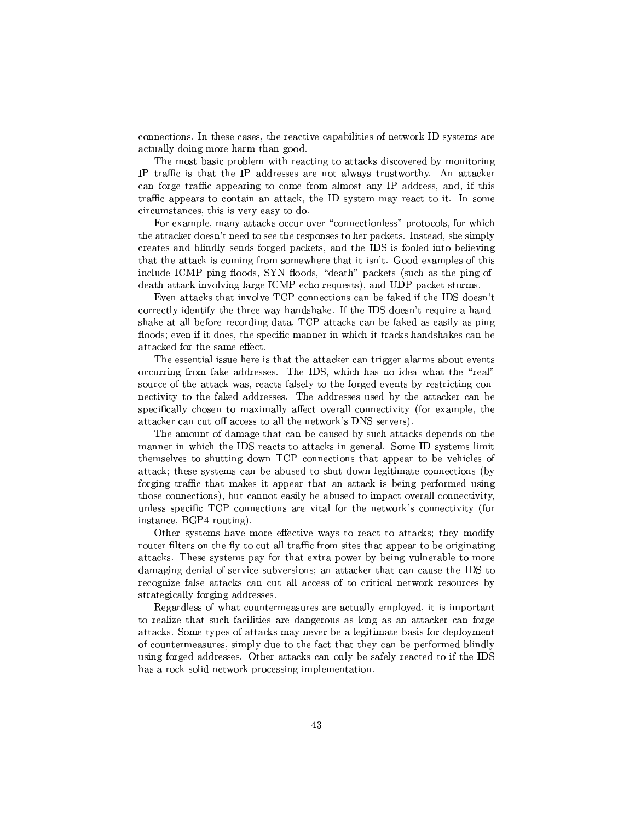$\mathcal{D}=\{x\in\mathcal{D}\mid x\in\mathcal{D}\}$  , where  $\mathcal{D}=\{x\in\mathcal{D}\mid x\in\mathcal{D}\}$  $\top$  . The  $\top$  expansion of  $\top$  points  $\top$  points  $\top$ 

The most basic problem with reacting to attacks discovered by monitoring # PP<ETV\*T # \VRTpTTyEP\²³°4\_R¶TPVc°cP \ s-(cPµ´\y $\boldsymbol{1}=\boldsymbol{2}+\boldsymbol{3}+\boldsymbol{4}+\boldsymbol{5}$  $T_{\rm eff}$  and  $T_{\rm eff}$  . The  $T_{\rm eff}$  is the  $T_{\rm eff}$  -term of  $T_{\rm eff}$  . The set  $T_{\rm eff}$  of  $T_{\rm eff}$  $circumstances, this is very easy to do.$ 

 $\blacksquare$  . The set of the set of the set of the set of the set of the set of the set of the set of the set of the set of the set of the set of the set of the set of the set of the set of the set of the set of the set of the TV JTP $\Gamma$  and  $\Gamma$  and  $\Gamma$  are the  $T$  -positive  $T$  that  $\Gamma$  are the  $T$  -positive  $T$  and  $T$   $\Gamma$   $\Gamma$   $\Gamma$   $\Gamma$   $\Gamma$   $\Gamma$ PyTp\V²³V²³ cyV6Ty±V\µ´Pyu\VT 'u ²³p TC²³y ³  $T$  , y  $T$  , and  $T$  , and  $T$  , and  $T$  , and  $T$  , and  $T$  , and  $T$  , and  $T$  , and  $T$  , and  $T$  $\mathbf{v}$  ,  $\mathbf{v}$  ,  $\mathbf{v}$  ,  $\mathbf{v}$  ,  $\mathbf{v}$  ,  $\mathbf{v}$  ,  $\mathbf{v}$  ,  $\mathbf{v}$  ,  $\mathbf{v}$  ,  $\mathbf{v}$  ,  $\mathbf{v}$  ,  $\mathbf{v}$  ,  $\mathbf{v}$  ,  $\mathbf{v}$  ,  $\mathbf{v}$  ,  $\mathbf{v}$  ,  $\mathbf{v}$  ,  $\mathbf{v}$  ,  $\mathbf{v}$  ,  $\mathbf{v}$  ,  $R$  and  $R$  is the system of  $\mathcal{N}$  farm  $\mathcal{N}$ 

correctly identify the three-way handshake. If the IDS doesn't require a hand- $\blacksquare$  . The state of the state of the state of the state of the state of the state of the state of the state of the state of the state of the state of the state of the state of the state of the state of the state of the floods; even if it does, the specific manner in which it tracks handshakes can be attacked for the same effect.

. AyPC yields the set of the contract of the contract of the contract of the contract of the contract of the contract of the contract of the contract of the contract of the contract of the contract of the contract of the occurring from fake addresses. The IDS, which has no idea what the "real"  $\mathcal{L}=\mathcal{L}=\mathcal{L}=\mathcal{L}=\mathcal{L}=\mathcal{L}=\mathcal{L}=\mathcal{L}=\mathcal{L}=\mathcal{L}=\mathcal{L}=\mathcal{L}=\mathcal{L}=\mathcal{L}=\mathcal{L}=\mathcal{L}=\mathcal{L}=\mathcal{L}=\mathcal{L}=\mathcal{L}=\mathcal{L}=\mathcal{L}=\mathcal{L}=\mathcal{L}=\mathcal{L}=\mathcal{L}=\mathcal{L}=\mathcal{L}=\mathcal{L}=\mathcal{L}=\mathcal{L}=\mathcal{L}=\mathcal{L}=\mathcal{L}=\mathcal{L}=\mathcal{L}=\mathcal{$ pzT · P Pgifty w 22 Page 1999 · P Pg jin Page 1999 · P Pgifty with the Page 1999 · P Pgifty in the P Pgifty of specifically chosen to maximally affect overall connectivity (for example, the  $\mathcal{L} = \mathcal{L} = \mathcal{L} = \mathcal{L} = \mathcal{L} = \mathcal{L} = \mathcal{L} = \mathcal{L} = \mathcal{L} = \mathcal{L} = \mathcal{L} = \mathcal{L} = \mathcal{L} = \mathcal{L} = \mathcal{L} = \mathcal{L} = \mathcal{L} = \mathcal{L} = \mathcal{L} = \mathcal{L} = \mathcal{L} = \mathcal{L} = \mathcal{L} = \mathcal{L} = \mathcal{L} = \mathcal{L} = \mathcal{L} = \mathcal{L} = \mathcal{L} = \mathcal{L} = \mathcal{L} = \mathcal$ 

 $\blacksquare$  . The set of the set of the set of the set of the set of the set of the set of the set of the set of the set of the set of the set of the set of the set of the set of the set of the set of the set of the set of the  $\overline{\phantom{a}}$  to the contract of the contract of the contract of transition  $\overline{\phantom{a}}$  . The contract of transition  $\overline{\phantom{a}}$ TV $\blacksquare$  . The parameter  $\blacksquare$  is parameter  $\blacksquare$  . The parameter  $\blacksquare$  is parameter  $\blacksquare$ attack; these systems can be abused to shut down legitimate connections (by forging traffic that makes it appear that an attack is being performed using  $\mathcal{L}=\mathcal{L}=\mathcal{L}=\mathcal{L}=\mathcal{L}=\mathcal{L}=\mathcal{L}=\mathcal{L}=\mathcal{L}=\mathcal{L}=\mathcal{L}=\mathcal{L}=\mathcal{L}=\mathcal{L}=\mathcal{L}=\mathcal{L}=\mathcal{L}=\mathcal{L}=\mathcal{L}=\mathcal{L}=\mathcal{L}=\mathcal{L}=\mathcal{L}=\mathcal{L}=\mathcal{L}=\mathcal{L}=\mathcal{L}=\mathcal{L}=\mathcal{L}=\mathcal{L}=\mathcal{L}=\mathcal{L}=\mathcal{L}=\mathcal{L}=\mathcal{L}=\mathcal{L}=\mathcal{$ unless specific TCP connections are vital for the network's connectivity (for instance, BGP4 routing).

Other systems have more effective ways to react to attacks; they modify router filters on the fly to cut all traffic from sites that appear to be originating attacks. These systems pay for that extra power by being vulnerable to more damaging denial-of-service subversions; an attacker that can cause the IDS to recognize false attacks can cut all access of to critical network resources by strategically forging addresses.

 $−$  and type-position  $\mathcal{P}$  and type-position  $\mathcal{P}$  and type-position  $\mathcal{P}$ The set of the set of the set of the set of the set of the set of the set of the set of the set of the set of the set of the set of the set of the set of the set of the set of the set of the set of the set of the set of t  $J$  y 3u  $\pm$   $J$  y 3u  $\pm$   $J$   $\pm$   $J$   $\pm$   $J$   $\pm$   $J$   $\pm$   $J$   $\pm$   $J$   $\pm$   $J$   $\pm$   $J$   $\pm$   $J$   $\pm$   $J$   $\pm$   $J$   $\pm$   $J$   $\pm$   $J$   $\pm$   $J$   $\pm$   $J$   $\pm$   $J$   $\pm$   $J$   $\pm$   $J$   $\pm$   $J$   $\pm$   $J$   $\pm$   $J$   $\pm$   $J$   $\mathcal{T}_\mathbf{z}$  to the contract of the positive contract  $\mathcal{T}_\mathbf{z}$  to the positive contract of the paper of the paper of the paper of the paper of the paper of the paper of the paper of the paper of the paper of the pap using forged addresses. Other attacks can only be safely reacted to if the IDS has a rock-solid network processing implementation.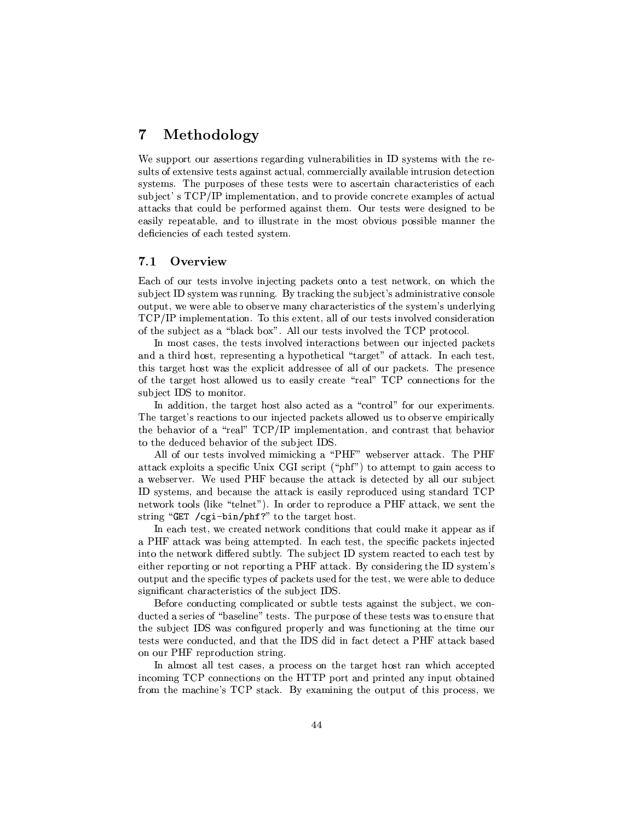## oe )-

-XT±±C\T\\PcycP³VPµR³V<V²³yP\²³³Ty³ T cTy¯<°³TP7P) sults of extensive tests against actual, commercially available intrusion detection systems. The purposes of these tests were to ascertain characteristics of each subject's TCP/IP implementation, and to provide concrete examples of actual  $J$  the contract of the contract  $J$  th  $J$  the contract  $\mu$  and  $\mu$   $\mu$   $\mu$ yc²\$Ty±kpJµ²\kP\$²³²VcTµJT8TV ¯¶c\*\ ³V¶±kTT²³ ¯¶\y<T deficiencies of each tested system.

## $\overline{\phantom{a}}$  and  $\overline{\phantom{a}}$

 $\blacksquare$  . The  $\blacksquare$  set  $\blacksquare$ The set of  $\mathcal{A}$  and  $\mathcal{A}$  are the set of  $\mathcal{A}$  the set of  $\mathcal{A}$  and  $\mathcal{A}$  are the set of  $\mathcal{A}$ \T±Rp°a°aP-²T VTP\4¯< eµkµ\zPPcT>+CPTRP¯~ VRyT² ³V !f# #\$¯¶±²³y¯¶PT\{ !^7P41 Tp \²³²@+^\V PycP4\²\p\*VcRyPT\

In most cases, the tests involved interactions between our injected packets  $k \to \infty$  . The contract  $\mathbb{R}^n$  is the contract  $\mathbb{R}^n$  and  $p\in \mathbb{R}^n$  points of  $p\in \mathbb{R}^n$  $\mathbf{r}$  and  $\mathbf{r}$  are  $\mathbf{r}$  and  $\mathbf{r}$  . The operator  $\mathbf{r}$  is a set of  $\mathbf{r}$  and  $\mathbf{r}$  and  $\mathbf{r}$ of the target host allowed us to easily create "real"  $\mathcal{T}\mathbb{C}\mathbb{P}$  connections for the The contract of the contract of the contract of the contract of the contract of the contract of the contract of

 $\Box$ Properties are properties and properties are properties and properties are properties and properties are properties. The target's reactions to our injected packets allowed us to observe empirically the behavior of a "real"  $\text{TCP/IP}$  implementation, and contrast that behavior to the deduced behavior of the subject IDS.

s-²² +4Tpµ9 \\²\p ¯¶¯¶µ´ 8q#Qhq¡°yVTP\ cPµ´@ n!4#Qh JTPuring the set of the set of the set of the set of the set of the set of the set of the set of the set of the set of the set of the set of the set of the set of the set of the set of the set of the set of the set of the °avTp\yy - Young + Young + Young + Young + Young + Young + Young + Young + Young + Young + Young + Young + Young + Young + Young + Young + Young + Young + Young + Young + Young + Young + Young + Young + Young + Young + Y  $\mathbf{w} = \mathbf{w}$  $\blacksquare$   $\blacksquare$   $\blacksquare$   $\blacksquare$   $\blacksquare$   $\blacksquare$   $\blacksquare$   $\blacksquare$   $\blacksquare$   $\blacksquare$   $\blacksquare$   $\blacksquare$   $\blacksquare$   $\blacksquare$   $\blacksquare$   $\blacksquare$   $\blacksquare$   $\blacksquare$   $\blacksquare$   $\blacksquare$   $\blacksquare$   $\blacksquare$   $\blacksquare$   $\blacksquare$   $\blacksquare$   $\blacksquare$   $\blacksquare$   $\blacksquare$   $\blacksquare$   $\blacksquare$   $\blacksquare$   $\blacks$ the contract of the contract of the contract of the contract of the contract of the contract of the contract of

In each test, we created network conditions that could make it appear as if e#Qh8JTPµ´2°4\ky³VJTTy¯e±Ty{ yµTycy@P¶c±Cyk7±V\µ´µ- yTy into the network differed subtly. The subject ID system reacted to each test by ³TV P±C\TT9 \ P±C\TT70#Qh JTP\µ´@ ,ae\VTP³P /TRP¯~  $\top$ rhodyk i termin i termin i termin i termin i termin i termin i termin i termin i termin i termin i termin i te upo este upo este upo este upo este upo este upo este upo este upo este upo este upo este upo este upo este up

,a)\P¶\kRVzP³V2\¯¶±²yJTp TRP²³XTpµ \³k¤T<T yym°ae\. ducted a series of "baseline" tests. The purpose of these tests was to ensure that .V\vTp =P\\vTp =P\\vTp =P\\vTp =P\\vTp =P\\vTp =P\\vTp =P\\vTp =P\\vTp =P\\vTp =P\\vTp =P\\vTp =P\\vTp =P\\vTp =P\\vTp =P\\vTp =P\\vTp =P\\vTp =P\\vTp =P\\vTp =P\\vTp =P\\vTp =P\\vTp =P\\vTp =P\\vTp =P\\vTp =P\\vTp =P\\vTp °aP7VRTpmC\VTpuCxtyputesing.com/november/2TkJPutesing.com/november/2TkJPutesing.com/november/2TkJPutesing.com/n on our PHF reproduction string.

In almost all test cases, a process on the target host ran which accepted incoming TCP connections on the HTTP port and printed any input obtained from the machine's TCP stack. By examining the output of this process, we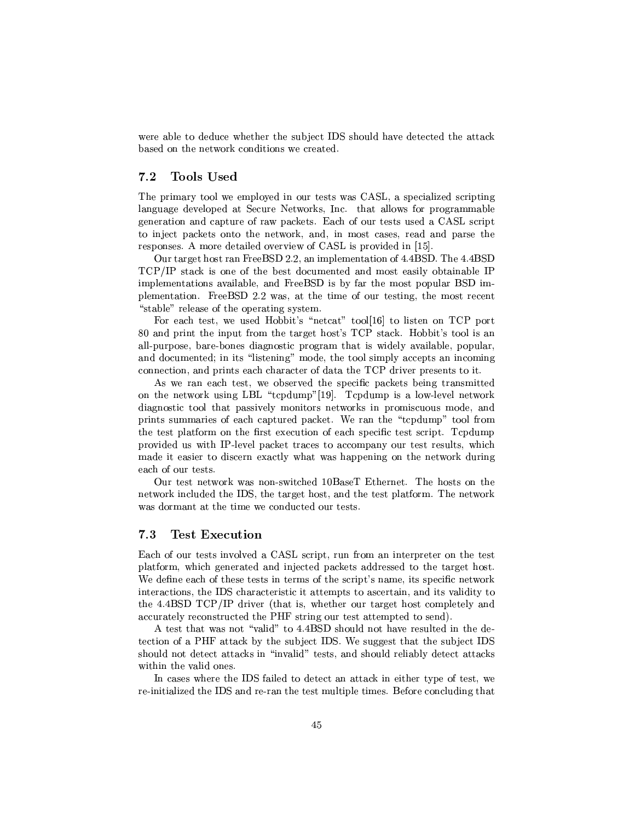rapproved the contract of the contract of the contract of the contract of the contract of the contract of the c and a set of the set of the set of the set of the set of the set of the set of the set of the set of the set o

#### :HoHXK9U UC=LJ 7.2

The primary tool we employed in our tests was CASL, a specialized scripting  $\mathcal{I}=\mathcal{I}=\mathcal{I}=\mathcal{I}=\mathcal{I}=\mathcal{I}=\mathcal{I}=\mathcal{I}=\mathcal{I}=\mathcal{I}=\mathcal{I}=\mathcal{I}=\mathcal{I}=\mathcal{I}=\mathcal{I}=\mathcal{I}=\mathcal{I}=\mathcal{I}=\mathcal{I}=\mathcal{I}=\mathcal{I}=\mathcal{I}=\mathcal{I}=\mathcal{I}=\mathcal{I}=\mathcal{I}=\mathcal{I}=\mathcal{I}=\mathcal{I}=\mathcal{I}=\mathcal{I}=\mathcal{I}=\mathcal{I}=\mathcal{I}=\mathcal{I}=\mathcal{I}=\mathcal{$  $\gamma$  is the positive positive point  $\gamma$  in the positive positive point  $\gamma$  parameter  $\gamma$ Taxabra  $\mathcal{L}_\mathcal{F}$  y $\mathcal{L}_\mathcal{F}$  and  $\mathcal{L}_\mathcal{F}$  are  $\mathcal{L}_\mathcal{F}$  . The corresponding to  $\mathcal{L}_\mathcal{F}$ PyT±kVcp s/¯¶\P Rµ²³pJP ³y°'Xfs"u# 4±PJRpE kl <sup>m</sup>

TCP/IP stack is one of the best documented and most easily obtainable IP ±²¯¶µJT\u hPy,ou °4\y JeT2P³¯¶eTpP³kHP¯¶<Pyy  $\cdots$  . The  $\cdots$   $\cdots$   $\cdots$   $\cdots$   $\cdots$   $\cdots$   $\cdots$   $\cdots$   $\cdots$   $\cdots$   $\cdots$   $\cdots$   $\cdots$   $\cdots$   $\cdots$   $\cdots$   $\cdots$   $\cdots$   $\cdots$   $\cdots$   $\cdots$   $\cdots$   $\cdots$   $\cdots$   $\cdots$   $\cdots$   $\cdots$   $\cdots$   $\cdots$   $\cdots$   $\cdots$   $\cdots$   $\cdots$   $\cdots$   $\cdots$ 

hey tycy'a variable  $\mathcal{L}$  is the set of  $\mathcal{L}$  . The set of  $\mathcal{L}$  is the set of  $\mathcal{L}$  is the set of  $\mathcal{L}$  $\mathcal{L}^{\mathcal{P}}$  . The following the following term is a set of  $\mathcal{L}^{\mathcal{P}}$  . The following term is a set of  $\mathcal{L}^{\mathcal{P}}$ all-purpose, bare-bones diagnostic program that is widely available, popular, k RR¯¶yPy[@ ³Pc²cTy³V¡<¯¶RR\CP7P \²^T¯e±V²³\yy±RP V\¯¶³V  $\rho$  -state  $\rho$  -state  $\rho$  -state  $\rho$  -state  $\rho$  -state  $\rho$  -state  $\rho$  -state  $\rho$ 

As we ran each test, we observed the specific packets being transmitted \TV °a\P´ VT³V #],#"P±C¯¶±V¡Tkl #<sup>m</sup> E!±C¯¶±'\*²J°o ²²4°T´  $R$ ctPʻa $\frac{1}{2}$ o $R$ a $\frac{1}{2}$ ±P³µ7T¯¶¯¶\Ty9yµ\$±TPy ±Vµ´\y -EP\ TP±C¯¶±V¡T ²3P\¯ the test platform on the first execution of each specific test script. Tcpdump ±PJ Rp VX°·P # ®²\y² ±Vµ´\9Tµ\y P¯¶±V \7Tyc¶Tpc²³Pyq°µeach of our tests.

Our test network was non-switched  $10BaseT$  Ethernet. The hosts on the  $T$  and  $T$   $\sim$   $T$   $\sim$   $T$   $\sim$   $T$   $\sim$   $T$   $\sim$   $T$   $\sim$   $T$   $\sim$   $T$   $\sim$   $T$   $\sim$   $T$   $\sim$   $T$   $\sim$   $T$   $\sim$   $T$   $\sim$   $T$   $\sim$   $T$   $\sim$   $T$   $\sim$   $T$   $\sim$   $T$   $\sim$   $T$   $\sim$   $T$   $\sim$   $T$   $\sim$   $T$   $\sim$   $T$   $\sim$   $T$   $\$ 

## $-$  :=] $\blacksquare$

Each of our tests involved a CASL script, run from an interpreter on the test platform, which generated and injected packets addressed to the target host. ter in a strong van die strong van die strong van die strong van die strong van die strong van die strong van die strong van die strong van die strong van die strong van die strong van die strong van die strong van die st Photo in the contract  $\overline{\mathcal{P}}$  and  $\overline{\mathcal{P}}$  are the contract  $\overline{\mathcal{P}}$  . The contract  $\overline{\mathcal{P}}$ the  $4.4BSD TCP/IP$  driver (that is, whether our target host completely and accurately reconstructed the PHF string our test attempted to send).

A test that was not "valid" to 4.4BSD should not have resulted in the detpa ae <del>Xan ae X</del>an ae Xan ae Xan ae Xan ae Xan ae Xan ae Xan ae Xan ae Xan ae Xan ae Xan ae Xan ae Xan ae Xan a should not detect attacks in "invalid" tests, and should reliably detect attacks

your product in the set of the product of the product of the product of the product of the pycymen of the product of the pycymen of the pycymen of the pycymen of the pycymen of the pycymen of the pycymen of the pycymen of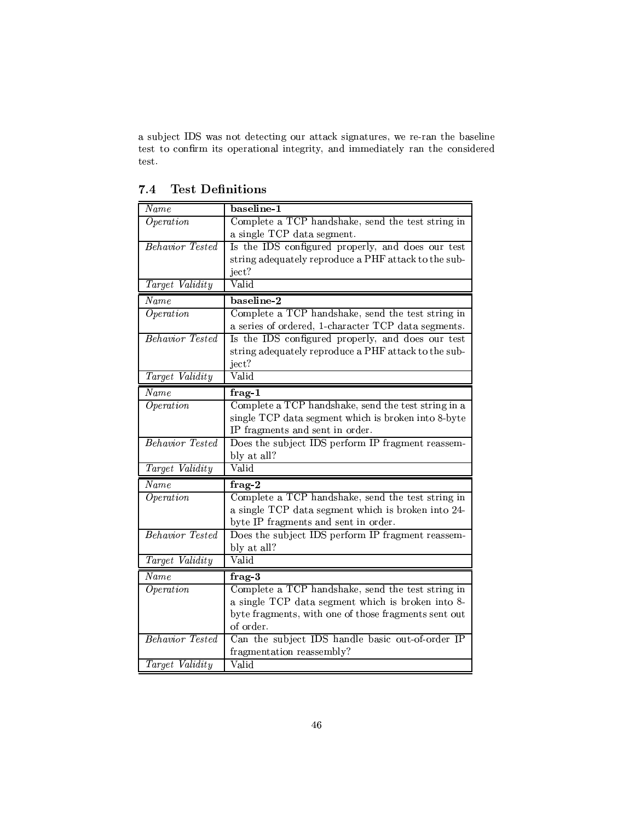cV y 'u°a7RTpzT\V9Jcµ\µ´ T³VJPPyym°¶P)®P\ TV<V\T²³V Tp¶P \.kT¯ ³P¶±kyPT\V\² TT³\ V³¯¶¯¶yT²\$µTVTRyTp test.

| $\it Name$             | baseline-1                                           |
|------------------------|------------------------------------------------------|
| Operation              | Complete a TCP handshake, send the test string in    |
|                        | a single TCP data segment.                           |
| <b>Behavior</b> Tested | Is the IDS configured properly, and does our test    |
|                        | string adequately reproduce a PHF attack to the sub- |
|                        | ject?                                                |
| Target Validity        | Valid                                                |
| Name                   | baseline-2                                           |
| Operation              | Complete a TCP handshake, send the test string in    |
|                        | a series of ordered, 1-character TCP data segments.  |
| Behavior Tested        | Is the IDS configured properly, and does our test    |
|                        | string adequately reproduce a PHF attack to the sub- |
|                        | ject?                                                |
| Target Validity        | Valid                                                |
| Name                   | frag-1                                               |
| Operation              | Complete a TCP handshake, send the test string in a  |
|                        | single TCP data segment which is broken into 8-byte  |
|                        | IP fragments and sent in order.                      |
| Behavior Tested        | Does the subject IDS perform IP fragment reassem-    |
|                        | bly at all?                                          |
| Target Validity        | Valid                                                |
| $\it Name$             | $frag-2$                                             |
| Operation              | Complete a TCP handshake, send the test string in    |
|                        | a single TCP data segment which is broken into 24-   |
|                        | byte IP fragments and sent in order.                 |
| <b>Behavior</b> Tested | Does the subject IDS perform IP fragment reassem-    |
|                        | bly at all?                                          |
| Target Validity        | Valid                                                |
| $\it Name$             | $frag-3$                                             |
| $\overline{Operation}$ | Complete a TCP handshake, send the test string in    |
|                        | a single TCP data segment which is broken into 8-    |
|                        | byte fragments, with one of those fragments sent out |
|                        | of order.                                            |
| <b>Behavior</b> Tested | Can the subject IDS handle basic out-of-order IP     |
|                        | fragmentation reassembly?                            |
| Target Validity        | Valid                                                |

## $=$  :  $=$   $\sim$   $\sim$   $\sim$   $\sim$   $\sim$   $\sim$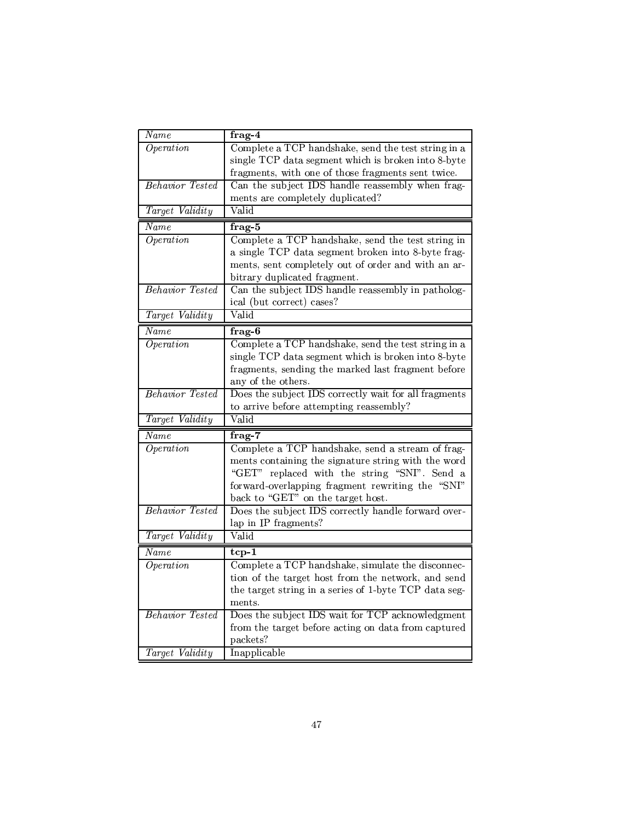| $\overline{Name}$      | $frag-4$                                              |
|------------------------|-------------------------------------------------------|
| Operation              | Complete a TCP handshake, send the test string in a   |
|                        | single TCP data segment which is broken into 8-byte   |
|                        | fragments, with one of those fragments sent twice.    |
| Behavior Tested        | Can the subject IDS handle reassembly when frag-      |
|                        | ments are completely duplicated?                      |
| Target Validity        | Valid                                                 |
| Name                   | $frag-5$                                              |
| Operation              | Complete a TCP handshake, send the test string in     |
|                        | a single TCP data segment broken into 8-byte frag-    |
|                        | ments, sent completely out of order and with an ar-   |
|                        | bitrary duplicated fragment.                          |
| <b>Behavior</b> Tested | Can the subject IDS handle reassembly in patholog-    |
|                        | ical (but correct) cases?                             |
| Target Validity        | Valid                                                 |
| Name                   | $frag-6$                                              |
| $\overline{Operation}$ | Complete a TCP handshake, send the test string in a   |
|                        | single TCP data segment which is broken into 8-byte   |
|                        | fragments, sending the marked last fragment before    |
|                        | any of the others.                                    |
| <b>Behavior</b> Tested | Does the subject IDS correctly wait for all fragments |
|                        | to arrive before attempting reassembly?               |
| Target Validity        | Valid                                                 |
| Name                   | $frag-7$                                              |
| $\overline{Operation}$ | Complete a TCP handshake, send a stream of frag-      |
|                        | ments containing the signature string with the word   |
|                        | "GET" replaced with the string "SNI". Send a          |
|                        | forward-overlapping fragment rewriting the "SNI"      |
|                        | back to "GET" on the target host.                     |
| <b>Behavior</b> Tested | Does the subject IDS correctly handle forward over-   |
|                        | lap in IP fragments?                                  |
| Target Validity        | Valid                                                 |
| Name                   | $tcp-1$                                               |
| $\overline{Operation}$ | Complete a TCP handshake, simulate the disconnec-     |
|                        | tion of the target host from the network, and send    |
|                        | the target string in a series of 1-byte TCP data seg- |
|                        | ments.                                                |
| <b>Behavior</b> Tested | Does the subject IDS wait for TCP acknowledgment      |
|                        | from the target before acting on data from captured   |
|                        | packets?                                              |
| Target Validity        | Inapplicable                                          |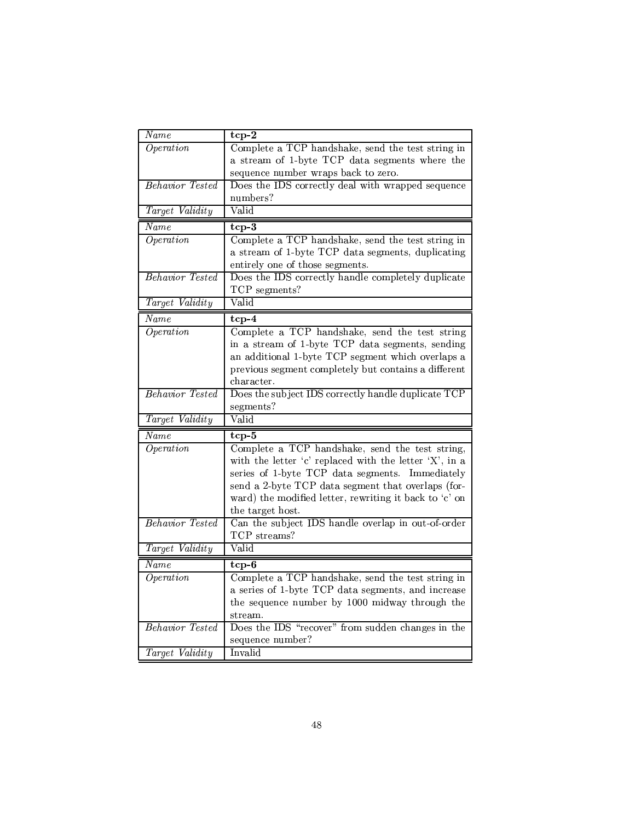| Name                   | $tcp-2$                                                |
|------------------------|--------------------------------------------------------|
| Operation              | Complete a TCP handshake, send the test string in      |
|                        | a stream of 1-byte TCP data segments where the         |
|                        | sequence number wraps back to zero.                    |
| <b>Behavior</b> Tested | Does the IDS correctly deal with wrapped sequence      |
|                        | numbers?                                               |
| Target Validity        | Valid                                                  |
| Name                   | $tcp-3$                                                |
| $\overline{Operation}$ | Complete a TCP handshake, send the test string in      |
|                        | a stream of 1-byte TCP data segments, duplicating      |
|                        | entirely one of those segments.                        |
| <b>Behavior</b> Tested | Does the IDS correctly handle completely duplicate     |
|                        | TCP segments?                                          |
| Target Validity        | Valid                                                  |
| Name                   | $top-4$                                                |
| Operation              | Complete a TCP handshake, send the test string         |
|                        | in a stream of 1-byte TCP data segments, sending       |
|                        | an additional 1-byte TCP segment which overlaps a      |
|                        | previous segment completely but contains a different   |
|                        | character.                                             |
| <b>Behavior</b> Tested | Does the subject IDS correctly handle duplicate TCP    |
|                        | segments?                                              |
| Target Validity        | $\overline{\text{Valid}}$                              |
| $\overline{Name}$      | $tcp-5$                                                |
| Operation              | Complete a TCP handshake, send the test string,        |
|                        | with the letter 'c' replaced with the letter 'X', in a |
|                        | series of 1-byte TCP data segments. Immediately        |
|                        | send a 2-byte TCP data segment that overlaps (for-     |
|                        | ward) the modified letter, rewriting it back to 'c' on |
|                        |                                                        |
|                        | the target host.                                       |
| <b>Behavior</b> Tested | Can the subject IDS handle overlap in out-of-order     |
|                        | TCP streams?                                           |
| Target Validity        | Valid                                                  |
| Name                   | $tcp-6$                                                |
| $\overline{Operation}$ | Complete a TCP handshake, send the test string in      |
|                        | a series of 1-byte TCP data segments, and increase     |
|                        | the sequence number by 1000 midway through the         |
|                        | stream.                                                |
| <b>Behavior</b> Tested | Does the IDS "recover" from sudden changes in the      |
| Target Validity        | sequence number?<br>Invalid                            |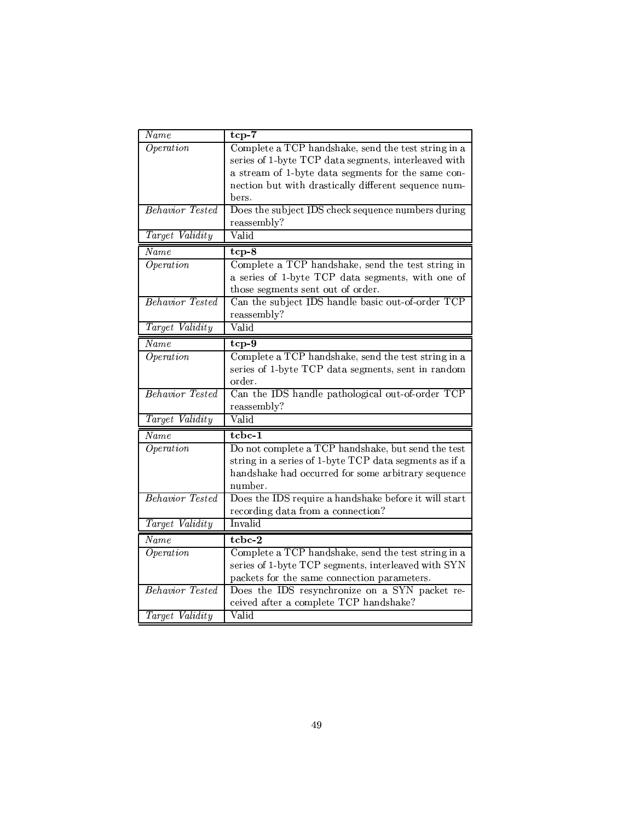| Name                    | $tcp-7$                                                |
|-------------------------|--------------------------------------------------------|
| Operation               | Complete a TCP handshake, send the test string in a    |
|                         | series of 1-byte TCP data segments, interleaved with   |
|                         | a stream of 1-byte data segments for the same con-     |
|                         | nection but with drastically different sequence num-   |
|                         | bers.                                                  |
| <b>Behavior</b> Tested  | Does the subject IDS check sequence numbers during     |
|                         | reassembly?                                            |
| Target Validity         | Valid                                                  |
| Name                    | $tcp-8$                                                |
| Operation               | Complete a TCP handshake, send the test string in      |
|                         | a series of 1-byte TCP data segments, with one of      |
|                         | those segments sent out of order.                      |
| <b>Behavior</b> Tested  | Can the subject IDS handle basic out-of-order TCP      |
|                         | reassembly?                                            |
| Target Validity         | Valid                                                  |
| $\overline{Name}$       | $tcp-9$                                                |
| $\overline{Operation}$  | Complete a TCP handshake, send the test string in a    |
|                         | series of 1-byte TCP data segments, sent in random     |
|                         | order.                                                 |
| <b>Behavior</b> Tested  | Can the IDS handle pathological out-of-order TCP       |
|                         | reassembly?                                            |
| Target Validity         | Valid                                                  |
| Name                    | tcbc-1                                                 |
| Operation               | Do not complete a TCP handshake, but send the test     |
|                         | string in a series of 1-byte TCP data segments as if a |
|                         | handshake had occurred for some arbitrary sequence     |
|                         | number.                                                |
| <b>Behavior</b> Tested  | Does the IDS require a handshake before it will start  |
|                         | recording data from a connection?                      |
| Target Validity         | Invalid                                                |
| Name                    | tcbc-2                                                 |
| <i><b>Operation</b></i> | Complete a TCP handshake, send the test string in a    |
|                         | series of 1-byte TCP segments, interleaved with SYN    |
|                         | packets for the same connection parameters.            |
| <b>Behavior</b> Tested  | Does the IDS resynchronize on a SYN packet re-         |
|                         | ceived after a complete TCP handshake?                 |
| Target Validity         | Valid                                                  |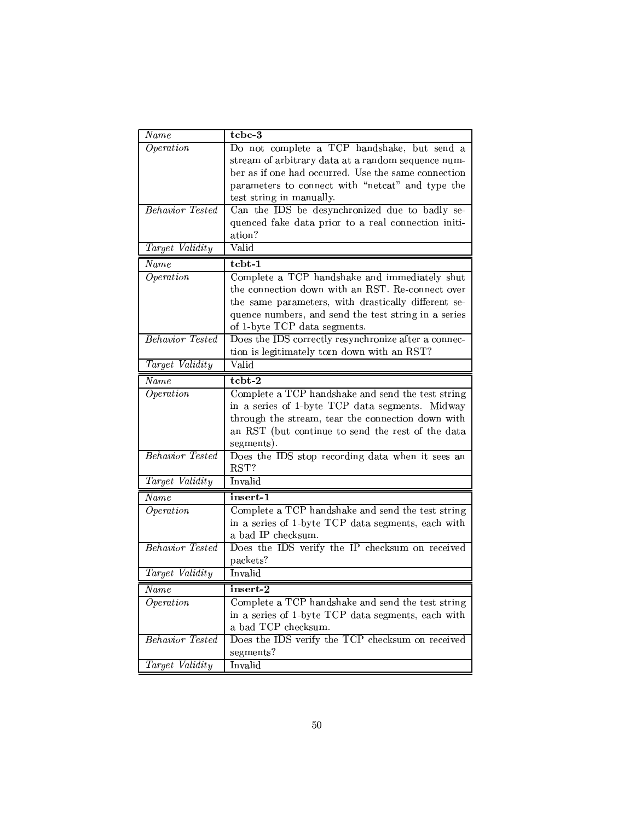| $\overline{\it Name}$  | tcbc-3                                               |
|------------------------|------------------------------------------------------|
| Operation              | Do not complete a TCP handshake, but send a          |
|                        | stream of arbitrary data at a random sequence num-   |
|                        | ber as if one had occurred. Use the same connection  |
|                        | parameters to connect with "netcat" and type the     |
|                        | test string in manually.                             |
| <b>Behavior</b> Tested | Can the IDS be desynchronized due to badly se-       |
|                        | quenced fake data prior to a real connection initi-  |
|                        | ation?                                               |
| Target Validity        | Valid                                                |
| Name                   | tcbt-1                                               |
| Operation              | Complete a TCP handshake and immediately shut        |
|                        | the connection down with an RST. Re-connect over     |
|                        | the same parameters, with drastically different se-  |
|                        | quence numbers, and send the test string in a series |
|                        | of 1-byte TCP data segments.                         |
| <b>Behavior</b> Tested | Does the IDS correctly resynchronize after a connec- |
|                        | tion is legitimately torn down with an RST?          |
| Target Validity        | Valid                                                |
| Name                   | tcbt-2                                               |
| Operation              | Complete a TCP handshake and send the test string    |
|                        | in a series of 1-byte TCP data segments. Midway      |
|                        | through the stream, tear the connection down with    |
|                        | an RST (but continue to send the rest of the data    |
|                        | segments).                                           |
| <b>Behavior</b> Tested | Does the IDS stop recording data when it sees an     |
|                        | RST?                                                 |
| Target Validity        | Invalid                                              |
| Name                   | insert-1                                             |
| Operation              | Complete a TCP handshake and send the test string    |
|                        | in a series of 1-byte TCP data segments, each with   |
|                        | a bad IP checksum.                                   |
| <b>Behavior</b> Tested | Does the IDS verify the IP checksum on received      |
|                        | packets?                                             |
| Target Validity        | Invalid                                              |
| Name                   | insert-2                                             |
| $\overline{Operation}$ | Complete a TCP handshake and send the test string    |
|                        |                                                      |
|                        | in a series of 1-byte TCP data segments, each with   |
|                        | a bad TCP checksum.                                  |
| <b>Behavior</b> Tested | Does the IDS verify the TCP checksum on received     |
|                        | segments?                                            |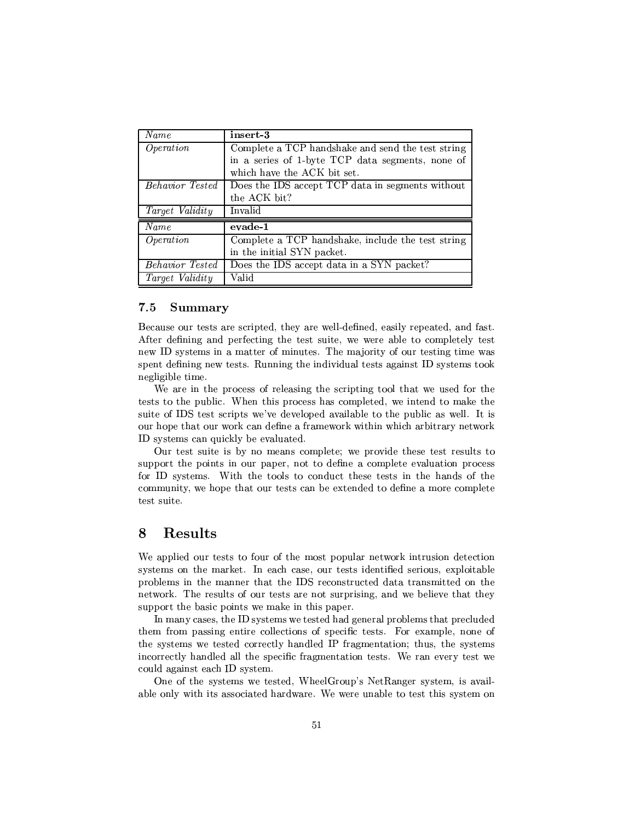| Name                   | insert-3                                          |
|------------------------|---------------------------------------------------|
| Operation              | Complete a TCP handshake and send the test string |
|                        | in a series of 1-byte TCP data segments, none of  |
|                        | which have the ACK bit set.                       |
| <i>Behavior Tested</i> | Does the IDS accept TCP data in segments without  |
|                        | the ACK bit?                                      |
| <i>Target Validity</i> | Invalid                                           |
| Name                   | evade-1                                           |
| Operation              | Complete a TCP handshake, include the test string |
|                        | in the initial SYN packet.                        |
| Behavior Tested        | Does the IDS accept data in a SYN packet?         |
| Target Validity        | Valid                                             |

#### $\blacksquare$   $\blacksquare$   $\blacksquare$ 7.5

After defining and perfecting the test suite, we were able to completely test y° TRP¯<-E¯<JcPH¯¶Tyy '!47¯< T³2H\V-TpP³V\*T¯¶X°4\T≠ky-Construction and the PycP4Vc Transformation and the PycP4Vc Transformation and the PycP4Vc Transformation negligible time.

+ P≠ TV±PRPT7-Partner and partner and partner and partner and partner and partner and partner and partner and p  $\mathcal{T}_\mathcal{P}$  to the contract of the contract properties of the contract properties of the contract parameter  $\mathcal{T}_\mathcal{P}$ suite of IDS test scripts we've developed available to the public as well. It is  $\mathcal{L} = \mathcal{L} = \mathcal{L} = \mathcal{L} = \mathcal{L} = \mathcal{L} = \mathcal{L} = \mathcal{L} = \mathcal{L} = \mathcal{L} = \mathcal{L} = \mathcal{L} = \mathcal{L} = \mathcal{L} = \mathcal{L} = \mathcal{L} = \mathcal{L} = \mathcal{L} = \mathcal{L} = \mathcal{L} = \mathcal{L} = \mathcal{L} = \mathcal{L} = \mathcal{L} = \mathcal{L} = \mathcal{L} = \mathcal{L} = \mathcal{L} = \mathcal{L} = \mathcal{L} = \mathcal{L} = \mathcal$  $T$  , and the set of  $\mathcal{D}$  and the set of  $\mathcal{D}$   $\mathcal{D}$   $\mathcal{D}$   $\mathcal{D}$   $\mathcal{D}$   $\mathcal{D}$ 

Our test suite is by no means complete; we provide these test results to support the points in our paper, not to define a complete evaluation process \ cRcT¯<y -'³T TV T ²ET \kRVz2TVyT Tpµ2³'PVVVE+9T tycPC9)1 PVRp2T\*RV7™TycPC9)1 PVRp2T\*RV7™TycPC9, PVRp2T\*RV7™TycPC9, PVRp2T\*RV7™TycPC9, PVRp2T\*RV7™TycPC9, PVRp2 test suite.

## $\sim$   $\sim$   $\sim$   $\sim$

-\*±±²y \VTycP9T9aTV\*¯¶c9±k±² °T´ TPVT³ TpzP³ The synthetic state  $\mathbf{F}$  and  $\mathbf{F}$  are the synthetic particle in  $\mathbf{F}$  $\mathbf{r}=\mathbf{r}=\mathbf{r}=\mathbf{r}=\mathbf{r}=\mathbf{r}=\mathbf{r}=\mathbf{r}=\mathbf{r}=\mathbf{r}=\mathbf{r}=\mathbf{r}=\mathbf{r}=\mathbf{r}=\mathbf{r}=\mathbf{r}=\mathbf{r}=\mathbf{r}=\mathbf{r}=\mathbf{r}=\mathbf{r}=\mathbf{r}=\mathbf{r}=\mathbf{r}=\mathbf{r}=\mathbf{r}=\mathbf{r}=\mathbf{r}=\mathbf{r}=\mathbf{r}=\mathbf{r}=\mathbf{r}=\mathbf{r}=\mathbf{r}=\mathbf{r}=\mathbf{r}=\mathbf{$ 

To the Paper  $T$  to  $T$  the Paper  $\mathcal{F}$  is the Paper  $\mathcal{F}$  is the Paper in  $\mathcal{F}$ TV2TRP¯<7°a\*PycTpTPyT²kVR²y # µ¯eyPJP³HP VHTcRcTy¯¶ VTPyT²VV²³p\²³²qP\*c±CyC µ¯¶PT\ PycPy -<µPTyc ° $\mathcal{N}=\mathcal{N}=\mathcal{N}=\mathcal{N}=\mathcal{N}=\mathcal{N}=\mathcal{N}=\mathcal{N}=\mathcal{N}=\mathcal{N}=\mathcal{N}=\mathcal{N}=\mathcal{N}=\mathcal{N}=\mathcal{N}=\mathcal{N}=\mathcal{N}=\mathcal{N}=\mathcal{N}=\mathcal{N}=\mathcal{N}=\mathcal{N}=\mathcal{N}=\mathcal{N}=\mathcal{N}=\mathcal{N}=\mathcal{N}=\mathcal{N}=\mathcal{N}=\mathcal{N}=\mathcal{N}=\mathcal{N}=\mathcal{N}=\mathcal{N}=\mathcal{N}=\mathcal{N}=\mathcal{$ 

 $\hat{z}_2$  and the contract of the contract of the contract of the contract of the contract of the contract of the contract of the contract of the contract of the contract of the contract of the contract of the contract of variation and the property variable property of the property variable property of the property of the property of the property of the property of the property of the property of the property of the property of the propert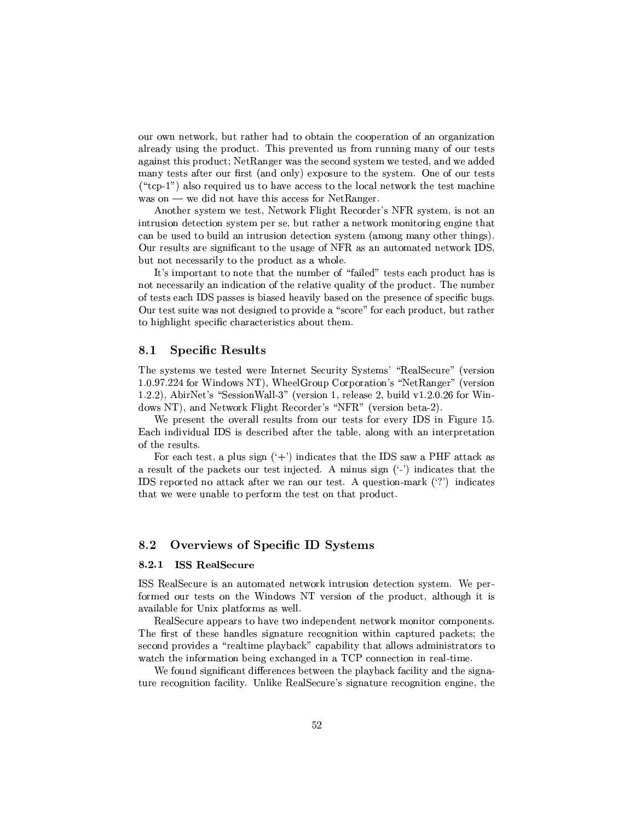our own network, but rather had to obtain the cooperation of an organization already using the product. This prevented us from running many of our tests  $\mathcal{L}=\mathcal{L}=\mathcal{L}=\mathcal{L}=\mathcal{L}=\mathcal{L}=\mathcal{L}=\mathcal{L}=\mathcal{L}=\mathcal{L}=\mathcal{L}=\mathcal{L}=\mathcal{L}=\mathcal{L}=\mathcal{L}=\mathcal{L}=\mathcal{L}=\mathcal{L}=\mathcal{L}=\mathcal{L}=\mathcal{L}=\mathcal{L}=\mathcal{L}=\mathcal{L}=\mathcal{L}=\mathcal{L}=\mathcal{L}=\mathcal{L}=\mathcal{L}=\mathcal{L}=\mathcal{L}=\mathcal{L}=\mathcal{L}=\mathcal{L}=\mathcal{L}=\mathcal{L}=\mathcal{$  $\blacksquare$  type  $\blacksquare$  . The set of the set of the set of the set of the set of the set of the set of the set of the set of the set of the set of the set of the set of the set of the set of the set of the set of the set of th  $\mathcal{F}_\mathcal{F}$  , which is the positive of the  $\mathcal{F}_\mathcal{F}$  $\sim$  and  $\sim$  and  $\sim$  and  $\sim$  and  $\sim$  and  $\sim$  and  $\sim$  and  $\sim$  and  $\sim$  and  $\sim$  and  $\sim$  and  $\sim$ 

s-component point of the set of the set of the set of the set of the set of the set of the set of the set of t  $P$  are  $P$  the  $P$  th  $P$  th  $P$  the  $P$  th  $P$  th  $P$  the  $P$  th  $P$  th  $P$  $\mathcal{F}^T$  , and the state  $\mathcal{F}^T$  and  $\mathcal{F}^T$  and  $\mathcal{F}^T$  and  $\mathcal{F}^T$ ¤-PyT²³P-\T9T\k\aP<TV9VP\ +q"h&\-\RP\¯<JPy2°a\P´'u@ transformation of the transformation of the transformation of the transformation of the transformation of the t

 $-$  4  $+$  C  $-$  C  $-$  C  $-$  C  $-$  C  $-$  C  $-$  C  $-$  C  $-$  C  $-$  C  $-$  C  $-$  C  $-$  C  $-$  C  $-$  C  $-$  C  $-$  C  $-$  C  $-$  C  $-$  C  $-$  C  $-$  C  $-$  C  $-$  C  $-$  C  $-$  C  $-$  C  $-$  C  $-$  C  $-$  C  $-$  C  $-$  C  $-$  C  $-$  C  $-$  C  $-$  C  $\, \, \tilde{a}$  ,  $\, \tilde{c}$  ,  $\, \tilde{c}$  ,  $\, \tilde{a}$  ,  $\, \tilde{a}$  ,  $\, \tilde{c}$  ,  $\, \tilde{c}$  ,  $\, \tilde{c}$  ,  $\, \tilde{a}$  ,  $\, \tilde{c}$  ,  $\, \tilde{c}$  ,  $\, \tilde{c}$  ,  $\, \tilde{c}$  ,  $\, \tilde{c}$  ,  $\, \tilde{c}$  ,  $\, \tilde{c}$  ,  $\, \tilde{c}$  of tests each IDS passes is biased heavily based on the presence of specific bugs.  $\mathcal{L}=\mathcal{L}=\mathcal{L}=\mathcal{L}=\mathcal{L}=\mathcal{L}=\mathcal{L}=\mathcal{L}=\mathcal{L}=\mathcal{L}=\mathcal{L}=\mathcal{L}=\mathcal{L}=\mathcal{L}=\mathcal{L}=\mathcal{L}=\mathcal{L}=\mathcal{L}=\mathcal{L}=\mathcal{L}=\mathcal{L}=\mathcal{L}=\mathcal{L}=\mathcal{L}=\mathcal{L}=\mathcal{L}=\mathcal{L}=\mathcal{L}=\mathcal{L}=\mathcal{L}=\mathcal{L}=\mathcal{L}=\mathcal{L}=\mathcal{L}=\mathcal{L}=\mathcal{L}=\mathcal{$ 

## 8.1 Specific Results

 $\mathbf{H}^{\mathbf{H}}$  , the paper paper paper paper paper paper paper paper paper paper paper paper paper paper paper paper paper paper paper paper paper paper paper paper paper paper paper paper paper paper paper paper paper p  $\alpha$  , and the state of the state  $\alpha$  and the state  $\alpha$  and the state  $\alpha$  and the state  $\alpha$ l\ 4z.s-Py~ etuRyPc\
-²²jz¡2µc\Al\ Ty²³p\T R² l\ & -'. RJ°-4!4zk\V°a\P´h>²³\&p\µRy%~ eTh&-¡2j\µT³Cµ| 4µ

-±PyTeTJµ²² PyT²³PT¯ \ePycP\¶y\P 'u\$ h>\P<l Each individual IDS is described after the table, along with an interpretation recovered the pythology of the pythology of the pythology of the pythology of the pythology of the pythology of the pythology of the pythology of the pythology of the pythology of the pythology of the pythology of the pyth

h-yµEPycyV¶±²V-T\ <sup>2</sup> <sup>~</sup> <sup>4</sup> VRTp4TVT 'uP\_° (#X"hcPµ´E\ The contraction of the contraction of the contraction of the contraction of the contraction of the contraction of the contraction of the contraction of the contraction of the contraction of the contraction of the contract 'uP±C\T\Ty¤°a7a - Pycy s \$pP≅.®∃™ - Pycy s \$pPa.®∃™ - Pycy Pycy Pycy Pycy Pycy Pycy Pycy Pycy Pycy P

#### 8.2 Overviews of Specific ID Systems

#### 8.2.1 **ISS RealSecure**

ua ayota ayota ayota ayota ayota ayota ayota ayota ayota ayota ayota ayota ayota ayota ayota ayota ayota ayota  $\blacksquare$  . The set of the term is the set of the set of the set of the set of the set of the set of the set of the set of the set of the set of the set of the set of the set of the set of the set of the set of the set of th available for Unix platforms as well.

&y\²xuRyVT ±V±kpµaT<V\_¤°a<VR±CkR-°T´\*¯¶·P\\¯¶±C\yµ .4november 2012. And the Table of the Table of the Table of the Table of the Table of the Table of the Table of Table of Table of Table of Table of Table of Table of Table of Table of Table of Table of Table of Table of Ta  $T$  is the contract of the contract of the contract of the contract of the contract of the contract of the contract of the contract of the contract of the contract of the contract of the contract of the contract of the co and the set of the set of the set of the set of the set of the set of the set of the set of the set of the set of the set of the set of the set of the set of the set of the set of the set of the set of the set of the set

 $\bm{r}$  and the contract  $\bm{r}$  and  $\bm{r}$  and  $\bm{r}$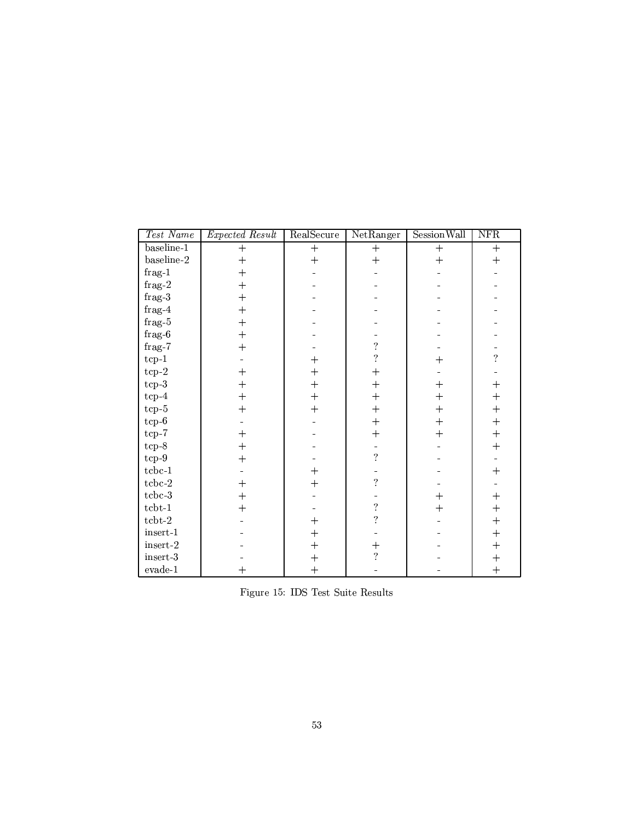| Test Name               | Expected Result | RealSecure     | NetRanger                | <b>Session Wall</b> | NFR                |  |
|-------------------------|-----------------|----------------|--------------------------|---------------------|--------------------|--|
| baseline-1              | $+$             | $+$            | $^{+}$                   | $+$                 | $^{+}$             |  |
| baseline-2              | $+$             | $+$            | $^{+}$                   | $^{+}$              | $+$                |  |
| $frag-1$                | $+$             |                |                          |                     |                    |  |
| ${\rm frag\text{-}2}$   | $+$             |                |                          |                     |                    |  |
| $frag-3$                | $+$             |                |                          |                     |                    |  |
| $frag-4$                | $^{+}$          |                |                          |                     |                    |  |
| $_{\rm frag{\text -}5}$ | $+$             |                |                          |                     |                    |  |
| $_{\rm frag{\text -}6}$ | $+$             |                |                          |                     |                    |  |
| ${\rm frag\text{-}7}$   | $+$             |                | $\overline{\mathcal{E}}$ |                     |                    |  |
| $tcp-1$                 |                 | $\ddag$        | $\overline{\mathcal{C}}$ | $^{+}$              | $\overline{?}$     |  |
| $tcp-2$                 | $+$             | $\overline{+}$ | $^{+}$                   |                     |                    |  |
| $tcp-3$                 | $+$             | $+$            | $\overline{+}$           | $^{+}$              | $^{+}$             |  |
| $tcp-4$                 | $+$             | $^{+}$         | $\overline{+}$           | $^{+}$              | $+$                |  |
| $tcp-5$                 | $+$             | $+$            | $^{+}$                   | $\overline{+}$      | $+$                |  |
| $\mathrm{tcp}\text{-}6$ |                 |                | $^{+}$                   | $^{+}$              | $+$                |  |
| $top-7$                 | $+$             |                | $^{+}$                   | $^{+}$              | $+$                |  |
| $tcp-8$                 | $+$             |                |                          |                     | $+$                |  |
| $\rm{tcp-}9$            | $+$             |                | $\overline{\mathcal{E}}$ |                     |                    |  |
| $tcbc-1$                |                 | $\overline{+}$ |                          |                     | $^{+}$             |  |
| $tcbc-2$                | $+$             | $^{+}$         | $\overline{\mathcal{E}}$ |                     |                    |  |
| $tcbc-3$                | $+$             |                |                          | $\boldsymbol{+}$    | $+$                |  |
| $tcbt-1$                | $+$             |                | $\overline{\mathcal{E}}$ | $^{+}$              | $^{+}$             |  |
| $tcbt-2$                |                 | $\overline{+}$ | $\overline{\mathcal{L}}$ |                     | $^{+}$             |  |
| $insert-1$              |                 | $+$            |                          |                     | $+$                |  |
| $\,$ insert-2 $\,$      |                 | $^{+}$         | $\overline{+}$           |                     | $^{+}$             |  |
| insert-3                |                 | $\ddag$        | $\overline{?}$           |                     | $\hspace{0.1mm} +$ |  |
| $\it{evade\text{-}1}$   | $+$             | $+$            |                          |                     | $+$                |  |

 $\Pi$ :  $\mathbf{H}$   $\mathbf{H}$   $\mathbf{H}$   $\mathbf{H}$   $\mathbf{H}$   $\mathbf{H}$   $\mathbf{H}$   $\mathbf{H}$   $\mathbf{H}$   $\mathbf{H}$   $\mathbf{H}$   $\mathbf{H}$   $\mathbf{H}$   $\mathbf{H}$   $\mathbf{H}$   $\mathbf{H}$   $\mathbf{H}$   $\mathbf{H}$   $\mathbf{H}$   $\mathbf{H}$   $\mathbf{H}$   $\mathbf{H}$   $\mathbf{H}$   $\mathbf{H}$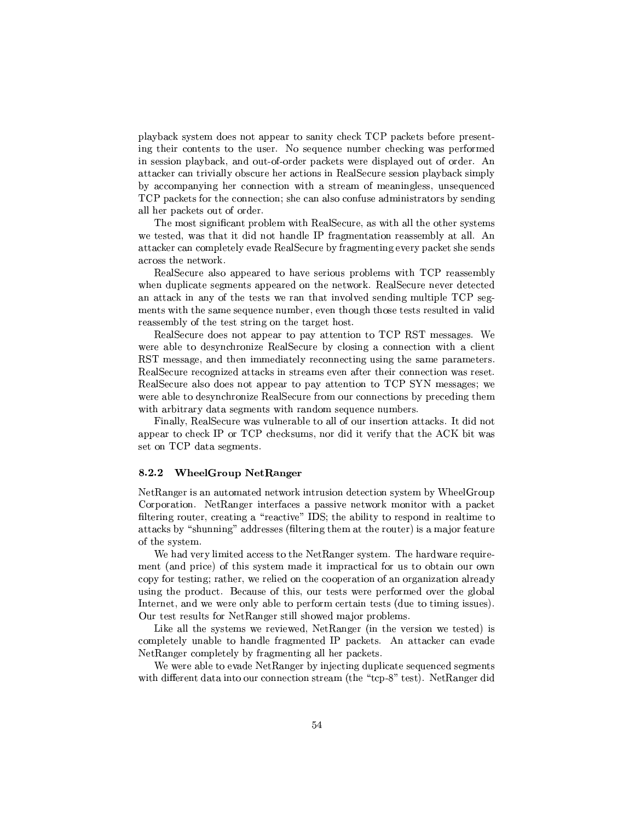±²\_ V\µ´2cRcT¯ R p\\±±kpTPV·µpµ´g!f#'±k\µ´\Pk\P7±PyT9  $\Gamma$  , the proposition  $\Gamma$  and  $\Gamma$  are proposition to  $\Gamma$  and  $\Gamma$  are proposition  $\Gamma$  . The proposition of  $\Gamma$ in session playback, and out-of-order packets were displayed out of order. An  $\blacksquare$ y zt $\blacksquare$ y zt $\blacksquare$ y ztanowy $\blacksquare$ by accompanying her connection with a stream of meaningless, unsequenced  $TCP$  packets for the connection; she can also confuse administrators by sending all her packets out of order.

The most significant problem with RealSecure, as with all the other systems a7PycTy{u°4\versidential international and the second particle in the second particle in the second particle in attacker can completely evade RealSecure by fragmenting every packet she sends \TT TV °a\P´@

RealSecure also appeared to have serious problems with TCP reassembly  $\mathcal{L}^{\mathcal{P}}$  reads the contract of  $\mathcal{L}^{\mathcal{P}}$  and  $\mathcal{L}^{\mathcal{P}}$  and  $\mathcal{L}^{\mathcal{P}}$ ments with the same sequence number, even though those tests resulted in valid reassembly of the test string on the target host.

&y\²xuRyVTEp9\X±V±kp9P ±V\_ JTTP³ Ti!f# &"u.! ¯¶yPT\\yy were able to desynchronize RealSecure by closing a connection with a client RST message, and then immediately reconnecting using the same parameters.  $p\rightarrow 1$  , and the  $p\rightarrow 1$  and the  $p\rightarrow 2$  -patron of  $p\rightarrow 2$  $\mathbf{r}_\mathbf{r} = \mathbf{r}_\mathbf{r}$  , we are the performance of the set of the set of the set of the set of the set of the set of the set of the set of the set of the set of the set of the set of the set of the set of the set of t were able to desynchronize RealSecure from our connections by preceding them °³TP³TµP¶VJP¶T¯eyP4°³TP\VR¯ cy\$VV¯7Cµ

h>³V\²³²\.&p² u yP°4\ V²³yP\²-T¶²²Cu VTTT\Ecµ\µ´R RE ±V±kp4Tµyµ´ #8\!f#'µpµ´Rc¯<yR·PETV-TV sf V·°4\ T\ !f#8Jµ¶cy\¯¶Py

### !

-t&-\\y\<RP\¯<JPyX°a\P´ ³PTVT\¶RPyzP³<cRcT¯ -'y²P\V±  $\bullet$  . The contract of the contract of the contract of the contract of the contract of the contract of the contract of the contract of the contract of the contract of the contract of the contract of the contract of the co filtering router, creating a "reactive" IDS; the ability to respond in real time to attacks by "shunning" addresses (filtering them at the router) is a major feature of the system.

 $\mathbf{r}$  , and  $\mathbf{r}$  are the contract of the contract of the contract of the contract of the contract of the contract of the contract of the contract of the contract of the contract of the contract of the contract of t  $\mathcal{I}=\mathcal{I}=\mathcal{I}=\mathcal{I}=\mathcal{I}=\mathcal{I}$ copy for testing; rather, we relied on the cooperation of an organization already using the product. Because of this, our tests were performed over the global Internet, and we were only able to perform certain tests (due to timing issues). ¤4Pyc-Tpc²³P--t&-\\y4cT²²ucVJ°pE¯< 4±T²¯<

 ${\color{red} \bullet}$  . The set of the set of the set of the set of the set of the set of the set of the set of the set of the set of the set of the set of the set of the set of the set of the set of the set of the set of the set of  $\blacksquare$  to the state of two  $\blacksquare$  seconds to the property  $\blacksquare$ tation is the contract of the contract of the contract of the contract of the contract of the contract of the contract of the contract of the contract of the contract of the contract of the contract of the contract of the

tate taxography in the second contract of the second contract of the second contract of the second contract of the second contract of the second contract of the second contract of the second contract of the second contract ara a bara a bara a bara a bara a bara a bara a bara a bara a bara a bara a bara a bara a bara a bara a bara a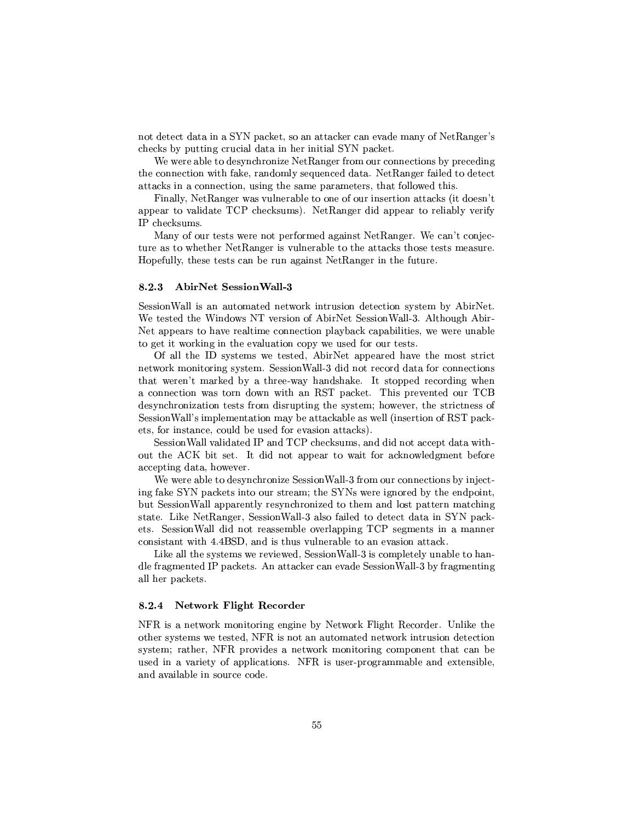$\Gamma$  , and the properties of the properties of the properties of the properties of the properties of the properties of the properties of the properties of the properties of the properties of the properties of the properti  $\bullet$  =  $\bullet$  +  $\bullet$  =  $\bullet$  +  $\bullet$  +  $\bullet$  +  $\bullet$  +  $\bullet$  +  $\bullet$  +  $\bullet$  +  $\bullet$  +  $\bullet$  +  $\bullet$  +  $\bullet$  +  $\bullet$  +  $\bullet$  +  $\bullet$  +  $\bullet$  +  $\bullet$  +  $\bullet$  +  $\bullet$  +  $\bullet$  +  $\bullet$  +  $\bullet$  +  $\bullet$  +  $\bullet$  +  $\bullet$  +  $\bullet$  +  $\bullet$  +  $\bullet$  +  $\bullet$  +  $\bullet$ 

tarian are the contract value of the contract of the contract of the contract of the contract of the contract of the contract of the contract of the contract of the contract of the contract of the contract of the contract  $T\sim 2$  , we can assume that the results of  $T\sim 2$  and  $T\sim 2$  and  $T\sim 2$  . We can assume that the results of  $T\sim 2$ attacks in a connection, using the same parameters, that followed this.

h>³V\²³²\ -t&-\\yH°4\q ²µ²4T7\+@HVTTT\<JTP\µ´R-2j·aR yT~ ±V±kpTJ\²³JP(!f#µyµ´RT¯< 4z \*-&-V\9 \±±kpPTy²³² P IP checksums.

 $\bullet$  . The proposition of the proposition of the proposition of the proposition of the proposition of the proposition of the proposition of the proposition of the proposition of the proposition of the proposition of the p  $\mathcal{F}_\mathcal{F}$  and  $\mathcal{F}_\mathcal{F}$  and  $\mathcal{F}_\mathcal{F}$  are the set of  $\mathcal{F}_\mathcal{F}$ -±k²²³RTpcPycPyk PV-t&-\\y³2P'RTVT

#### 8.2.3 -- -

u pTTT and the same position of the same position of the same position of the same position of the same positio -PopyThe Property is the second to the second three property is the second to the second term of the second te -¤±V±kpµaT\*V\_Tp²³T¯e9\VyzP³±²\_ Vµ´E\±VV³²·P³pV°9°aPV\²³

 $\blacksquare$  . The second contracts of the second contracts of the second contracts of the second contracts of the second contracts of the second contracts of the second contracts of the second contracts of the second contracts that weren't marked by a three-way handshake. It stopped recording when  $\mathcal{S}^T$  and  $\mathcal{S}^T$  and  $\mathcal{S}^T$  and  $\mathcal{S}^T$  . The set of  $\mathcal{S}^T$  if  $\mathcal{S}^T$  if  $\mathcal{S}^T$ desynchronization tests from disrupting the system; however, the strictness of u pTT³
-²² <sup>~</sup> >³¯¶±²¯¶µJT\e¯<\_9C4cµ\µ´J²4\q°a²²2 VcycP³X+^&u!\$±Vµ´C  $1/2$ kuv $\overline{z}$ ec V $\overline{z}$ c $\overline{z}$ c $\overline{z}$ c $\overline{z}$ c $\overline{z}$ c $\overline{z}$ c $\overline{z}$ c $\overline{z}$ c $\overline{z}$ c $\overline{z}$ c $\overline{z}$ 

u yPTa in yPTa and the second international property of the second international property of the second international property of the second international property of the second international property of the second interna out the ACK bit set. It did not appear to wait for acknowledgment before accepting data, however.

-4°aPa\² PRpc VµVT\*youRyPc\
-²²jz-T¯\pzT\ku 9 y9 is the contract of the contract of the contract of the contract of the contract of the contract of the contract of the contract of the contract of the contract of the contract of the contract of the contract of the contra - A u yPT in the person of the person of the person of the person of the person of the person of the person of  $\mathcal{P}$  and the state of the state of the state of the state of the state of the state of the state of the state of the state of the state of the state of the state of the state of the state of the state of the state of µ uRyPc\
-²²R\ePyTT¯X²\*J\yT²±±V³A!f#T¯eyPX³8 ¯<\

all her packets.

### -

system; rather, NFR provides a network monitoring component that can be  $V$  , the set of the set of the set of the 9VTs  $T$  and  $T$  types  $T$  and  $T$  types  $T$  to  $T$  . The set of the set of the set of the set of the set of the set of the set of the set of the set of the set of the set of the kayar a shekarar 1995 - 1999 - 1999 - 1999 - 1999 - 1999 - 1999 - 1999 - 1999 - 1999 - 1999 - 1999 - 1999 - 19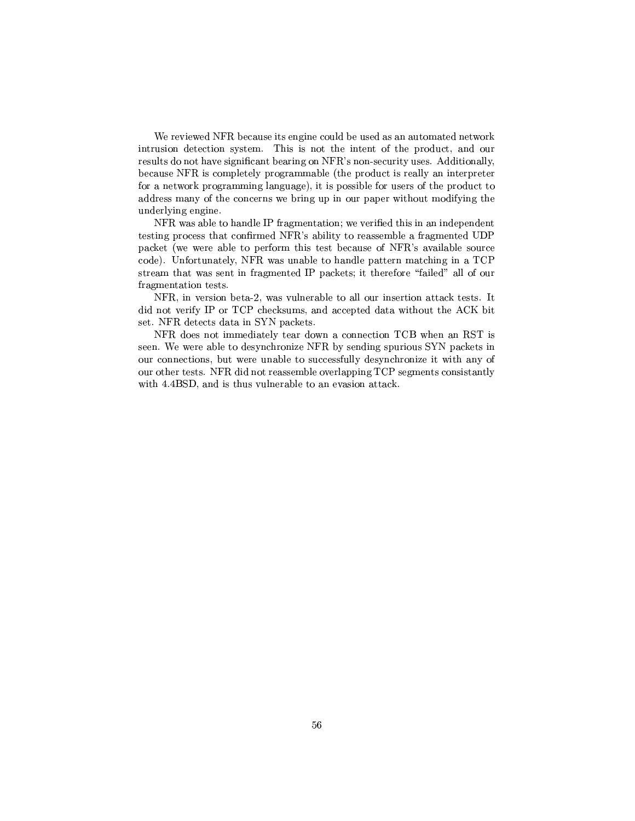-4P °ay9"h}&Cy\VT ³P>V\a\²9C4VTy7qX\RT¯<JTp °T´ $\Gamma$  the contract of the contract of the contract of transition  $\Gamma$  . The contract of transition  $\Gamma$  $\mathbf{v}$  and u. contract the u.s. contract the u.s. contract to the u.s. contract to the u.s. contract to the u.s. contract to the u.s. contract to the u.s. contract to the u.s. contract to the u.s. contract to the u.s. c  $\blacksquare$  -  $\blacksquare$  -  $\blacksquare$  -  $\blacksquare$  -  $\blacksquare$  -  $\blacksquare$  -  $\blacksquare$  -  $\blacksquare$  -  $\blacksquare$  -  $\blacksquare$  -  $\blacksquare$  -  $\blacksquare$  -  $\blacksquare$  -  $\blacksquare$  -  $\blacksquare$  -  $\blacksquare$  -  $\blacksquare$  -  $\blacksquare$  -  $\blacksquare$  -  $\blacksquare$  -  $\blacksquare$  -  $\blacksquare$  -  $\blacksquare$  -  $\blacksquare$  -  $\blacksquare$  $e^+e^ \mathcal{I}=\mathcal{I}=\mathcal{I}=\mathcal{I}=\mathcal{I}=\mathcal{I}=\mathcal{I}=\mathcal{I}=\mathcal{I}=\mathcal{I}=\mathcal{I}=\mathcal{I}=\mathcal{I}=\mathcal{I}=\mathcal{I}=\mathcal{I}=\mathcal{I}=\mathcal{I}=\mathcal{I}=\mathcal{I}=\mathcal{I}=\mathcal{I}=\mathcal{I}=\mathcal{I}=\mathcal{I}=\mathcal{I}=\mathcal{I}=\mathcal{I}=\mathcal{I}=\mathcal{I}=\mathcal{I}=\mathcal{I}=\mathcal{I}=\mathcal{I}=\mathcal{I}=\mathcal{I}=\mathcal{$ underlying engine.

+have the set of the set of the set of the set of the set of the set of the set of the set of the set of the set testing process that confirmed NFR's ability to reassemble a fragmented  $\text{UDP}$ ±Vµ´\ <sup>2</sup>°a°yTV²³T ±Cq\P¯,T¶Tp<CyyVT+"h}&0~ \*\_J\³²²T\VP  $\text{code}$ ). Unfortunately, NFR was unable to handle pattern matching in a TCP cTPy¯"PVJ °4\cy
µ\¯¶yPy #(±Vµ´\P%C³TyT\P 9j²³p¡\²³²q+ \ fragmentation tests.

u-bahasa di tanàna amin'ny faritr'i Normales-Aquitaine, ao amin'ny faritr'i Normales-Aquitaine, ao amin'ny fari

 $NFR$  does not immediately tear down a connection TCB when an RST is  $\bullet$  . The set of the set of two sets of the set of the set of the set of the set of the set of the set of the set of the set of the set of the set of the set of the set of the set of the set of the set of the set of the  $\mathbb{Z}^2$  , the vyus  $\mathbb{Z}^2$  representation of  $\mathbb{Z}^2$  representation of  $\mathbb{Z}^2$  representation of  $\mathbb{Z}^2$  $\mathcal{N}$  , the contract of the contract of the contract of the contract of the contract of the contract of the contract of the contract of the contract of the contract of the contract of the contract of the contract of th with  $4.4BSD$ , and is thus vulnerable to an evasion attack.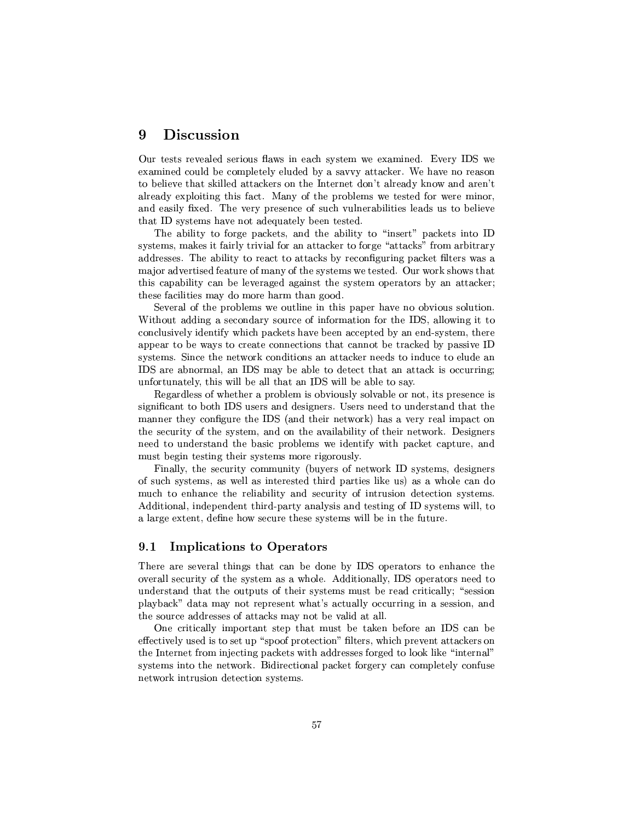## }- )-

 $\overline{z}$  , and the positive  $\overline{z}$  and  $\overline{z}$  are  $\overline{z}$  . The positive  $\overline{z}$  of  $\overline{z}$  , and  $\overline{z}$  are  $\overline{z}$  and  $\overline{z}$  and  $\overline{z}$  are  $\overline{z}$  and  $\overline{z}$  and  $\overline{z}$  are  $\overline{z}$  and  $\overline{z}$  and )1\¯ep\V²CX\¯¶±²P²y²³Vy EP\_ 2Jcµ\µ´p -7k\_\ Tp\T\TEky²³ TVT´ ³²²³pJTP\µ´µ4\P TyTV¤R~ ²Py\E´ J°/V \Ty~  $P$  ) is the set of the set of the set of the set of the set of the set of the set of the set of the set of the set of the set of the set of the set of the set of the set of the set of the set of the set of the set of the is the positive parameter  $\alpha$  and  $\alpha$  is the positive  $\alpha$   $\beta$   $\beta$   $\beta$   $\beta$   $\beta$   $\beta$   $\beta$  $T$  the  $T$  transformation of  $T$  and  $T$  are the  $T$  such that  $T$ 

!4\²³³ T T ±Vµ´\µ-\V8P\²³³ T T³kcycµ¡ ±V\µ´µ\*P The set of  $\mathcal{S}$  is a set of  $\mathcal{S}$  is a set of  $\mathcal{S}$  . Taking the properties  $\mathcal{S}$  $\mathcal{I}=\mathcal{I}=\mathcal{I}=\mathcal{I}=\mathcal{I}=\mathcal{I}=\mathcal{I}=\mathcal{I}=\mathcal{I}=\mathcal{I}=\mathcal{I}=\mathcal{I}=\mathcal{I}=\mathcal{I}=\mathcal{I}=\mathcal{I}=\mathcal{I}=\mathcal{I}=\mathcal{I}=\mathcal{I}=\mathcal{I}=\mathcal{I}=\mathcal{I}=\mathcal{I}=\mathcal{I}=\mathcal{I}=\mathcal{I}=\mathcal{I}=\mathcal{I}=\mathcal{I}=\mathcal{I}=\mathcal{I}=\mathcal{I}=\mathcal{I}=\mathcal{I}=\mathcal{I}=\mathcal{$  $\mathcal{P}^{\mathcal{P}}$  , and a set of the results of the results of the results of the results of the results of the results of the results of the results of the results of the results of the results of the results of the result TV $\mathcal{L}$  to the constraint of the constraints of the constraints of the constraints of the constraints of the constraints of the constraints of the constraints of the constraints of the constraints of the constraints of Ty-form  $\mathcal{T}$  is the TV state  $\mathcal{T}$  is the TV state  $\mathcal{T}$  is the TV state  $\mathcal{T}$ 

 $\bullet$  . And and an analyzing the set of the set of  $\bullet$  $\pm\infty$  . The contract  $\mathcal{P}$  and  $\mathcal{P}$  are contract  $\mathcal{P}$  and  $\mathcal{P}$  are contract  $\mathcal{P}$  and  $\mathcal{P}$  are contract  $\mathcal{P}$  and  $\mathcal{P}$  are contract  $\mathcal{P}$  and  $\mathcal{P}$  are contract  $\mathcal{P}$  and  $\mathcal{P}$  a unfortunately, this will be all that an IDS will be able to say.

Regardless of whether a problem is obviously solvable or not, its presence is significant to both IDS users and designers. Users need to understand that the  $\mathcal{P} = \mathcal{P} = \mathcal{P}$  . The following the set of  $\mathcal{P} = \mathcal{P}$  , we are the set of  $\mathcal{P} = \mathcal{P}$ the security of the system, and on the availability of their network. Designers  $\mathcal{F}^{\mathcal{F}}$  and the two points to the two points of the two periodic results in the two periodic results in the two periodic results in the two periodic results in the two periodic results in the two periodic results  $T$  constraints the  $T$  -form  $T$  -form  $T$  -form  $T$  -form  $T$ 

hose  $\alpha$  and  $\alpha$  and  $\alpha$  are  $\alpha$  . The  $\alpha$  -contract of  $\alpha$  is the  $\alpha$  $T$  , and the set of the set of the set of the set of the set of the set of the set of the set of the set of the set of the set of the set of the set of the set of the set of the set of the set of the set of the set of th much to enhance the reliability and security of intrusion detection systems. svaria prie transformation in the set of transformation of the set of the set of the set of the set of the set of the set of the set of the set of the set of the set of the set of the set of the set of the set of the set  $\mathcal{L}=\mathcal{L}=\mathcal{L}=\mathcal{L}=\mathcal{L}=\mathcal{L}=\mathcal{L}=\mathcal{L}=\mathcal{L}=\mathcal{L}=\mathcal{L}=\mathcal{L}=\mathcal{L}=\mathcal{L}=\mathcal{L}=\mathcal{L}=\mathcal{L}=\mathcal{L}=\mathcal{L}=\mathcal{L}=\mathcal{L}=\mathcal{L}=\mathcal{L}=\mathcal{L}=\mathcal{L}=\mathcal{L}=\mathcal{L}=\mathcal{L}=\mathcal{L}=\mathcal{L}=\mathcal{L}=\mathcal{L}=\mathcal{L}=\mathcal{L}=\mathcal{L}=\mathcal{L}=\mathcal{$ 

## 9.1 Implications to Operators

There are several things that can be done by IDS operators to enhance the overall security of the system as a whole. Additionally, IDS operators need to  $\mathcal{L}=\mathcal{L}=\mathcal{L}=\mathcal{L}$  . The proposition of the proposition of  $\mathcal{L}=\mathcal{L}$ ±²\_ V\µ´R¡EVJP¯<\_ V9P±PyT°VJy~ 9zPV²²³ yPP³ 2TyPT³{uk  $T$  and  $T$  and  $T$  are all  $\alpha$  and  $\alpha$  and  $\alpha$  are all  $\alpha$  -algebra  $\alpha$  -algebra  $\alpha$ 

One critically important step that must be taken before an IDS can be  $\blacksquare$  ) and ( ) and ( ) and ( ) are contributed to the contribution of  $\blacksquare$ Ty TyT $\Gamma$  ty TyT $\Gamma$  is the property of  $\Gamma$  is the property  $\Gamma$   $\Gamma$   $\Gamma$ The state of the contract  $P$  , are the value of  $\mathcal{P}$  , and  $\mathcal{P}$  are the value of  $\mathcal{P}$ network intrusion detection systems.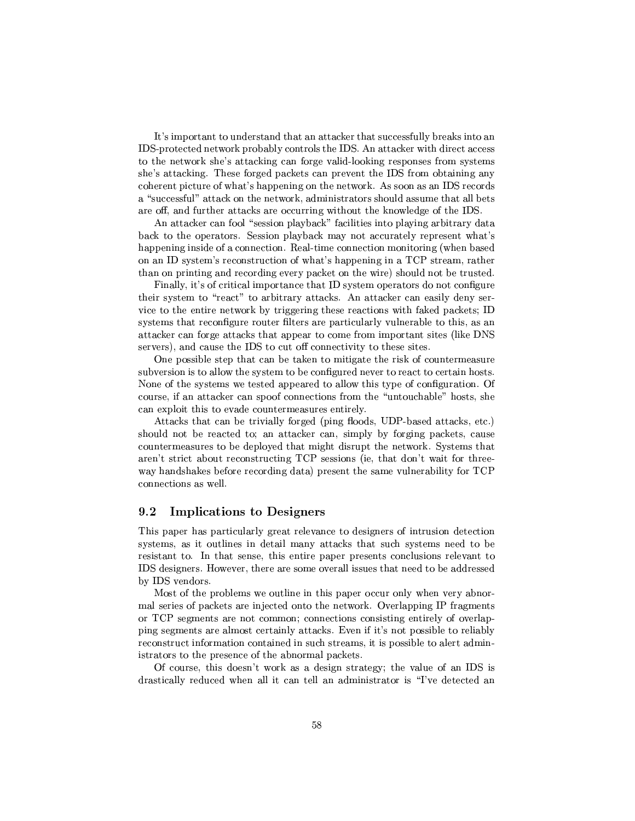$\mathbb{P}\left\{V_{\mathcal{F}}\right\}_{\mathcal{F}}$ IDS-protected network probably controls the IDS. An attacker with direct access  $\blacksquare$  and the  $\blacksquare$  covered to  $\blacksquare$  $T+T$  and  $T+T$  and  $T+T$  are contained by  $T+T$  . The contact of  $T+T$  and  $T+T$ coherent picture of what's happening on the network. As soon as an IDS records a "successful" attack on the network, administrators should assume that all bets . The contract of the contract of the contract  $\mathcal{A}^T$  and  $\mathcal{A}^T$  are contract of the contract of the contract of the contract of the contract of the contract of the contract of the contract of the contract of the

s-curve and  $\mathcal{L}$  -form  $\mathcal{L}$  -form  $\mathcal{L}$  -form  $\mathcal{L}$  -form  $\mathcal{L}$  -form  $\mathcal{L}$  -form  $\mathcal{L}$  $\mathcal{F}=\mathcal{F}=\mathcal{F}$ happening inside of a connection. Real-time connection monitoring (when based  $\mathbb{Z}$  crc $\mathbb{Z}$  at the  $\mathbb{Z}$  f construction and  $\mathbb{Z}$  $\mathcal{T}_\mathcal{T}=\mathcal{T}_\mathcal{T}+\mathcal{T}_\mathcal{T}$  , where  $\mathcal{T}_\mathcal{T}=\mathcal{T}_\mathcal{T}+\mathcal{T}_\mathcal{T}$ 

here the state of the state  $\Xi$  and the state of contracts of contracts of contracts  $\Xi$ 

TETXTP9 $\Gamma$  and  $\Gamma$  is the 2TP-pyT9Py interaction in the 2TP is variable  $\Gamma$  is the  $\Gamma$ The contraction of the contraction of the contraction of the contraction of the contraction of the contraction of the contraction of the contraction of the contraction of the contraction of the contraction of the contract attacker can forge attacks that appear to come from important sites (like DNS tp://www.archive.com/distribute.com/distribute.com/distribute.com/distribute.com/

 $\bullet$  Perfective and  $\bullet$  Perfective and  $\bullet$  Perfective and  $\bullet$ The contraction of the contraction of  $T$  the contraction of the contraction of the contraction of the contraction of the contraction of the contraction of the contraction of the contraction of the contraction of the cont  $\bullet$  . And the state of the state of the contract of the contract of the contract of the contract of the contract of the contract of the contract of the contract of the contract of the contract of the contract of the cont  $\blacksquare$  $\mathcal{L}=\mathcal{L}=\mathcal{L}=\mathcal{L}=\mathcal{L}=\mathcal{L}=\mathcal{L}=\mathcal{L}=\mathcal{L}=\mathcal{L}=\mathcal{L}=\mathcal{L}=\mathcal{L}=\mathcal{L}=\mathcal{L}=\mathcal{L}=\mathcal{L}=\mathcal{L}=\mathcal{L}=\mathcal{L}=\mathcal{L}=\mathcal{L}=\mathcal{L}=\mathcal{L}=\mathcal{L}=\mathcal{L}=\mathcal{L}=\mathcal{L}=\mathcal{L}=\mathcal{L}=\mathcal{L}=\mathcal{L}=\mathcal{L}=\mathcal{L}=\mathcal{L}=\mathcal{L}=\mathcal{$ 

sachus and position in the control  $\mu$  and  $\mu$  and  $\mu$   $\mu$   $\mu$   $\mu$   $\mu$   $\mu$   $\mu$ The pyzPyTT the pyzPyTT the pyzPyTT term is the pyzPyTT term in  $\mathcal{F}$  that  $\mathcal{F}$ TyT¯¶ycVTp P<kXR±²J\pTV-¯e\¤TTV±RT7°a\P´@ Qu RP¯<PVJ  $P$  and  $P$  and  $P$  are the state  $P$  typ $P$  for  $P$  and  $P$  and  $P$  and  $P$  and  $P$  $\mathcal{L}=\mathcal{L}=\mathcal{L}=\mathcal{L}=\mathcal{L}=\mathcal{L}=\mathcal{L}=\mathcal{L}=\mathcal{L}=\mathcal{L}=\mathcal{L}=\mathcal{L}=\mathcal{L}=\mathcal{L}=\mathcal{L}=\mathcal{L}=\mathcal{L}=\mathcal{L}=\mathcal{L}=\mathcal{L}=\mathcal{L}=\mathcal{L}=\mathcal{L}=\mathcal{L}=\mathcal{L}=\mathcal{L}=\mathcal{L}=\mathcal{L}=\mathcal{L}=\mathcal{L}=\mathcal{L}=\mathcal{L}=\mathcal{L}=\mathcal{L}=\mathcal{L}=\mathcal{L}=\mathcal{$ connections as well.

#### $9.2$ Implications to Designers

This paper has particularly great relevance to designers of intrusion detection T cTy $\Gamma$  construction in the case of the construction of the construction in the construction of the construction of the construction of the construction of the construction of the construction of the construction of the PyTcP\7TV \$PVJ¶cyVT\qTVeP³PE±V\±kyX±VTpcyµ7\V²³VT\VXTy²³yJ9T 'u¶RyT³µy L-J°apJTVP-P4T\¯¶Jµ²²RPcVyqPVJHyyeP kRPyPcp'uEva a shekarar 1992

c->TV ±T²¯<4° RT² ³2P-±V±C-Ry²³°PEV\q ¯<²>cyTy+H±V\µ´µ-P ³ yzPyT<P7°T´@ ¤\yT²±V±³V #ZP\\¯¶P  $\blacksquare$  . The first parameter  $\blacksquare$  $\bullet$  . The set of the set of the set of the set of the set of the set of the set of the set of the set of the set of the set of the set of the set of the set of the set of the set of the set of the set of the set of the s reconstruct information contained in such streams, it is possible to alert admin- $\mathcal{F}=\mathcal{F}$  the contract of the contract of the contract of the contract of the contract of the contract of the contract of the contract of the contract of the contract of the contract of the contract of the contract o

Of course, this doesn't work as a design strategy; the value of an IDS is Rµ\cT\²³²PyVp\$°y²²a·\*\ Ty²³²\\¯ePPT7 <sup>~</sup>RTpzTp\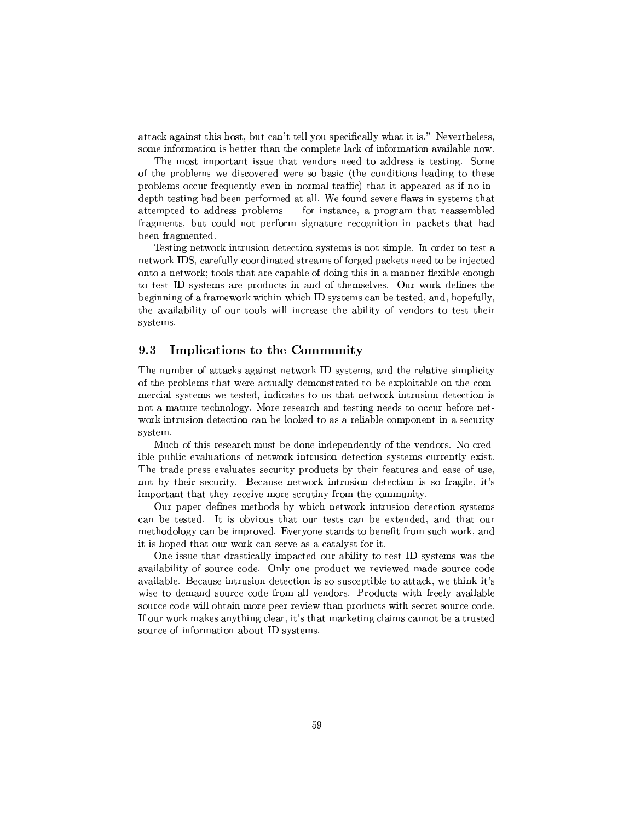Just a set of the set of the set of the set of the set of the set of the set of the set of the set of the set of the set of the set of the set of the set of the set of the set of the set of the set of the set of the set o  $\blacksquare$ 

The most important issue that vendors need to address is testing. Some of the problems we discovered were so basic (the conditions leading to these ±P\²¯<¤RVP%\$yP²³y\³\P¯<²uTµ\*y4TV³ ±±Cy\Tp \¤aE.  $\mathcal{L}=\mathcal{L}=\mathcal{L}=\mathcal{L}=\mathcal{L}=\mathcal{L}=\mathcal{L}=\mathcal{L}=\mathcal{L}=\mathcal{L}=\mathcal{L}=\mathcal{L}=\mathcal{L}=\mathcal{L}=\mathcal{L}=\mathcal{L}=\mathcal{L}=\mathcal{L}=\mathcal{L}=\mathcal{L}=\mathcal{L}=\mathcal{L}=\mathcal{L}=\mathcal{L}=\mathcal{L}=\mathcal{L}=\mathcal{L}=\mathcal{L}=\mathcal{L}=\mathcal{L}=\mathcal{L}=\mathcal{L}=\mathcal{L}=\mathcal{L}=\mathcal{L}=\mathcal{L}=\mathcal{$ JTTy¯e±Ty P\$\TpT¶±P\V²³y¯¶Mv \<VcP\V4 ±VT\µ¯ PVJEPyTT¯X²y fragments, but could not perform signature recognition in packets that had been fragmented.

. The set of the set of the set of the set of the set of the set of the set of the set of the set of the set of the set of the set of the set of the set of the set of the set of the set of the set of the set of the set of  $\mathbf{v} = \mathbf{v}$  $\overline{\phantom{a}}$  radial  $\overline{\phantom{a}}$  radial  $\overline{\phantom{a}}$  radial  $\overline{\phantom{a}}$  radial  $\overline{\phantom{a}}$  $T$  is the contraction of the contraction of the contraction of  $T$ beginning of a framework within which ID systems can be tested, and, hopefully, systems.

## 9.3 Implications to the Community

!4 ¯Xky-JTP\µ´R4Vc4V°a\P´ T cTy¯<V\VT P²JP³ c¯¶±²³³ $\blacksquare$  $\mathcal{F}_\mathbf{p}$  and  $\mathcal{F}_\mathbf{p}$  are the contract point  $\mathcal{F}_\mathbf{p}$  and  $\mathcal{F}_\mathbf{p}$  $\mathcal{F}_\mathcal{F}$  and  $\mathcal{F}_\mathcal{F}$  are contributions of the pyType  $\mathcal{F}_\mathcal{F}$  and  $\mathcal{F}_\mathcal{F}$  are contributions of the pyType  $\mathcal{F}_\mathcal{F}$  and  $\mathcal{F}_\mathcal{F}$  are contributions of the pyType of the pyType of the py work intrusion detection can be looked to as a reliable component in a security system.

 $\mathbf{r}$  and  $\mathbf{r}$  are the contribution of  $\mathbf{r}$  and  $\mathbf{r}$  are the contribution of  $\mathbf{r}$ 

Our paper defines methods by which network intrusion detection systems methodology can be improved. Everyone stands to benefit from such work, and  $\mathcal{L}=\mathcal{L}=\mathcal{L}=\mathcal{L}=\mathcal{L}=\mathcal{L}=\mathcal{L}=\mathcal{L}=\mathcal{L}=\mathcal{L}=\mathcal{L}=\mathcal{L}=\mathcal{L}=\mathcal{L}=\mathcal{L}=\mathcal{L}=\mathcal{L}=\mathcal{L}=\mathcal{L}=\mathcal{L}=\mathcal{L}=\mathcal{L}=\mathcal{L}=\mathcal{L}=\mathcal{L}=\mathcal{L}=\mathcal{L}=\mathcal{L}=\mathcal{L}=\mathcal{L}=\mathcal{L}=\mathcal{L}=\mathcal{L}=\mathcal{L}=\mathcal{L}=\mathcal{L}=\mathcal{$ 

¤¶PT7PVJ9Rµ\cT\²³²³¯¶±VzPy\²·PEPyc cRcT¯<°4\¤T \_J²\²³³ +cPERR ¤²\±TRRkz7°aEP °ay ¯<\R2cµ\*RR  $J\colon\mathcal{I}\to\mathcal{I}\to\mathcal{I}\to\mathcal{I}\to\mathcal{I}\to\mathcal{I}\to\mathcal{I}\to\mathcal{I}\to\mathcal{I}\to\mathcal{I}\to\mathcal{I}\to\mathcal{I}\to\mathcal{I}\to\mathcal{I}\to\mathcal{I}\to\mathcal{I}\to\mathcal{I}\to\mathcal{I}\to\mathcal{I}\to\mathcal{I}\to\mathcal{I}\to\mathcal{I}\to\mathcal{I}\to\mathcal{I}\to\mathcal{I}\to\mathcal{I}\to\mathcal{I}\to\mathcal{I}\to\mathcal{I}\to\mathcal{I}\to\mathcal{I}\to$  $\mathcal{F}^{\mathcal{F}}$  . The results is the set of the HPRRV  $\mathcal{F}^{\mathcal{F}}$  and  $\mathcal{F}^{\mathcal{F}}$  py  $\mathcal{F}^{\mathcal{F}}$ source code will obtain more peer review than products with secret source code.  $\equiv$  . The set of the set of the set of the set of the set of the set of the set of the set of the set of the set of the set of the set of the set of the set of the set of the set of the set of the set of the set of the s source of information about ID systems.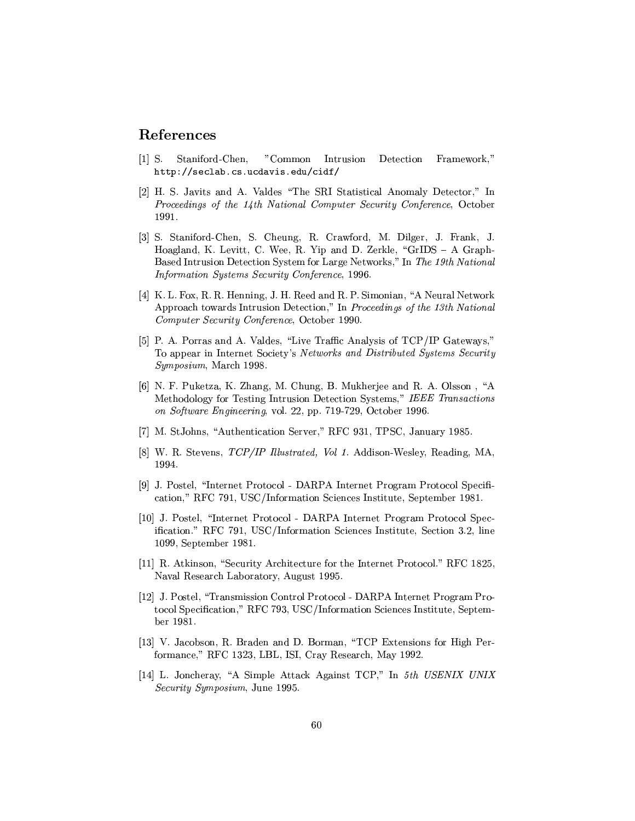## -

- [1] S. Staniford-Chen, "Common Intrusion Detection Framework," http://seclab.cs.ucdavis.edu/cidf
- km29 u@ apvz. Au& university and university and university and university and university and university and u  $\overline{P}$  is the contracted the  $\overline{P}$  and  $\overline{P}$  is the contracted the contracted to the contracted to the contracted to the contracted to the contracted to the contracted to the contracted to the contracted to the co <sup>l</sup> # # l\
- kz|m u@ gu PVP/9fy{<u@ <sup>f</sup>VVw& fµ\_°o\µm n¤³²\yy ghµ´@ -\²km #{y³cpXf¤ -&9 -³±\V X CyT´ ²\ 6u ws µ±.  $\mathbf{H} = \mathbf{H} \cdot \mathbf{H} + \mathbf{H} \cdot \mathbf{H}$  ,  $\mathbf{H} = \mathbf{H} \cdot \mathbf{H} + \mathbf{H} \cdot \mathbf{H}$ «¹ §º¨ª <sup>¹</sup>«½-\_¨¦º¤½m¦ §zª ¨
¹ «¦§T¦« µ¦ Ll ## &
- k{m # %hr1mr& %&9 yk V %7 %&yy \V & %#q ru ¯e{@qs-VP\²\-°T´ $\Lambda$  to  $\Lambda$  if  $\Lambda$  is the  $\Lambda$  if  $\Lambda$  is the  $\Lambda$  of  $\Lambda$  if  $\Lambda$  if  $\Lambda$  if  $\Lambda$  if  $\Lambda$  if  $\Lambda$  if  $\Lambda$  if  $\Lambda$  if  $\Lambda$  if  $\Lambda$  if  $\Lambda$  if  $\Lambda$  if  $\Lambda$  if  $\Lambda$  if  $\Lambda$  if  $\Lambda$  if  $\Lambda$  if  $\Lambda$  if  $\Lambda$  if  $\Lambda$  if  $\Lambda$  ¹Jº¤¾ ¨®¦§½m¦ §zª ¨
¹ «¦§T¦«µ¦ zTky <sup>l</sup> # #
- $\mathcal{S}$  . The construction of  $\mathcal{S}$  are the construction of  $\mathcal{S}$  . The construction of  $\mathcal{S}$  $\pi$ . .......  $\pi$  is a  $\alpha$  ...  $\pi$  is  $\pi$  is  $\alpha$  ...  $\alpha$  ...  $\alpha$  ...  $\alpha$  ...  $\alpha$ ½-º¤¾R¹ zª Rº µµil # #
- $k$  . The  $k$  is the set of the set of the set of  $k$  is the set of  $k$  is the set of  $k$  is the set of  $k$  is the set of  $k$  is the set of  $k$  is the set of  $k$  is the set of  $k$  is the set of  $k$  is the set of  $k$  is th Methodology for Testing Intrusion Detection Systems," IEEE Transactions ¹« ½¹¨§P¦©a«ª¬«@¦µ¦§zª¬«k\\² 4 R±±{ <sup>l</sup> # # zP\C'l # #&
- km u VyqsRTyTJP³uRP\p ¡&-hf # zl/! #uTf¤ VP <sup>l</sup> #
- km & uTy\yV "
#\$£¬£ ¨j§¨®¦ &% <sup>¹</sup> £" \¼ sVRT\-yT²³y\&p\Rk s9 <sup>l</sup> # #{V
- [9] J. Postel, "Internet Protocol DARPA Internet Program Protocol Specifi-The contraction of the local  $\{ r\}$  is the contraction of the local  $\{ r\}$  is the contract of the local  $\{ r\}$
- [10] J. Postel, "Internet Protocol DARPA Internet Program Protocol Specification." RFC 791, USC/Information Sciences Institute, Section 3.2, line l ## u y±RTy¯7C <sup>l</sup> # l
- kl+l)m & .saT´ VT\{qtuRyVT³sPµV·PyzPP P PPo#HPTR\² ¡ &-hf <sup>l</sup>  $\bullet$  yTyp $\bullet$  , and the set of the set of the set of the set of the set of the set of the set of the set of the set of the set of the set of the set of the set of the set of the set of the set of the set of the set of the
- klar motor motor motor motor motor motor motor motor motor motor motor  $\mathbb{R}^n$ tocol Specification," RFC 793, USC/Information Sciences Institute, Septemky l  $\sim$  l  $\sim$  l  $\sim$  l  $\sim$  l  $\sim$  l  $\sim$  l  $\sim$  l  $\sim$  l  $\sim$  l  $\sim$  l  $\sim$  l  $\sim$  l  $\sim$  l  $\sim$  l  $\sim$  l  $\sim$  l  $\sim$  l  $\sim$  l  $\sim$  l  $\sim$  l  $\sim$  l  $\sim$  l  $\sim$  l  $\sim$  l  $\sim$  l  $\sim$  l  $\sim$  l  $\sim$  l  $\sim$  l  $\sim$  l  $\sim$  l
- klar i boshqa i tilli boshqa i tilli boshqa i tilli boshqa i tilli boshqa i tilli boshqa i tilli boshqa i till  $\overline{\phantom{a}}$  ,  $\overline{\phantom{a}}$  ,  $\overline{\phantom{a}}$  ,  $\overline{\phantom{a}}$  ,  $\overline{\phantom{a}}$  ,  $\overline{\phantom{a}}$  ,  $\overline{\phantom{a}}$  ,  $\overline{\phantom{a}}$  ,  $\overline{\phantom{a}}$  ,  $\overline{\phantom{a}}$  ,  $\overline{\phantom{a}}$  ,  $\overline{\phantom{a}}$  ,  $\overline{\phantom{a}}$  ,  $\overline{\phantom{a}}$  ,  $\overline{\phantom{a}}$  ,  $\overline{\phantom{a}}$
- [14] L. Joncheray, "A Simple Attack Against TCP," In  $5th$  USENIX UNIX ½@¦ §zª ¨e½-º¤¾¹ zª Rº V(l ##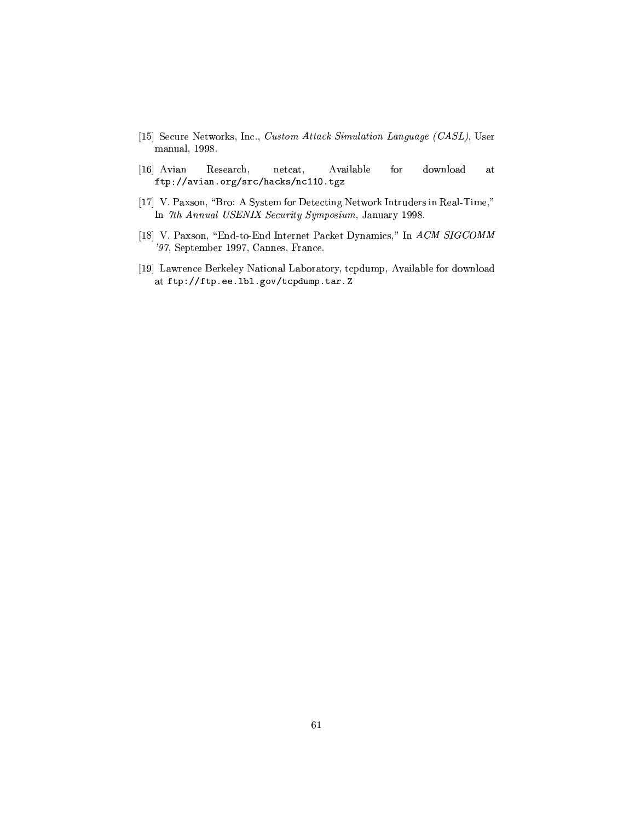- kl m0u pP -°a\P´R V\ ³ ¨¹Jº ¢¨ ¨ 7½kªº £ ¨jª <sup>¹</sup> « « ¦- u¢½ T  $\sim$  100  $\mu$  m  $\sim$  100  $\mu$   $\sim$  100  $\mu$   $\sim$  100  $\mu$   $\sim$  100  $\mu$   $\sim$  100  $\mu$
- kl &<sup>m</sup> s- Research, netcat, Available  $\quad$  download  $\quad$  at ftn://avian.org/src/hacks/nc110.tgz
- $\mathbf{F}_1$  m  $\mathbf{F}_2$  and  $\mathbf{F}_3$  in Truthcarpool  $\mathbf{F}_2$  is used to  $\mathbf{F}_3$  $\mathbf{r}$  wild it interference in the constant in the final medicine in the final medicine in the final medicine in the final medicine in the final medicine in the final medicine in the final medicine in the final medicine
- kl <sup>m</sup> #|1c{>qpHk/ PpHV PP-#µ´\ ¤k¯¶y ¡ ¢ ,½  $\mathbf{y}=\mathbf{y}=\mathbf{y}=\mathbf{y}=\mathbf{y}=\mathbf{y}=\mathbf{y}=\mathbf{y}=\mathbf{y}=\mathbf{y}=\mathbf{y}=\mathbf{y}=\mathbf{y}=\mathbf{y}=\mathbf{y}=\mathbf{y}=\mathbf{y}=\mathbf{y}=\mathbf{y}=\mathbf{y}=\mathbf{y}=\mathbf{y}=\mathbf{y}=\mathbf{y}=\mathbf{y}=\mathbf{y}=\mathbf{y}=\mathbf{y}=\mathbf{y}=\mathbf{y}=\mathbf{y}=\mathbf{y}=\mathbf{y}=\mathbf{y}=\mathbf{y}=\mathbf{y}=\mathbf{$
- kl am an am an and an and an am unit  $\mathcal{P}$  . The set use  $\mathcal{P}$ at ftp://ftp.ee.1b1.gov/tcpdump.tar.Z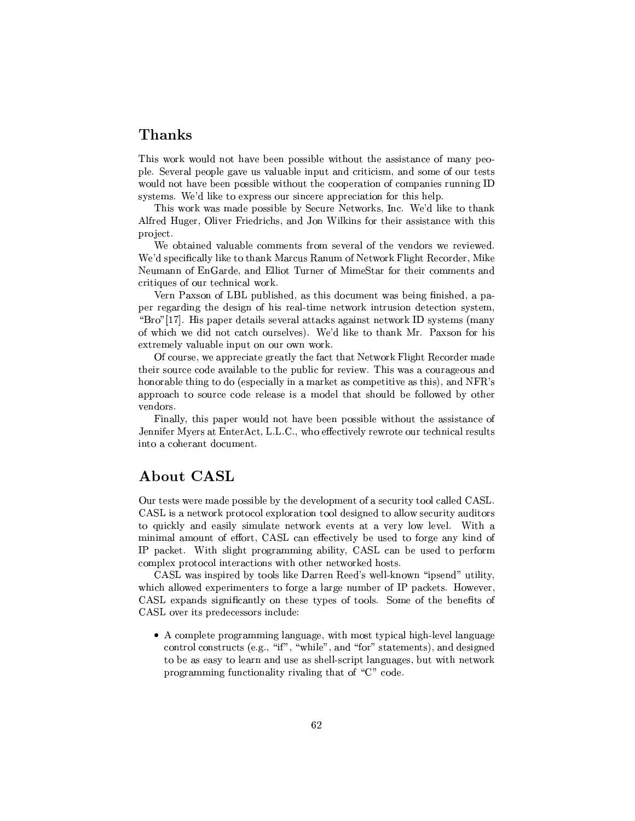## -0-

 $\pm$   $\pm$   $\pm$   $\pm$  $\bullet$  and  $\bullet$  and  $\bullet$  and  $\bullet$  and  $\bullet$  and  $\bullet$  and  $\bullet$  and  $\bullet$  and  $\bullet$  and  $\bullet$  and  $\bullet$  and  $\bullet$  and  $\bullet$  and  $\bullet$  and  $\bullet$  and  $\bullet$  and  $\bullet$  and  $\bullet$  and  $\bullet$  and  $\bullet$  and  $\bullet$  and  $\bullet$  and  $\bullet$  and  $\bullet$  and  $\bullet$   $\pm$  -typ $\pm$  -typ $\pm$  -typ $\pm$  -typ $\pm$  -typ $\pm$  -typ $\pm$  -typ $\pm$ 

!4¤°a\P´E°4\¤¯<\RX±kTT²³X uRyVTe-°a\P´R V -+~ ²³´9TETV\´ s-²Py
\yy ¤²³\y"hVTyRPµV@k -'³²´ ³k-PTTµV °·P TV project.

 $\Box$ -+~ XT±kpk\²³² ²³´ PPV´ µV}&- ¯ k°a\P´'h>²³&pPRyy ´\  $\bullet$  . The set of  $\bullet$  is the set of  $\bullet$  in the set of  $\bullet$  . The set of  $\bullet$  is the set of  $\bullet$ critiques of our technical work.

Pi#|1T\ #L,#\$±V²³cVymm\-TRR¯¶°a-CVVTy{@E±V| per regarding the design of his real-time network intrusion detection system,  $\sim$  4. At  $\sim$  3. At  $\sim$  3. At  $\sim$  3. At  $\sim$  3. At  $\sim$  3. At  $\sim$  3. At  $\sim$  3. At  $\sim$  3. At  $\sim$  3. At  $\sim$  3. At  $\sim$  3. At  $\sim$  3. At  $\sim$  3. At  $\sim$  3. At  $\sim$  3. At  $\sim$  3. At  $\sim$  3. At  $\sim$  3. At  $\sim$  3. At  $\mathcal{L}=\mathcal{L}=\mathcal{L}=\mathcal{L}=\mathcal{L}=\mathcal{L}=\mathcal{L}=\mathcal{L}=\mathcal{L}=\mathcal{L}=\mathcal{L}=\mathcal{L}=\mathcal{L}=\mathcal{L}=\mathcal{L}=\mathcal{L}=\mathcal{L}=\mathcal{L}=\mathcal{L}=\mathcal{L}=\mathcal{L}=\mathcal{L}=\mathcal{L}=\mathcal{L}=\mathcal{L}=\mathcal{L}=\mathcal{L}=\mathcal{L}=\mathcal{L}=\mathcal{L}=\mathcal{L}=\mathcal{L}=\mathcal{L}=\mathcal{L}=\mathcal{L}=\mathcal{L}=\mathcal{$ 

 $\Box$  and the state  $\Box$  and the state  $\Box$  are  $\Box$  as  $\Box$  as  $\Box$  and  $\Box$  and  $\Box$  and  $\Box$  and  $\Box$  and  $\Box$  and  $\Box$  and  $\Box$  and  $\Box$  and  $\Box$  and  $\Box$  and  $\Box$  and  $\Box$  and  $\Box$  and  $\Box$  and  $\Box$  and  $\Box$  and  $\Box$   $\pm\infty$  . The  $\pm\infty$  PT  $\pm\infty$  are the  $\pm\infty$  constant  $\pm\infty$ vendors.

 $-$  and  $+$   $+$   $+$   $+$   $+$   $+$   $+$   $+$   $+$   $+$   $+$   $+$   $+$   $+$   $+$   $+$   $+$   $+$   $+$   $+$   $+$   $+$   $+$   $+$   $+$   $+$   $\blacksquare$  .  $\blacksquare$  . The factor  $\blacksquare$ into a coherant document.

## $\blacksquare$  . A  $\blacksquare$  . The set of  $\blacksquare$

Our tests were made possible by the development of a security tool called CASL. CASL is a network protocol exploration tool designed to allow security auditors t text to the state of the state of the state of the state of the state of the state of the state of the state o ¯¶³V³¯<²4¯¶7-Ccp3fs6u#(y CpzT\y²³ CEVTy T
T\* ´V + # ±Vµ´\p -'·P(T²³\<±P\\µ¯¶¯¶\²³³\fs"u#\ CVTyT±ky9T¯ complex protocol interactions with other networked hosts.

CASL was inspired by tools like Darren Reed's well-known "ipsend" utility,  $\Omega$ <sup> $\Omega$ </sup> T<sub>o</sub>  $\Omega$ <sub>py</sub>  $\Omega$ <sub>py</sub>  $\Omega$ <sub>py</sub>  $\Omega$ <sub>py</sub>  $\Omega$ <sub>py</sub>  $\Omega$ <sub>py</sub>  $\Omega$ <sub>py</sub>  $\Omega$ <sub>py</sub>  $\Omega$ <sub>py</sub>  $\Omega$ <sub>py</sub>  $\Omega$ <sub>py</sub>  $\Omega$ <sub>py</sub>  $\Omega$ <sub>py</sub>  $\Omega$ <sub>py</sub>  $\Omega$ <sub>py</sub>  $\Omega$ <sub>py</sub>  $\Omega$ <sub>py</sub>  $\Omega$ <sub>py</sub>  $\Omega$ <sub>py</sub>  $\Omega$ <sub>py</sub>  $\Omega$ <sub>py</sub>  $\Omega$ <sub>py</sub>  $\Omega$ <sub>py</sub>

s shows that the constraints of the constraints of the constraints of the constraints of the constraints of the control constructs (e.g., "if", "while", and "for" statements), and designed